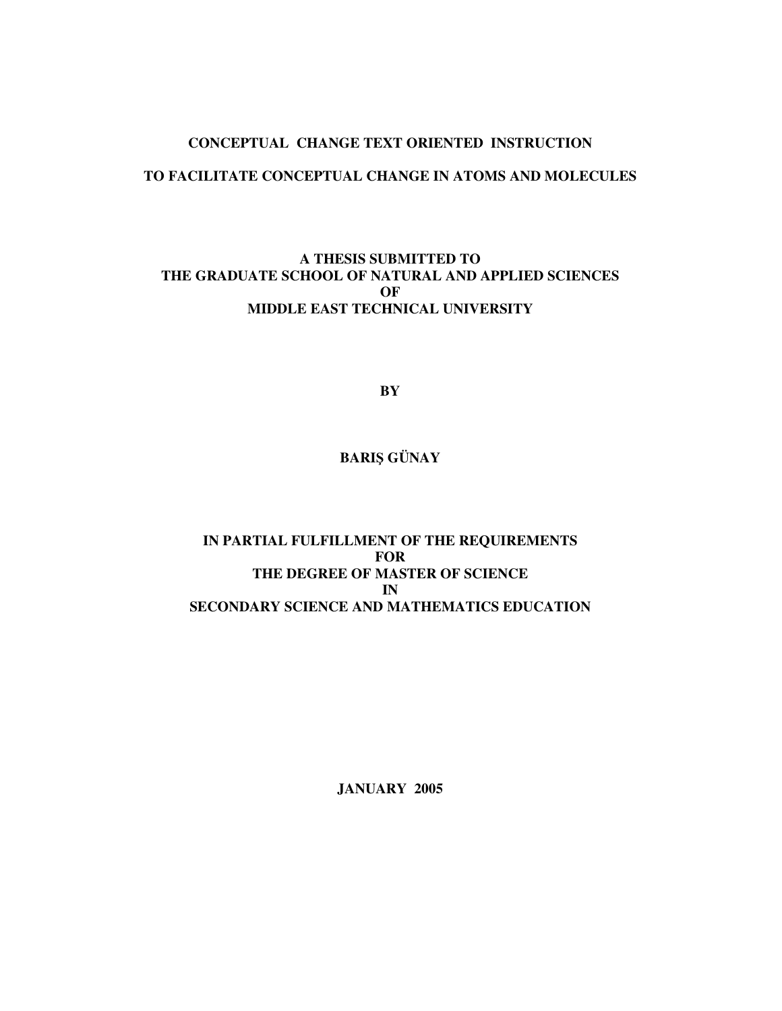### **CONCEPTUAL CHANGE TEXT ORIENTED INSTRUCTION**

## **TO FACILITATE CONCEPTUAL CHANGE IN ATOMS AND MOLECULES**

## **A THESIS SUBMITTED TO THE GRADUATE SCHOOL OF NATURAL AND APPLIED SCIENCES OF MIDDLE EAST TECHNICAL UNIVERSITY**

**BY** 

## **BARI**Ş **GÜNAY**

## **IN PARTIAL FULFILLMENT OF THE REQUIREMENTS FOR THE DEGREE OF MASTER OF SCIENCE IN SECONDARY SCIENCE AND MATHEMATICS EDUCATION**

**JANUARY 2005**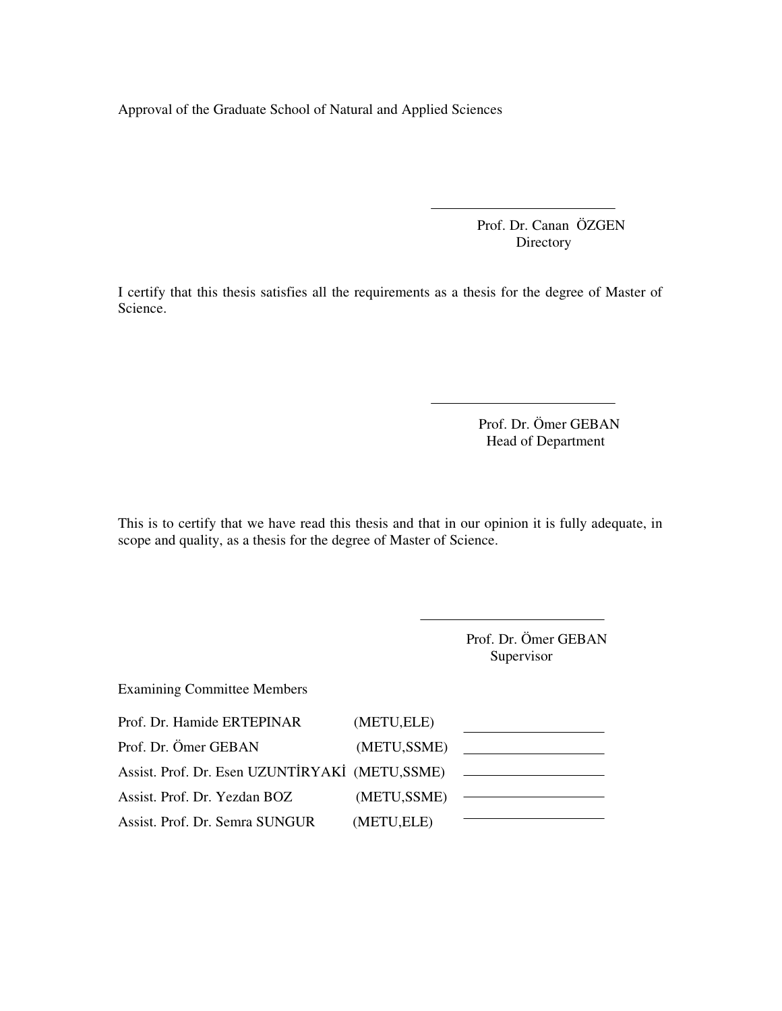Approval of the Graduate School of Natural and Applied Sciences

 Prof. Dr. Canan ÖZGEN Directory

I certify that this thesis satisfies all the requirements as a thesis for the degree of Master of Science.

> Prof. Dr. Ömer GEBAN Head of Department

This is to certify that we have read this thesis and that in our opinion it is fully adequate, in scope and quality, as a thesis for the degree of Master of Science.

> Prof. Dr. Ömer GEBAN Supervisor

Examining Committee Members

| Prof. Dr. Hamide ERTEPINAR                      | (METU, ELE)  |  |
|-------------------------------------------------|--------------|--|
| Prof. Dr. Ömer GEBAN                            | (METU, SSME) |  |
| Assist. Prof. Dr. Esen UZUNTİRYAKİ (METU, SSME) |              |  |
| Assist. Prof. Dr. Yezdan BOZ                    | (METU, SSME) |  |
| Assist. Prof. Dr. Semra SUNGUR                  | (METU, ELE)  |  |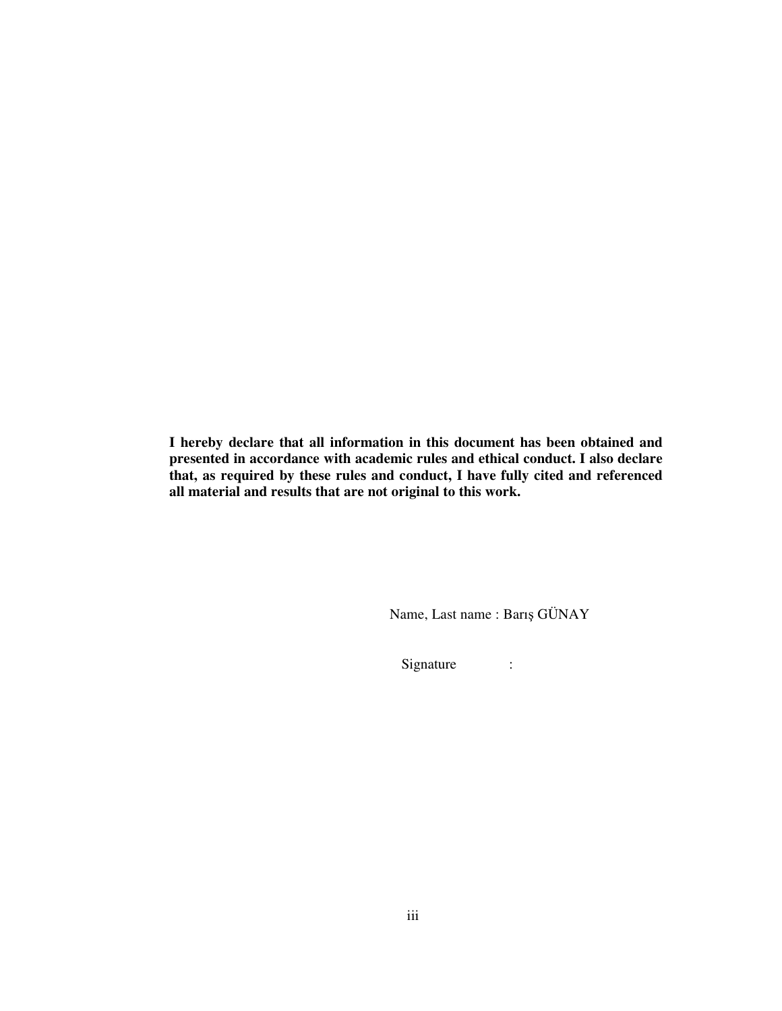**I hereby declare that all information in this document has been obtained and presented in accordance with academic rules and ethical conduct. I also declare that, as required by these rules and conduct, I have fully cited and referenced all material and results that are not original to this work.** 

Name, Last name : Barış GÜNAY

Signature :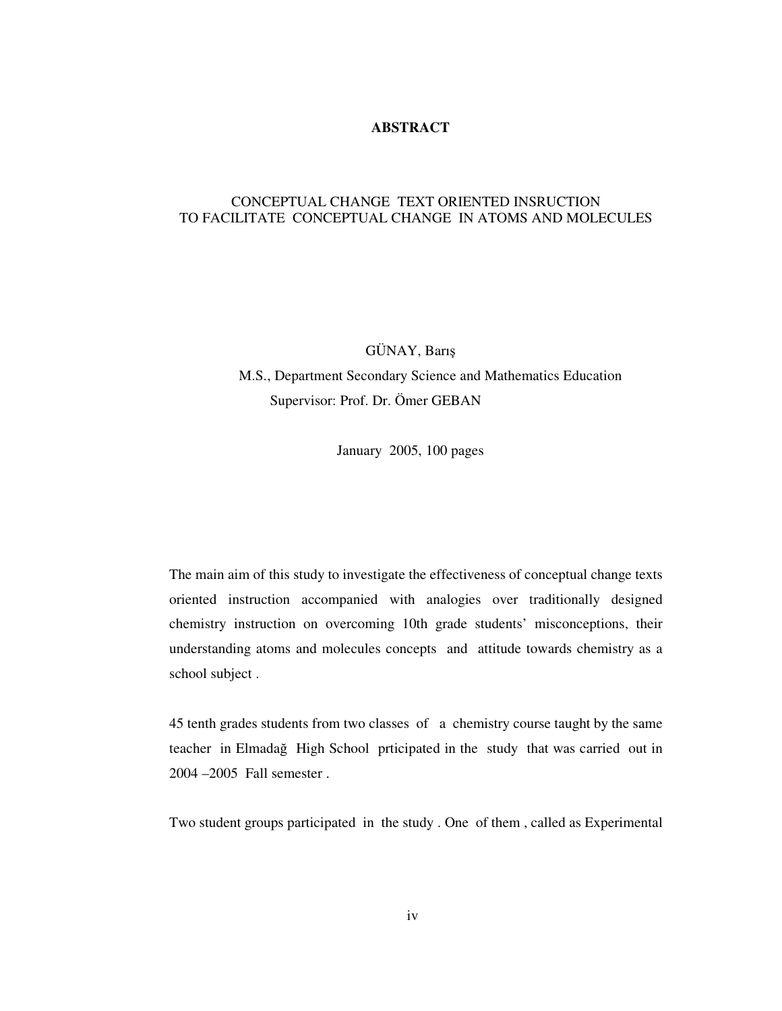## **ABSTRACT**

### CONCEPTUAL CHANGE TEXT ORIENTED INSRUCTION TO FACILITATE CONCEPTUAL CHANGE IN ATOMS AND MOLECULES

GÜNAY, Barış

 M.S., Department Secondary Science and Mathematics Education Supervisor: Prof. Dr. Ömer GEBAN

January 2005, 100 pages

The main aim of this study to investigate the effectiveness of conceptual change texts oriented instruction accompanied with analogies over traditionally designed chemistry instruction on overcoming 10th grade students' misconceptions, their understanding atoms and molecules concepts and attitude towards chemistry as a school subject .

45 tenth grades students from two classes of a chemistry course taught by the same teacher in Elmadağ High School prticipated in the study that was carried out in 2004 –2005 Fall semester .

Two student groups participated in the study . One of them , called as Experimental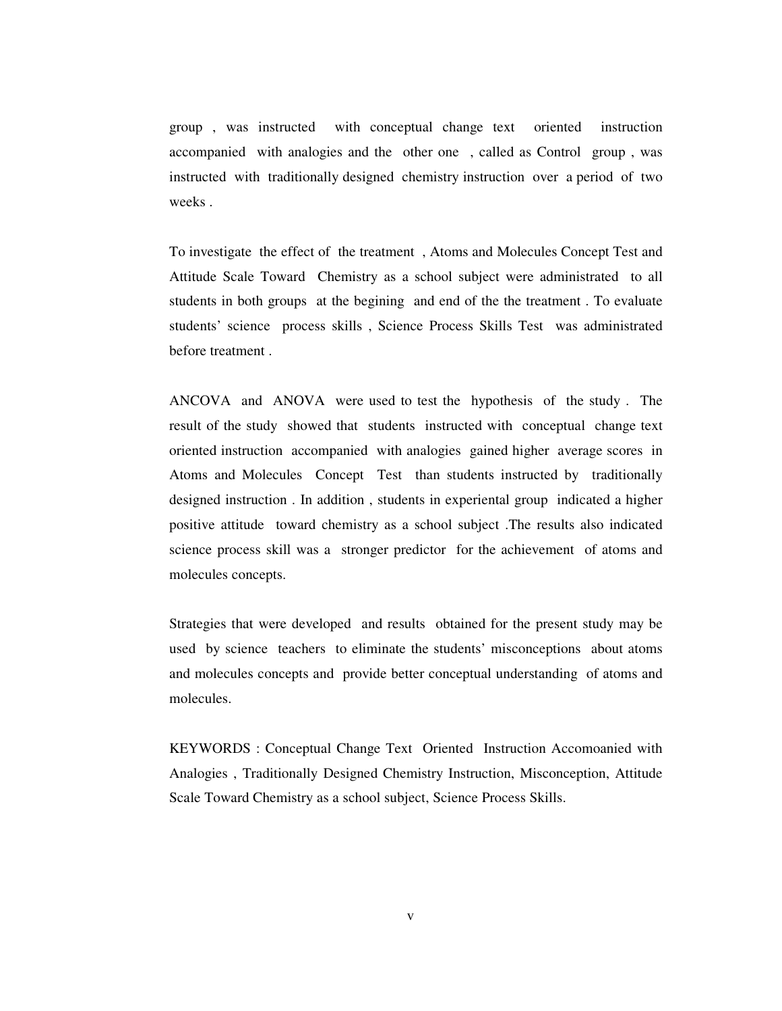group , was instructed with conceptual change text oriented instruction accompanied with analogies and the other one , called as Control group , was instructed with traditionally designed chemistry instruction over a period of two weeks .

To investigate the effect of the treatment , Atoms and Molecules Concept Test and Attitude Scale Toward Chemistry as a school subject were administrated to all students in both groups at the begining and end of the the treatment . To evaluate students' science process skills , Science Process Skills Test was administrated before treatment .

ANCOVA and ANOVA were used to test the hypothesis of the study . The result of the study showed that students instructed with conceptual change text oriented instruction accompanied with analogies gained higher average scores in Atoms and Molecules Concept Test than students instructed by traditionally designed instruction . In addition , students in experiental group indicated a higher positive attitude toward chemistry as a school subject .The results also indicated science process skill was a stronger predictor for the achievement of atoms and molecules concepts.

Strategies that were developed and results obtained for the present study may be used by science teachers to eliminate the students' misconceptions about atoms and molecules concepts and provide better conceptual understanding of atoms and molecules.

KEYWORDS : Conceptual Change Text Oriented Instruction Accomoanied with Analogies , Traditionally Designed Chemistry Instruction, Misconception, Attitude Scale Toward Chemistry as a school subject, Science Process Skills.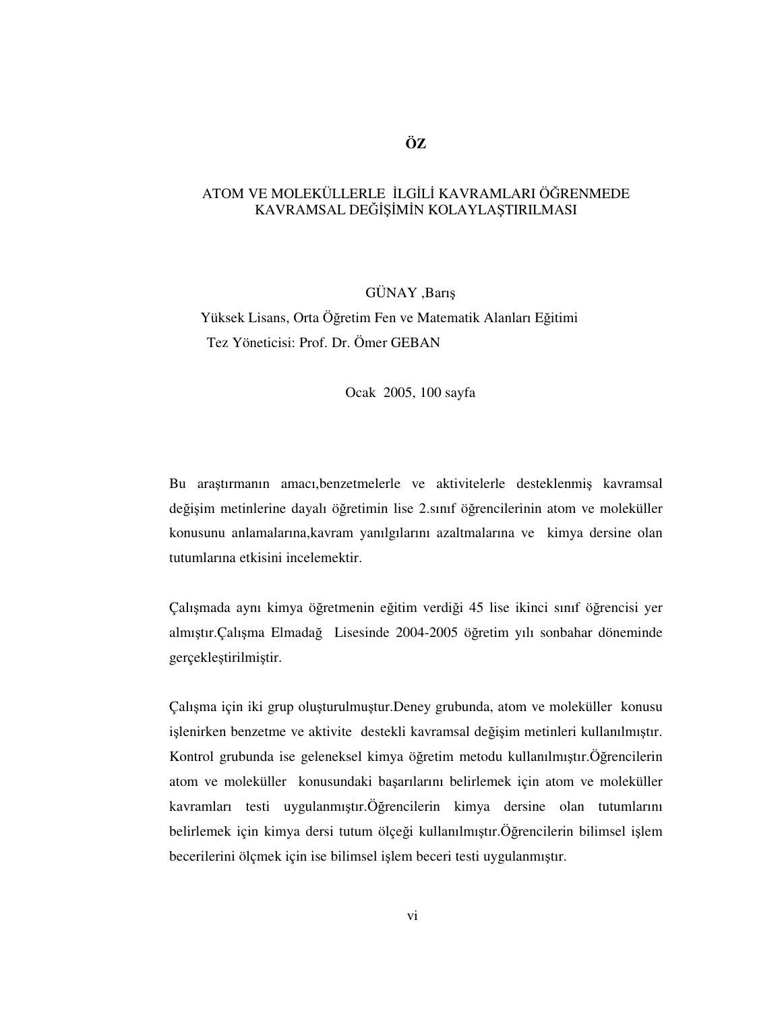# **ÖZ**

## ATOM VE MOLEKÜLLERLE İLGİLİ KAVRAMLARI ÖĞRENMEDE KAVRAMSAL DEĞİŞİMİN KOLAYLAŞTIRILMASI

GÜNAY ,Barış

Yüksek Lisans, Orta Öğretim Fen ve Matematik Alanları Eğitimi Tez Yöneticisi: Prof. Dr. Ömer GEBAN

Ocak 2005, 100 sayfa

Bu araştırmanın amacı,benzetmelerle ve aktivitelerle desteklenmiş kavramsal değişim metinlerine dayalı öğretimin lise 2.sınıf öğrencilerinin atom ve moleküller konusunu anlamalarına,kavram yanılgılarını azaltmalarına ve kimya dersine olan tutumlarına etkisini incelemektir.

Çalışmada aynı kimya öğretmenin eğitim verdiği 45 lise ikinci sınıf öğrencisi yer almıştır.Çalışma Elmadağ Lisesinde 2004-2005 öğretim yılı sonbahar döneminde gerçekleştirilmiştir.

Çalışma için iki grup oluşturulmuştur.Deney grubunda, atom ve moleküller konusu işlenirken benzetme ve aktivite destekli kavramsal değişim metinleri kullanılmıştır. Kontrol grubunda ise geleneksel kimya öğretim metodu kullanılmıştır.Öğrencilerin atom ve moleküller konusundaki başarılarını belirlemek için atom ve moleküller kavramları testi uygulanmıştır.Öğrencilerin kimya dersine olan tutumlarını belirlemek için kimya dersi tutum ölçeği kullanılmıştır.Öğrencilerin bilimsel işlem becerilerini ölçmek için ise bilimsel işlem beceri testi uygulanmıştır.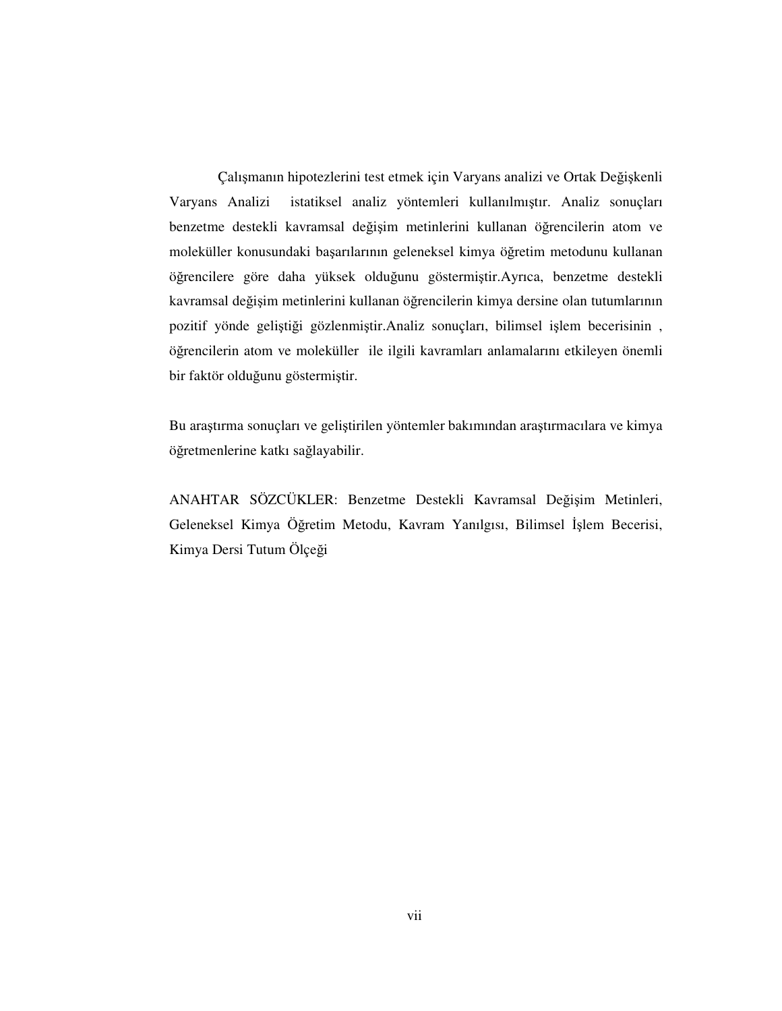Çalışmanın hipotezlerini test etmek için Varyans analizi ve Ortak Değişkenli Varyans Analizi istatiksel analiz yöntemleri kullanılmıştır. Analiz sonuçları benzetme destekli kavramsal değişim metinlerini kullanan öğrencilerin atom ve moleküller konusundaki başarılarının geleneksel kimya öğretim metodunu kullanan öğrencilere göre daha yüksek olduğunu göstermiştir.Ayrıca, benzetme destekli kavramsal değişim metinlerini kullanan öğrencilerin kimya dersine olan tutumlarının pozitif yönde geliştiği gözlenmiştir.Analiz sonuçları, bilimsel işlem becerisinin , öğrencilerin atom ve moleküller ile ilgili kavramları anlamalarını etkileyen önemli bir faktör olduğunu göstermiştir.

Bu araştırma sonuçları ve geliştirilen yöntemler bakımından araştırmacılara ve kimya öğretmenlerine katkı sağlayabilir.

ANAHTAR SÖZCÜKLER: Benzetme Destekli Kavramsal Değişim Metinleri, Geleneksel Kimya Öğretim Metodu, Kavram Yanılgısı, Bilimsel İşlem Becerisi, Kimya Dersi Tutum Ölçeği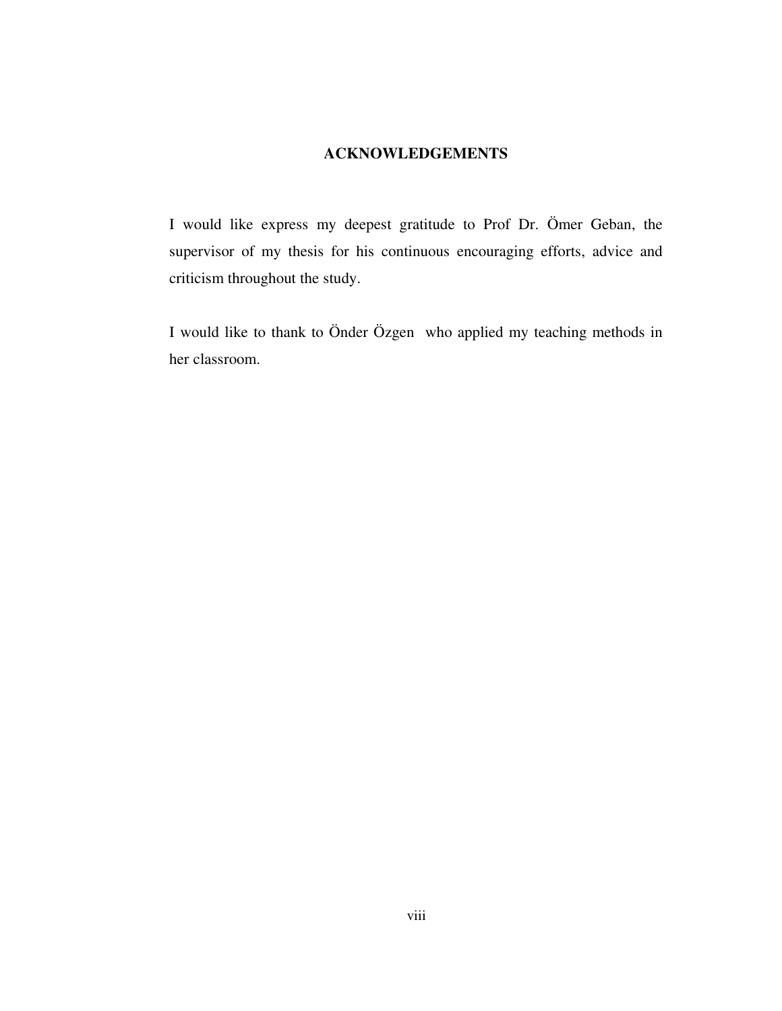## **ACKNOWLEDGEMENTS**

I would like express my deepest gratitude to Prof Dr. Ömer Geban, the supervisor of my thesis for his continuous encouraging efforts, advice and criticism throughout the study.

I would like to thank to Önder Özgen who applied my teaching methods in her classroom.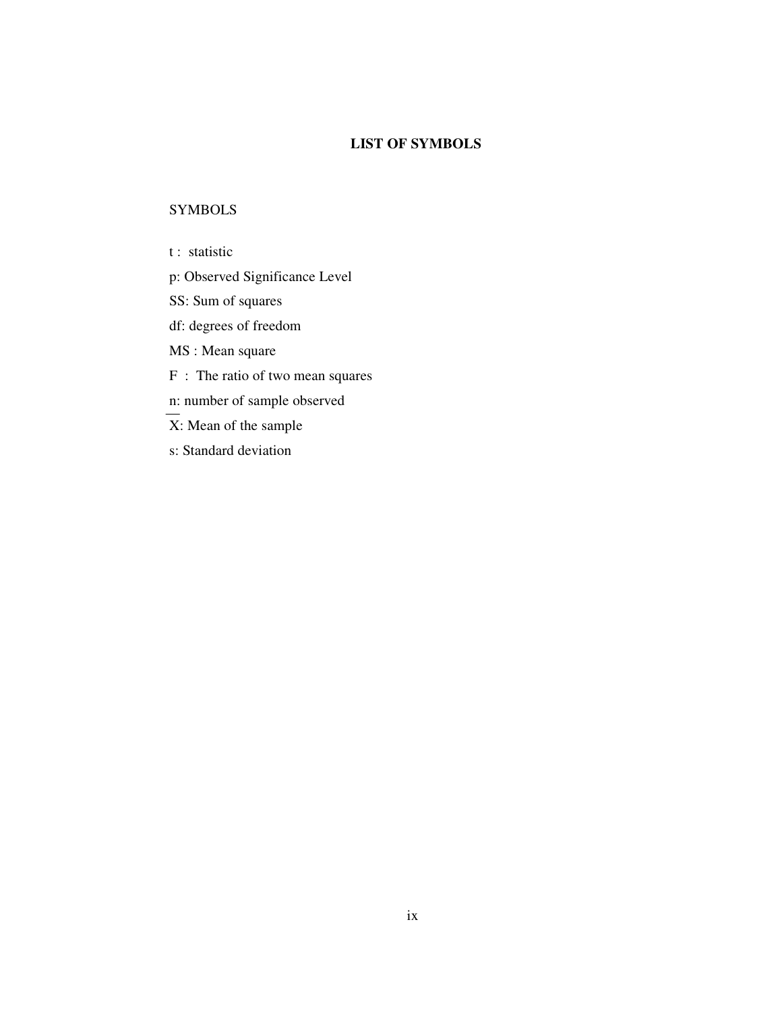# **LIST OF SYMBOLS**

### **SYMBOLS**

t : statistic

- p: Observed Significance Level
- SS: Sum of squares
- df: degrees of freedom
- MS : Mean square
- F : The ratio of two mean squares
- n: number of sample observed
- $\overline{X}$ : Mean of the sample
- s: Standard deviation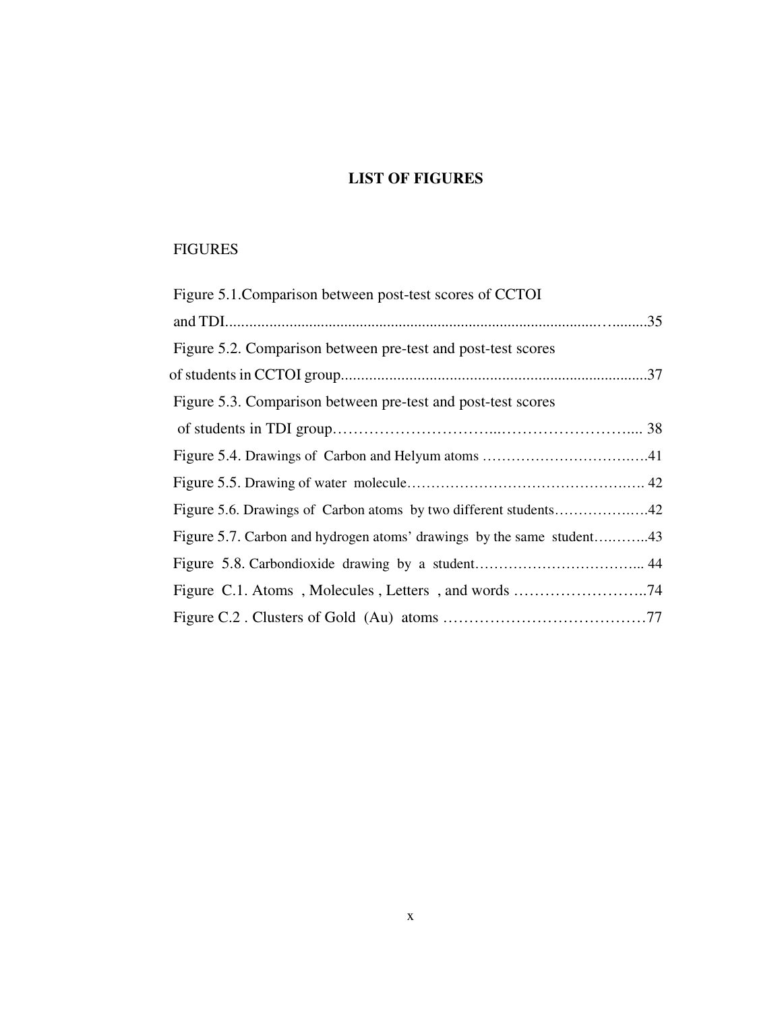# **LIST OF FIGURES**

# FIGURES

| Figure 5.1. Comparison between post-test scores of CCTOI              |  |
|-----------------------------------------------------------------------|--|
|                                                                       |  |
| Figure 5.2. Comparison between pre-test and post-test scores          |  |
|                                                                       |  |
| Figure 5.3. Comparison between pre-test and post-test scores          |  |
|                                                                       |  |
|                                                                       |  |
|                                                                       |  |
|                                                                       |  |
| Figure 5.7. Carbon and hydrogen atoms' drawings by the same student43 |  |
|                                                                       |  |
|                                                                       |  |
|                                                                       |  |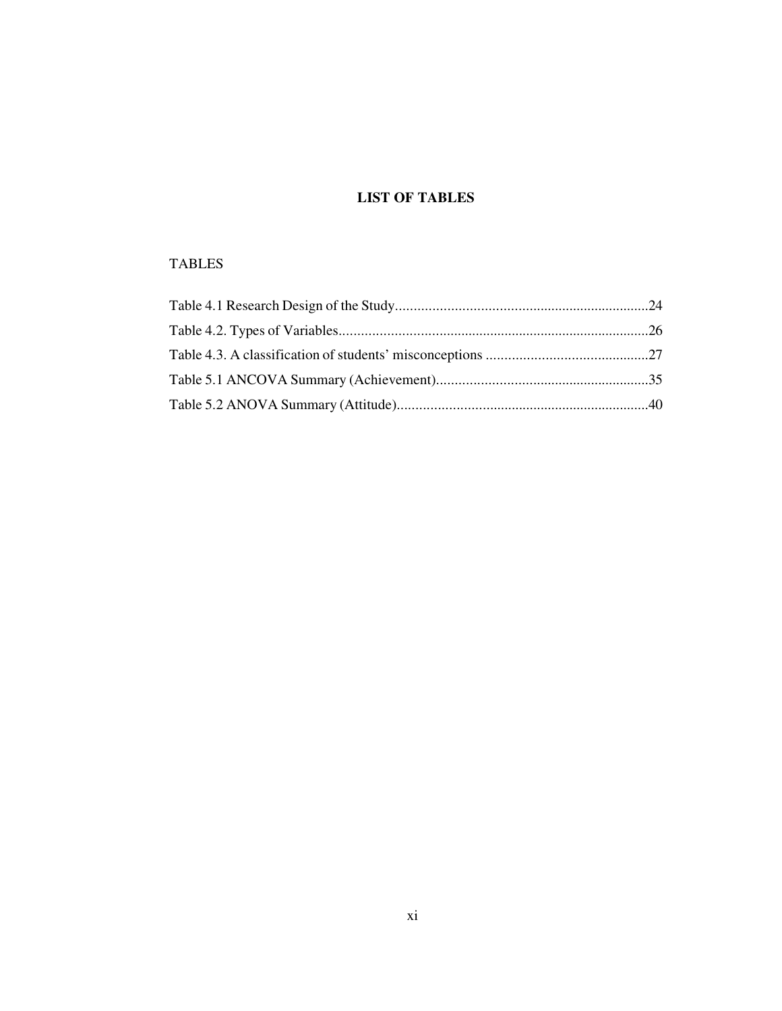# **LIST OF TABLES**

# TABLES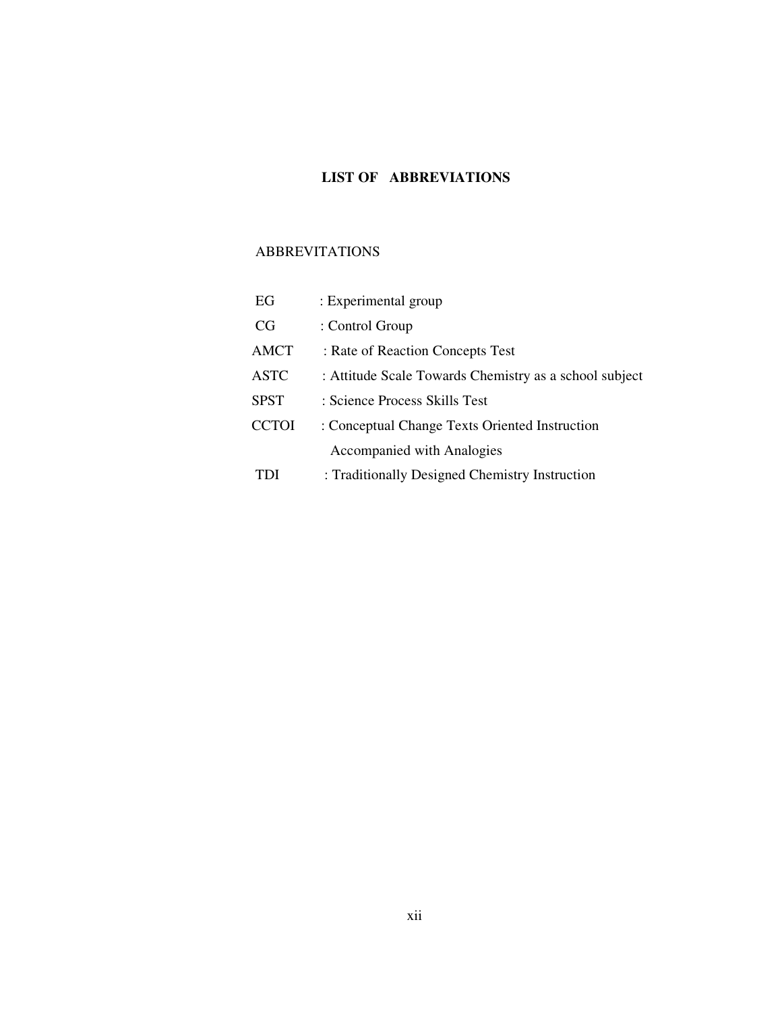## **LIST OF ABBREVIATIONS**

## ABBREVITATIONS

| EG           | : Experimental group                                   |
|--------------|--------------------------------------------------------|
| CG           | : Control Group                                        |
| <b>AMCT</b>  | : Rate of Reaction Concepts Test                       |
| <b>ASTC</b>  | : Attitude Scale Towards Chemistry as a school subject |
| <b>SPST</b>  | : Science Process Skills Test                          |
| <b>CCTOI</b> | : Conceptual Change Texts Oriented Instruction         |
|              | Accompanied with Analogies                             |
| TDI          | : Traditionally Designed Chemistry Instruction         |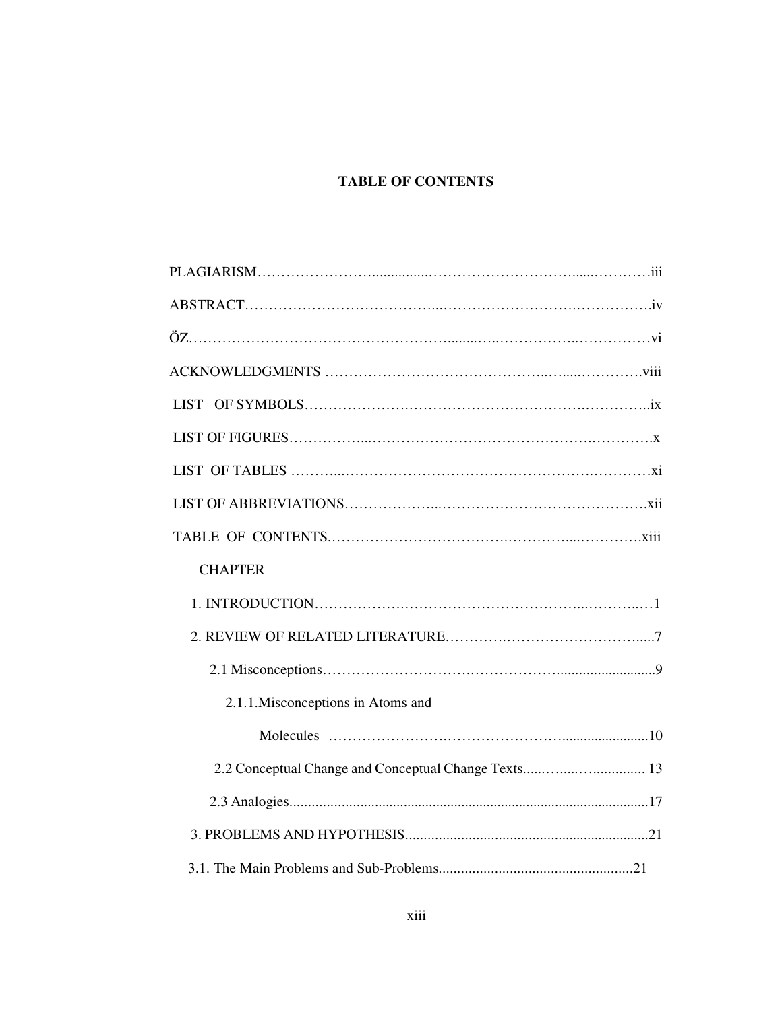# **TABLE OF CONTENTS**

| <b>CHAPTER</b>                     |
|------------------------------------|
|                                    |
|                                    |
|                                    |
| 2.1.1. Misconceptions in Atoms and |
|                                    |
|                                    |
|                                    |
|                                    |
|                                    |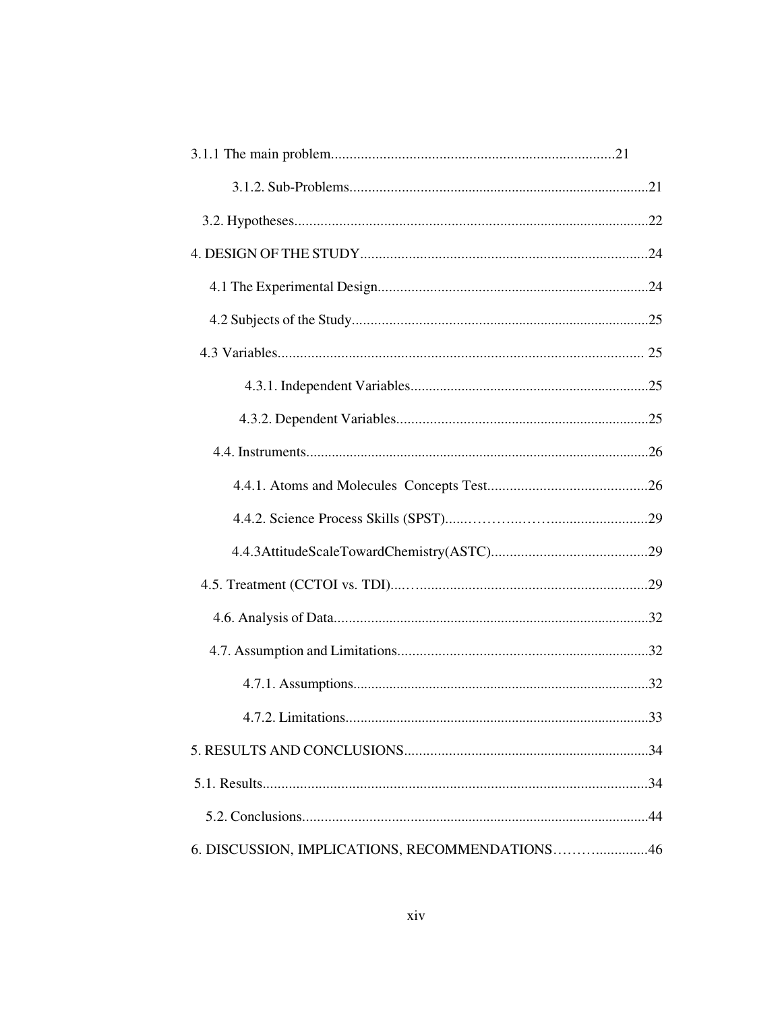|                                                | 33 |
|------------------------------------------------|----|
|                                                |    |
|                                                |    |
|                                                |    |
| 6. DISCUSSION, IMPLICATIONS, RECOMMENDATIONS46 |    |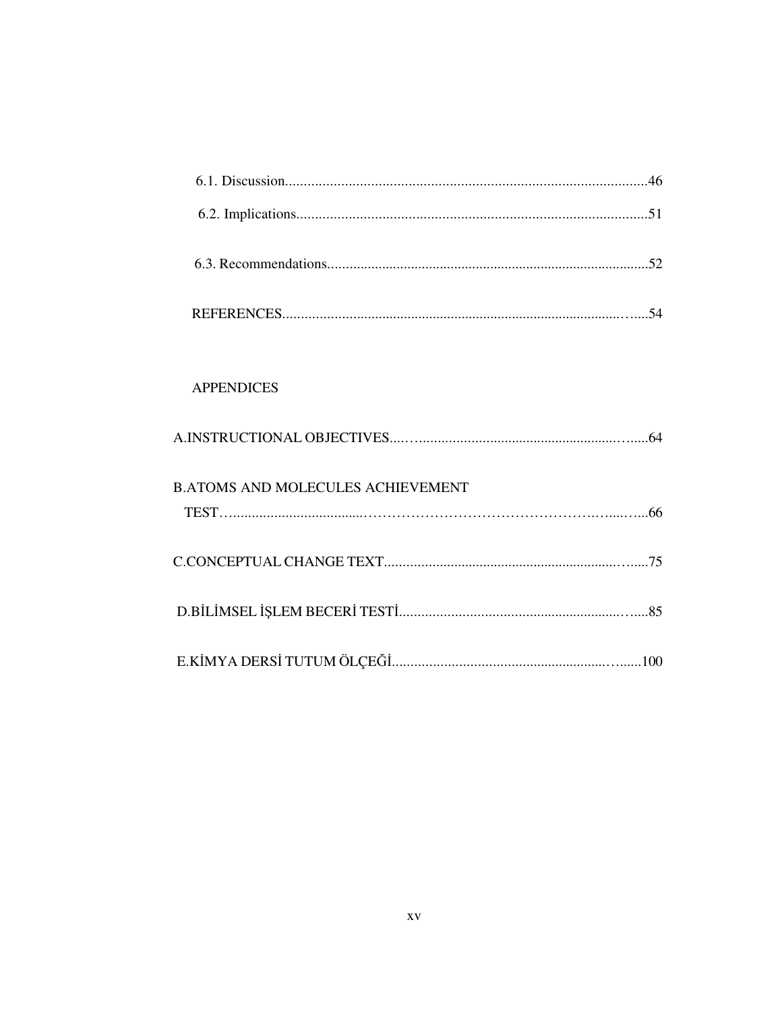| <b>APPENDICES</b>                        |
|------------------------------------------|
|                                          |
| <b>B.ATOMS AND MOLECULES ACHIEVEMENT</b> |
|                                          |
|                                          |
|                                          |
|                                          |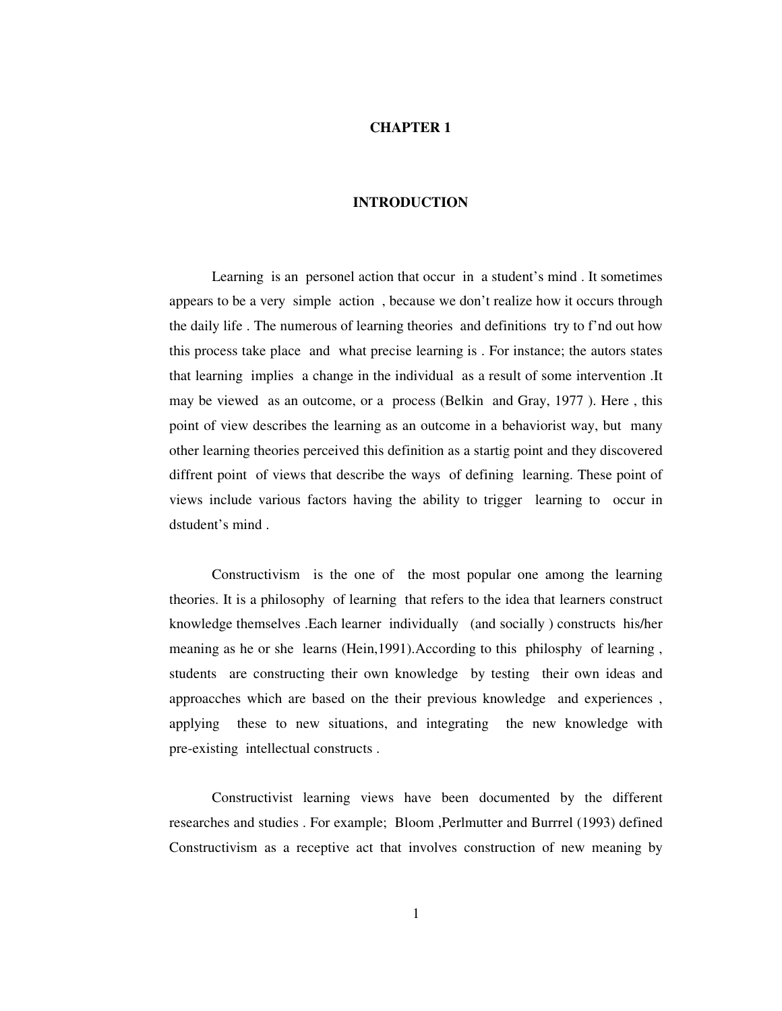#### **CHAPTER 1**

#### **INTRODUCTION**

Learning is an personel action that occur in a student's mind . It sometimes appears to be a very simple action , because we don't realize how it occurs through the daily life . The numerous of learning theories and definitions try to f'nd out how this process take place and what precise learning is . For instance; the autors states that learning implies a change in the individual as a result of some intervention .It may be viewed as an outcome, or a process (Belkin and Gray, 1977 ). Here , this point of view describes the learning as an outcome in a behaviorist way, but many other learning theories perceived this definition as a startig point and they discovered diffrent point of views that describe the ways of defining learning. These point of views include various factors having the ability to trigger learning to occur in dstudent's mind .

Constructivism is the one of the most popular one among the learning theories. It is a philosophy of learning that refers to the idea that learners construct knowledge themselves .Each learner individually (and socially ) constructs his/her meaning as he or she learns (Hein,1991).According to this philosphy of learning , students are constructing their own knowledge by testing their own ideas and approacches which are based on the their previous knowledge and experiences , applying these to new situations, and integrating the new knowledge with pre-existing intellectual constructs .

Constructivist learning views have been documented by the different researches and studies . For example; Bloom ,Perlmutter and Burrrel (1993) defined Constructivism as a receptive act that involves construction of new meaning by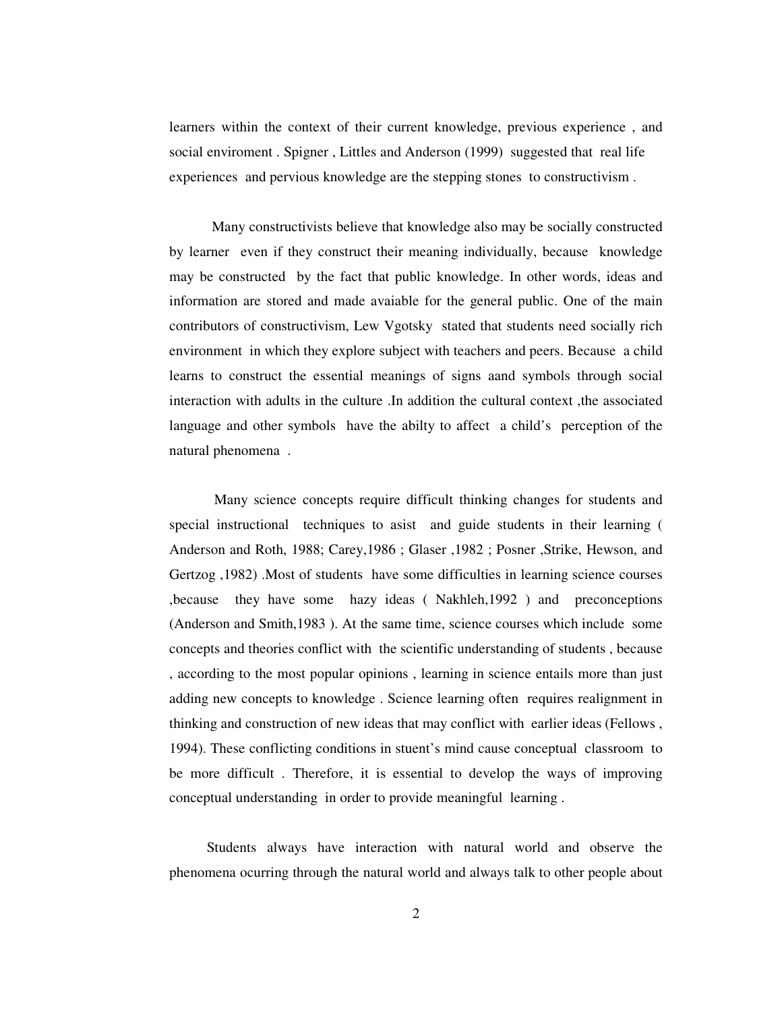learners within the context of their current knowledge, previous experience , and social enviroment . Spigner , Littles and Anderson (1999) suggested that real life experiences and pervious knowledge are the stepping stones to constructivism .

Many constructivists believe that knowledge also may be socially constructed by learner even if they construct their meaning individually, because knowledge may be constructed by the fact that public knowledge. In other words, ideas and information are stored and made avaiable for the general public. One of the main contributors of constructivism, Lew Vgotsky stated that students need socially rich environment in which they explore subject with teachers and peers. Because a child learns to construct the essential meanings of signs aand symbols through social interaction with adults in the culture .In addition the cultural context ,the associated language and other symbols have the abilty to affect a child's perception of the natural phenomena .

 Many science concepts require difficult thinking changes for students and special instructional techniques to asist and guide students in their learning ( Anderson and Roth, 1988; Carey,1986 ; Glaser ,1982 ; Posner ,Strike, Hewson, and Gertzog ,1982) .Most of students have some difficulties in learning science courses ,because they have some hazy ideas ( Nakhleh,1992 ) and preconceptions (Anderson and Smith,1983 ). At the same time, science courses which include some concepts and theories conflict with the scientific understanding of students , because , according to the most popular opinions , learning in science entails more than just adding new concepts to knowledge . Science learning often requires realignment in thinking and construction of new ideas that may conflict with earlier ideas (Fellows , 1994). These conflicting conditions in stuent's mind cause conceptual classroom to be more difficult . Therefore, it is essential to develop the ways of improving conceptual understanding in order to provide meaningful learning .

 Students always have interaction with natural world and observe the phenomena ocurring through the natural world and always talk to other people about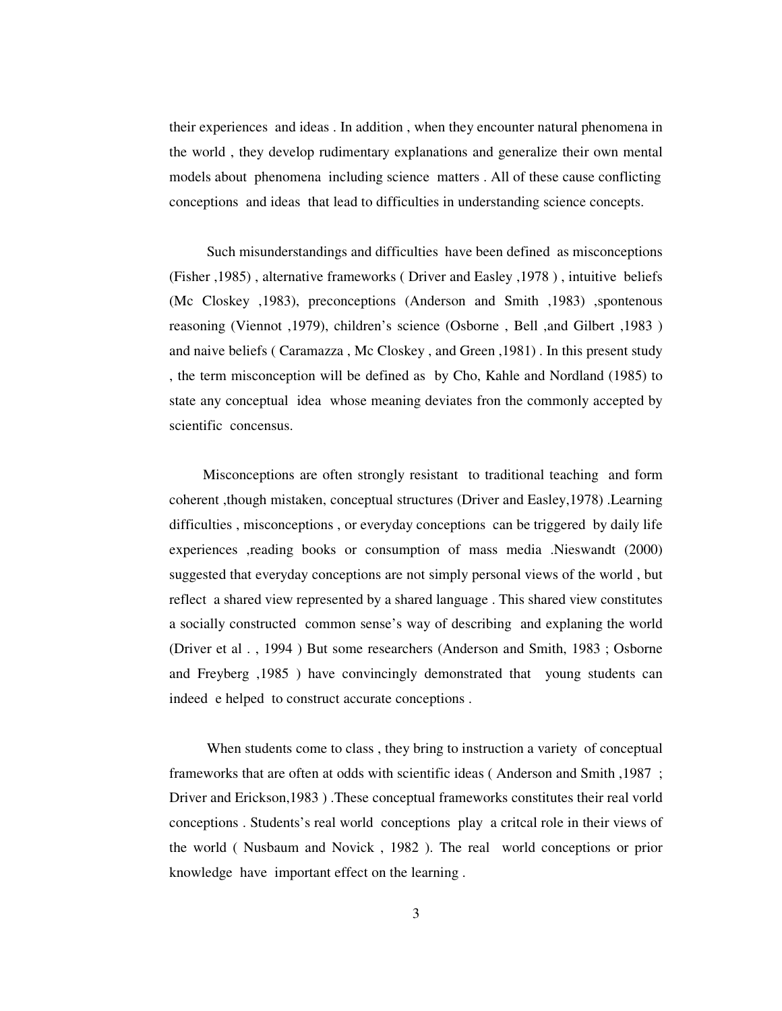their experiences and ideas . In addition , when they encounter natural phenomena in the world , they develop rudimentary explanations and generalize their own mental models about phenomena including science matters . All of these cause conflicting conceptions and ideas that lead to difficulties in understanding science concepts.

Such misunderstandings and difficulties have been defined as misconceptions (Fisher , 1985), alternative frameworks ( Driver and Easley, 1978), intuitive beliefs (Mc Closkey ,1983), preconceptions (Anderson and Smith ,1983) ,spontenous reasoning (Viennot ,1979), children's science (Osborne , Bell ,and Gilbert ,1983 ) and naive beliefs ( Caramazza , Mc Closkey , and Green ,1981) . In this present study , the term misconception will be defined as by Cho, Kahle and Nordland (1985) to state any conceptual idea whose meaning deviates fron the commonly accepted by scientific concensus.

 Misconceptions are often strongly resistant to traditional teaching and form coherent ,though mistaken, conceptual structures (Driver and Easley,1978) .Learning difficulties , misconceptions , or everyday conceptions can be triggered by daily life experiences ,reading books or consumption of mass media .Nieswandt (2000) suggested that everyday conceptions are not simply personal views of the world , but reflect a shared view represented by a shared language . This shared view constitutes a socially constructed common sense's way of describing and explaning the world (Driver et al . , 1994 ) But some researchers (Anderson and Smith, 1983 ; Osborne and Freyberg ,1985 ) have convincingly demonstrated that young students can indeed e helped to construct accurate conceptions .

 When students come to class , they bring to instruction a variety of conceptual frameworks that are often at odds with scientific ideas ( Anderson and Smith ,1987 ; Driver and Erickson,1983 ) .These conceptual frameworks constitutes their real vorld conceptions . Students's real world conceptions play a critcal role in their views of the world ( Nusbaum and Novick , 1982 ). The real world conceptions or prior knowledge have important effect on the learning .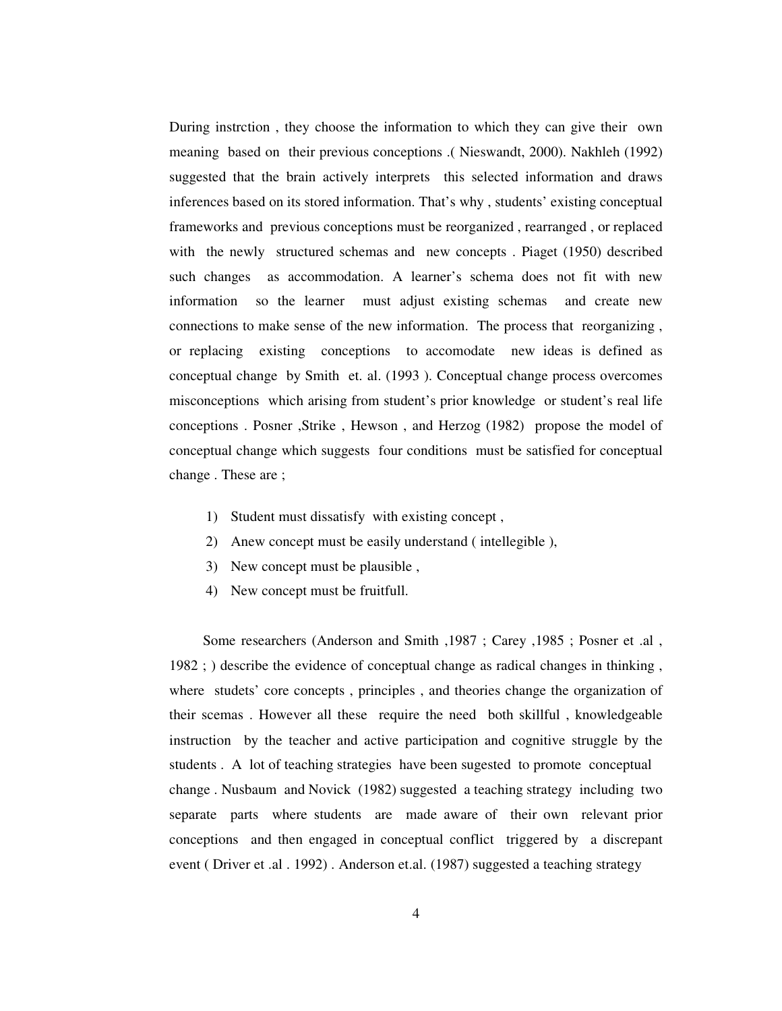During instrction , they choose the information to which they can give their own meaning based on their previous conceptions .( Nieswandt, 2000). Nakhleh (1992) suggested that the brain actively interprets this selected information and draws inferences based on its stored information. That's why , students' existing conceptual frameworks and previous conceptions must be reorganized , rearranged , or replaced with the newly structured schemas and new concepts . Piaget (1950) described such changes as accommodation. A learner's schema does not fit with new information so the learner must adjust existing schemas and create new connections to make sense of the new information. The process that reorganizing , or replacing existing conceptions to accomodate new ideas is defined as conceptual change by Smith et. al. (1993 ). Conceptual change process overcomes misconceptions which arising from student's prior knowledge or student's real life conceptions . Posner ,Strike , Hewson , and Herzog (1982) propose the model of conceptual change which suggests four conditions must be satisfied for conceptual change . These are ;

- 1) Student must dissatisfy with existing concept ,
- 2) Anew concept must be easily understand ( intellegible ),
- 3) New concept must be plausible ,
- 4) New concept must be fruitfull.

Some researchers (Anderson and Smith ,1987 ; Carey ,1985 ; Posner et .al , 1982 ; ) describe the evidence of conceptual change as radical changes in thinking , where studets' core concepts , principles , and theories change the organization of their scemas . However all these require the need both skillful , knowledgeable instruction by the teacher and active participation and cognitive struggle by the students . A lot of teaching strategies have been sugested to promote conceptual change . Nusbaum and Novick (1982) suggested a teaching strategy including two separate parts where students are made aware of their own relevant prior conceptions and then engaged in conceptual conflict triggered by a discrepant event ( Driver et .al . 1992) . Anderson et.al. (1987) suggested a teaching strategy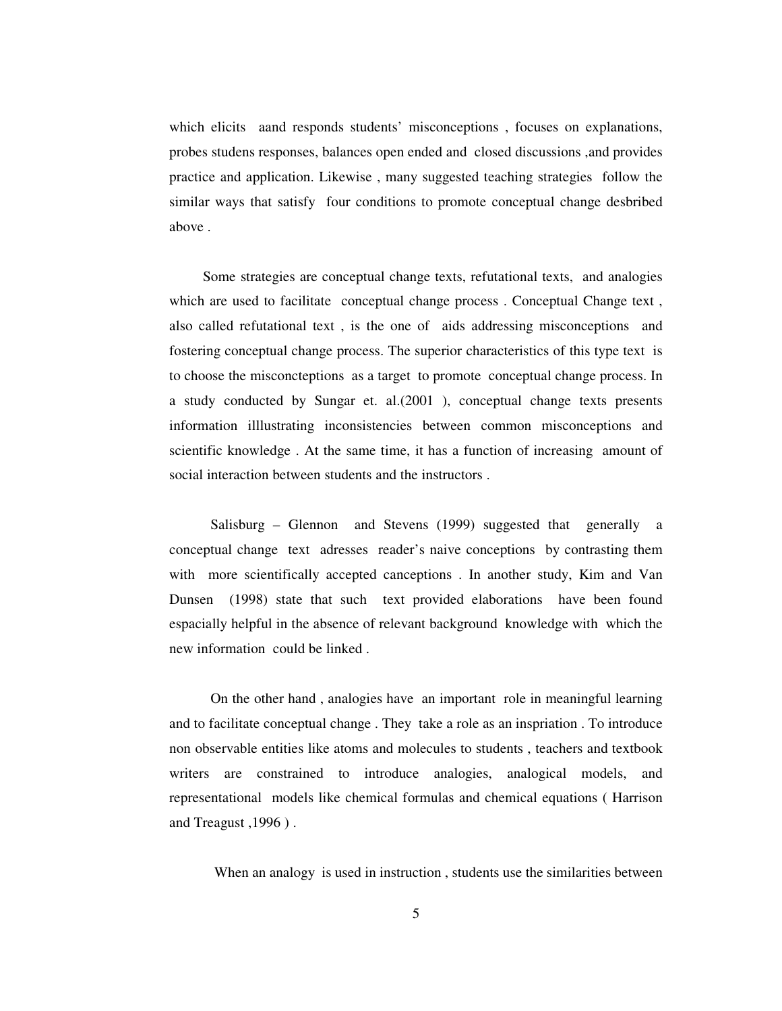which elicits aand responds students' misconceptions , focuses on explanations, probes studens responses, balances open ended and closed discussions ,and provides practice and application. Likewise , many suggested teaching strategies follow the similar ways that satisfy four conditions to promote conceptual change desbribed above .

Some strategies are conceptual change texts, refutational texts, and analogies which are used to facilitate conceptual change process . Conceptual Change text , also called refutational text , is the one of aids addressing misconceptions and fostering conceptual change process. The superior characteristics of this type text is to choose the misconcteptions as a target to promote conceptual change process. In a study conducted by Sungar et. al.(2001 ), conceptual change texts presents information illlustrating inconsistencies between common misconceptions and scientific knowledge . At the same time, it has a function of increasing amount of social interaction between students and the instructors .

 Salisburg – Glennon and Stevens (1999) suggested that generally a conceptual change text adresses reader's naive conceptions by contrasting them with more scientifically accepted canceptions . In another study, Kim and Van Dunsen (1998) state that such text provided elaborations have been found espacially helpful in the absence of relevant background knowledge with which the new information could be linked .

 On the other hand , analogies have an important role in meaningful learning and to facilitate conceptual change . They take a role as an inspriation . To introduce non observable entities like atoms and molecules to students , teachers and textbook writers are constrained to introduce analogies, analogical models, and representational models like chemical formulas and chemical equations ( Harrison and Treagust ,1996 ) .

When an analogy is used in instruction, students use the similarities between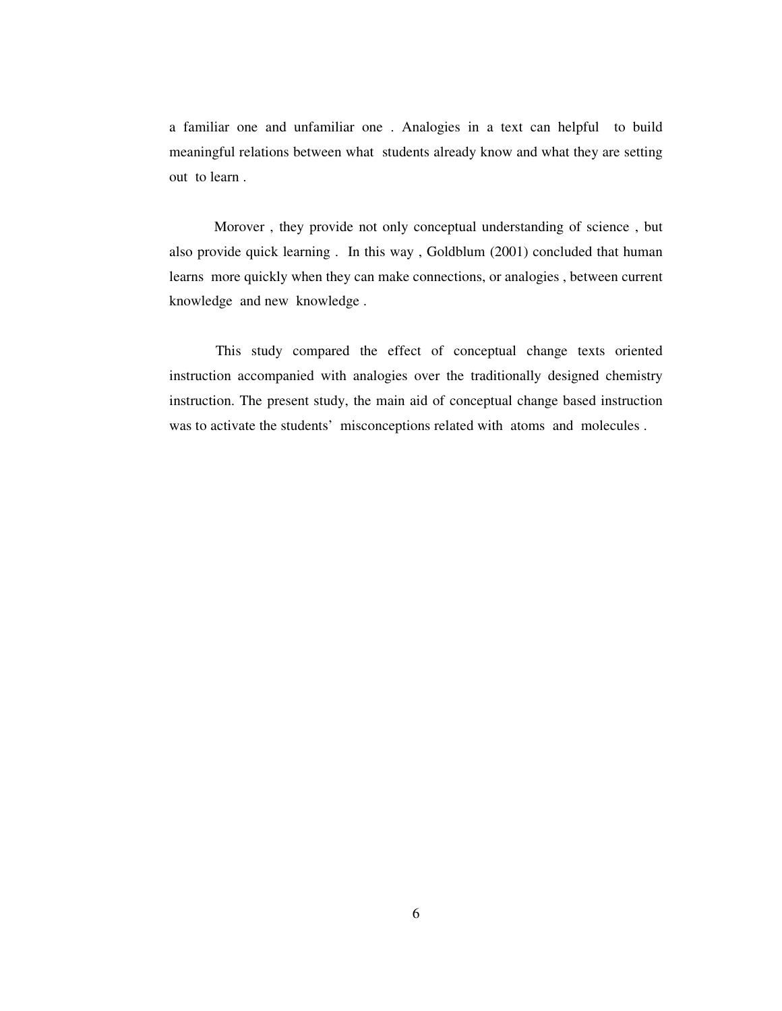a familiar one and unfamiliar one . Analogies in a text can helpful to build meaningful relations between what students already know and what they are setting out to learn .

 Morover , they provide not only conceptual understanding of science , but also provide quick learning . In this way , Goldblum (2001) concluded that human learns more quickly when they can make connections, or analogies , between current knowledge and new knowledge .

 This study compared the effect of conceptual change texts oriented instruction accompanied with analogies over the traditionally designed chemistry instruction. The present study, the main aid of conceptual change based instruction was to activate the students' misconceptions related with atoms and molecules .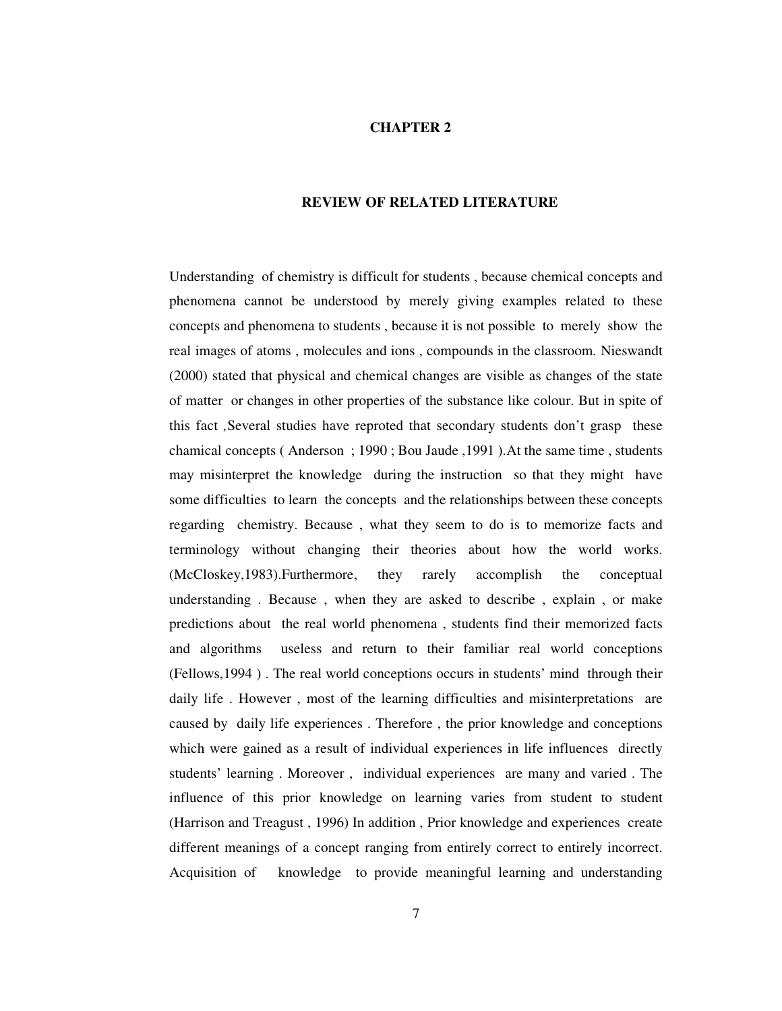#### **CHAPTER 2**

#### **REVIEW OF RELATED LITERATURE**

Understanding of chemistry is difficult for students , because chemical concepts and phenomena cannot be understood by merely giving examples related to these concepts and phenomena to students , because it is not possible to merely show the real images of atoms , molecules and ions , compounds in the classroom*.* Nieswandt (2000) stated that physical and chemical changes are visible as changes of the state of matter or changes in other properties of the substance like colour. But in spite of this fact *,*Several studies have reproted that secondary students don't grasp these chamical concepts ( Anderson ; 1990 ; Bou Jaude ,1991 ).At the same time , students may misinterpret the knowledge during the instruction so that they might have some difficulties to learn the concepts and the relationships between these concepts regarding chemistry. Because , what they seem to do is to memorize facts and terminology without changing their theories about how the world works. (McCloskey,1983).Furthermore, they rarely accomplish the conceptual understanding . Because , when they are asked to describe , explain , or make predictions about the real world phenomena , students find their memorized facts and algorithms useless and return to their familiar real world conceptions (Fellows,1994 ) . The real world conceptions occurs in students' mind through their daily life . However , most of the learning difficulties and misinterpretations are caused by daily life experiences . Therefore , the prior knowledge and conceptions which were gained as a result of individual experiences in life influences directly students' learning . Moreover , individual experiences are many and varied . The influence of this prior knowledge on learning varies from student to student (Harrison and Treagust , 1996) In addition , Prior knowledge and experiences create different meanings of a concept ranging from entirely correct to entirely incorrect. Acquisition of knowledge to provide meaningful learning and understanding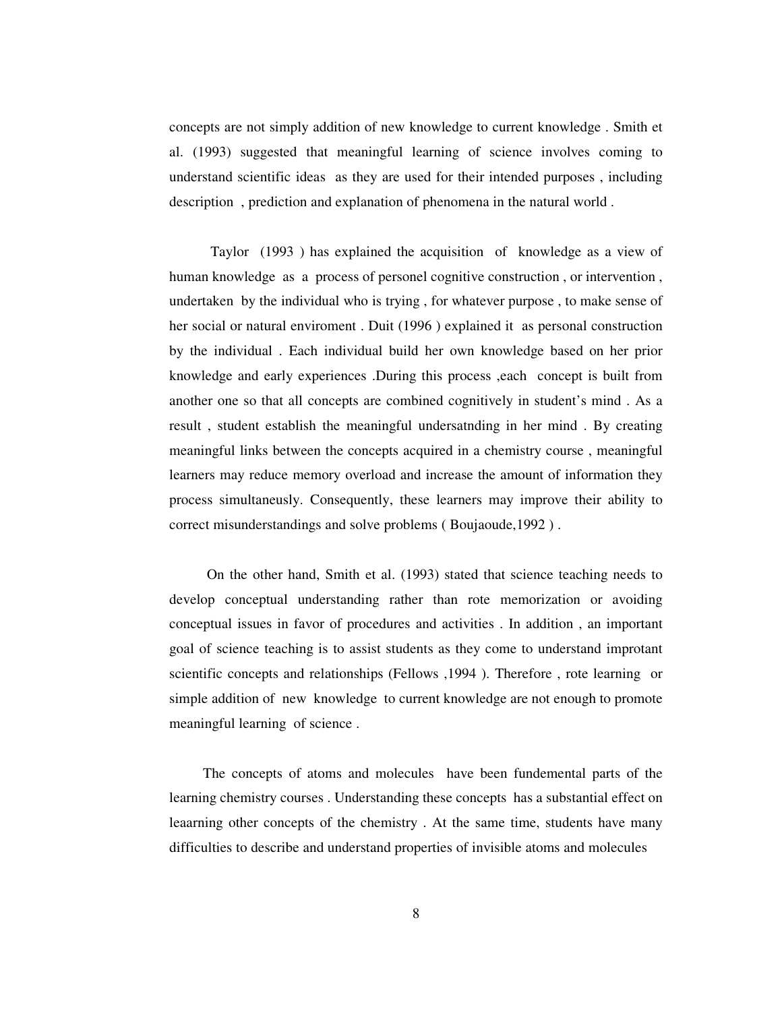concepts are not simply addition of new knowledge to current knowledge . Smith et al. (1993) suggested that meaningful learning of science involves coming to understand scientific ideas as they are used for their intended purposes , including description , prediction and explanation of phenomena in the natural world .

Taylor (1993 ) has explained the acquisition of knowledge as a view of human knowledge as a process of personel cognitive construction , or intervention , undertaken by the individual who is trying , for whatever purpose , to make sense of her social or natural enviroment . Duit (1996 ) explained it as personal construction by the individual . Each individual build her own knowledge based on her prior knowledge and early experiences .During this process ,each concept is built from another one so that all concepts are combined cognitively in student's mind . As a result , student establish the meaningful undersatnding in her mind . By creating meaningful links between the concepts acquired in a chemistry course , meaningful learners may reduce memory overload and increase the amount of information they process simultaneusly. Consequently, these learners may improve their ability to correct misunderstandings and solve problems ( Boujaoude,1992 ) .

 On the other hand, Smith et al. (1993) stated that science teaching needs to develop conceptual understanding rather than rote memorization or avoiding conceptual issues in favor of procedures and activities . In addition , an important goal of science teaching is to assist students as they come to understand improtant scientific concepts and relationships (Fellows ,1994 ). Therefore , rote learning or simple addition of new knowledge to current knowledge are not enough to promote meaningful learning of science .

 The concepts of atoms and molecules have been fundemental parts of the learning chemistry courses . Understanding these concepts has a substantial effect on leaarning other concepts of the chemistry . At the same time, students have many difficulties to describe and understand properties of invisible atoms and molecules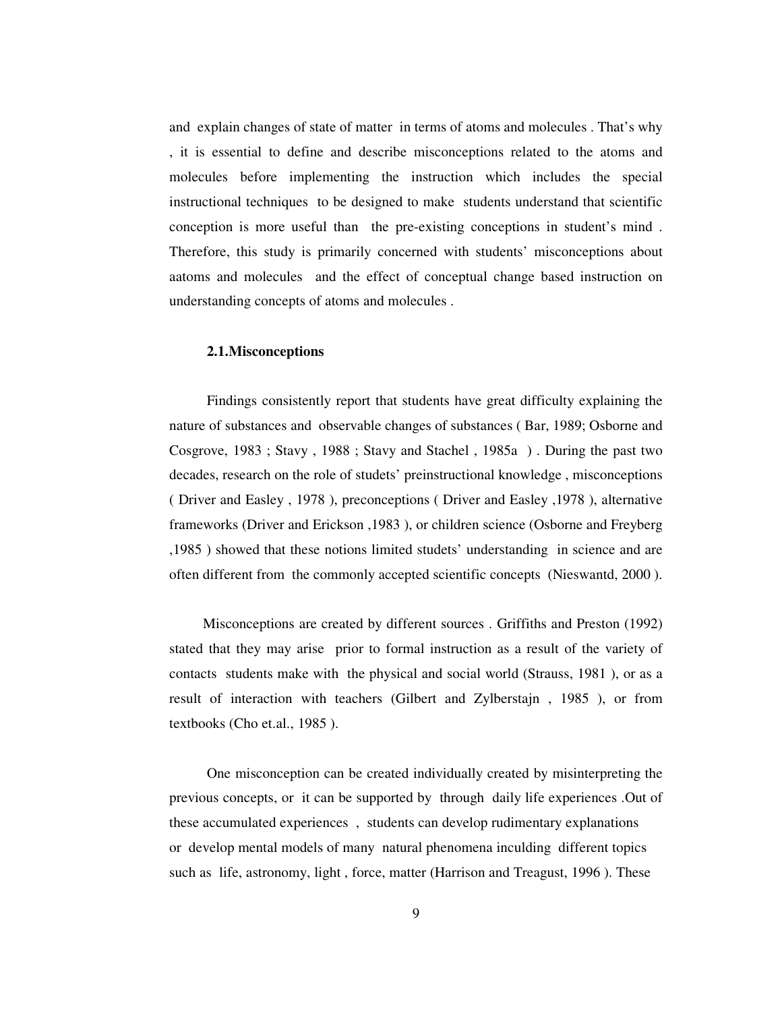and explain changes of state of matter in terms of atoms and molecules . That's why , it is essential to define and describe misconceptions related to the atoms and molecules before implementing the instruction which includes the special instructional techniques to be designed to make students understand that scientific conception is more useful than the pre-existing conceptions in student's mind . Therefore, this study is primarily concerned with students' misconceptions about aatoms and molecules and the effect of conceptual change based instruction on understanding concepts of atoms and molecules .

#### **2.1.Misconceptions**

 Findings consistently report that students have great difficulty explaining the nature of substances and observable changes of substances ( Bar, 1989; Osborne and Cosgrove, 1983 ; Stavy , 1988 ; Stavy and Stachel , 1985a ) . During the past two decades, research on the role of studets' preinstructional knowledge , misconceptions ( Driver and Easley , 1978 ), preconceptions ( Driver and Easley ,1978 ), alternative frameworks (Driver and Erickson ,1983 ), or children science (Osborne and Freyberg ,1985 ) showed that these notions limited studets' understanding in science and are often different from the commonly accepted scientific concepts (Nieswantd, 2000 ).

 Misconceptions are created by different sources . Griffiths and Preston (1992) stated that they may arise prior to formal instruction as a result of the variety of contacts students make with the physical and social world (Strauss, 1981 ), or as a result of interaction with teachers (Gilbert and Zylberstajn , 1985 ), or from textbooks (Cho et.al., 1985 ).

 One misconception can be created individually created by misinterpreting the previous concepts, or it can be supported by through daily life experiences .Out of these accumulated experiences , students can develop rudimentary explanations or develop mental models of many natural phenomena inculding different topics such as life, astronomy, light , force, matter (Harrison and Treagust, 1996 ). These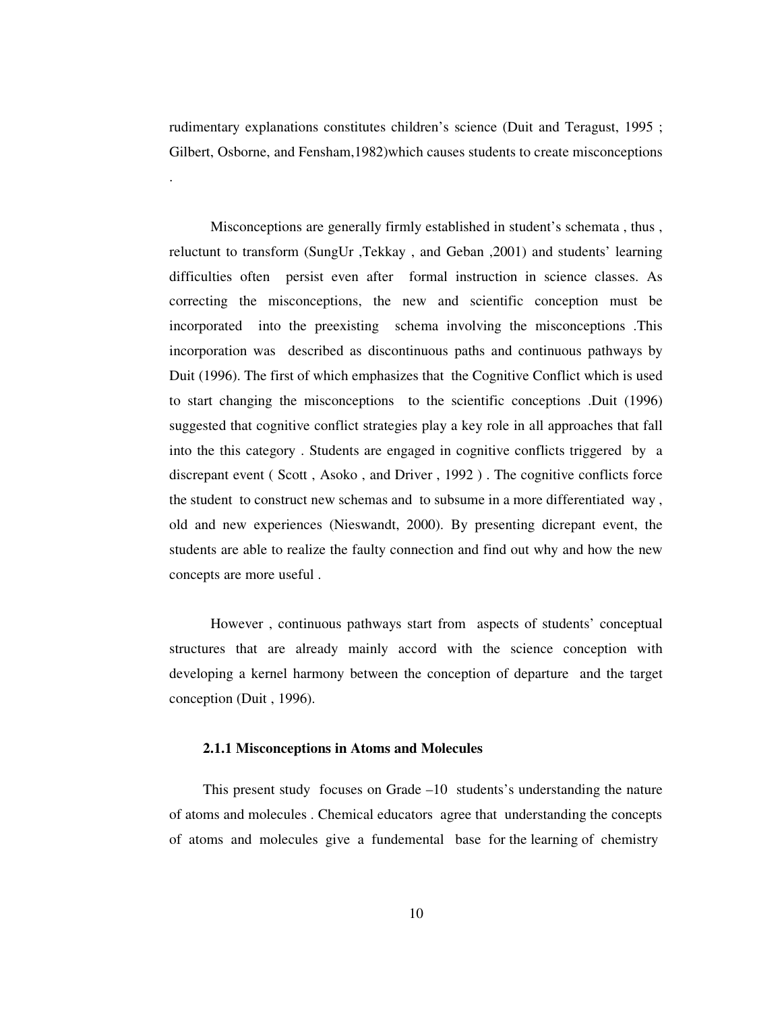rudimentary explanations constitutes children's science (Duit and Teragust, 1995 ; Gilbert, Osborne, and Fensham,1982)which causes students to create misconceptions

.

 Misconceptions are generally firmly established in student's schemata , thus , reluctunt to transform (SungUr ,Tekkay , and Geban ,2001) and students' learning difficulties often persist even after formal instruction in science classes. As correcting the misconceptions, the new and scientific conception must be incorporated into the preexisting schema involving the misconceptions .This incorporation was described as discontinuous paths and continuous pathways by Duit (1996). The first of which emphasizes that the Cognitive Conflict which is used to start changing the misconceptions to the scientific conceptions .Duit (1996) suggested that cognitive conflict strategies play a key role in all approaches that fall into the this category . Students are engaged in cognitive conflicts triggered by a discrepant event ( Scott , Asoko , and Driver , 1992 ) . The cognitive conflicts force the student to construct new schemas and to subsume in a more differentiated way , old and new experiences (Nieswandt, 2000). By presenting dicrepant event, the students are able to realize the faulty connection and find out why and how the new concepts are more useful .

 However , continuous pathways start from aspects of students' conceptual structures that are already mainly accord with the science conception with developing a kernel harmony between the conception of departure and the target conception (Duit , 1996).

#### **2.1.1 Misconceptions in Atoms and Molecules**

 This present study focuses on Grade –10 students's understanding the nature of atoms and molecules . Chemical educators agree that understanding the concepts of atoms and molecules give a fundemental base for the learning of chemistry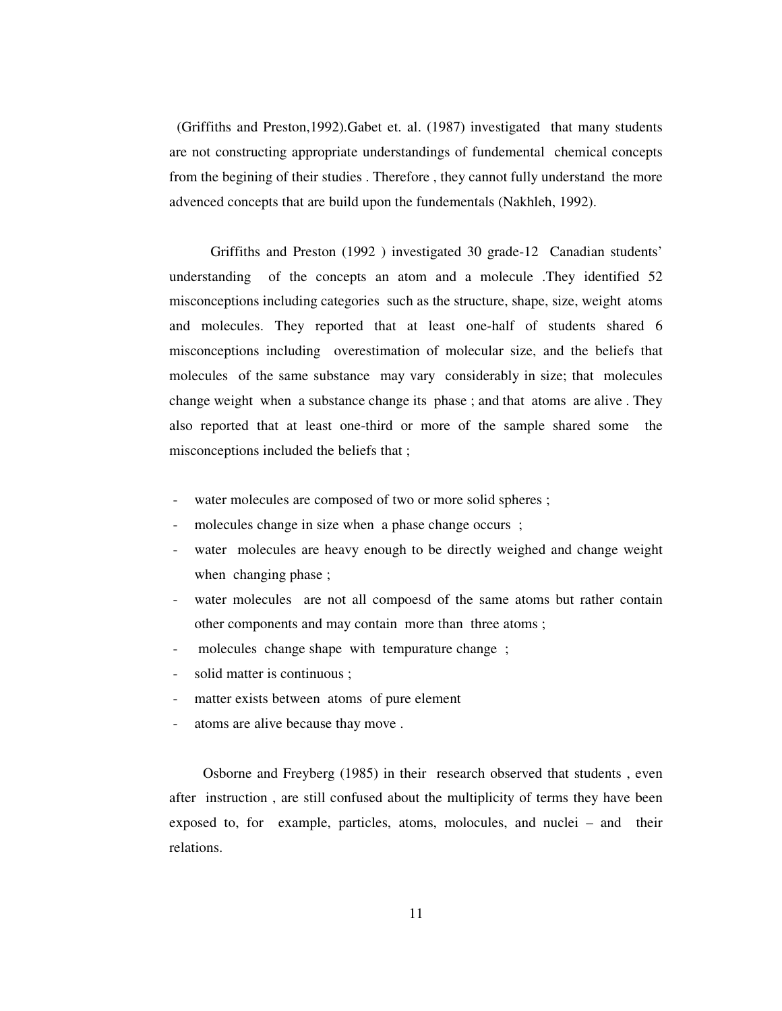(Griffiths and Preston,1992).Gabet et. al. (1987) investigated that many students are not constructing appropriate understandings of fundemental chemical concepts from the begining of their studies . Therefore , they cannot fully understand the more advenced concepts that are build upon the fundementals (Nakhleh, 1992).

 Griffiths and Preston (1992 ) investigated 30 grade-12 Canadian students' understanding of the concepts an atom and a molecule .They identified 52 misconceptions including categories such as the structure, shape, size, weight atoms and molecules. They reported that at least one-half of students shared 6 misconceptions including overestimation of molecular size, and the beliefs that molecules of the same substance may vary considerably in size; that molecules change weight when a substance change its phase ; and that atoms are alive . They also reported that at least one-third or more of the sample shared some the misconceptions included the beliefs that ;

- water molecules are composed of two or more solid spheres ;
- molecules change in size when a phase change occurs;
- water molecules are heavy enough to be directly weighed and change weight when changing phase ;
- water molecules are not all compoesd of the same atoms but rather contain other components and may contain more than three atoms ;
- molecules change shape with tempurature change;
- solid matter is continuous ;
- matter exists between atoms of pure element
- atoms are alive because thay move.

Osborne and Freyberg (1985) in their research observed that students, even after instruction , are still confused about the multiplicity of terms they have been exposed to, for example, particles, atoms, molocules, and nuclei – and their relations.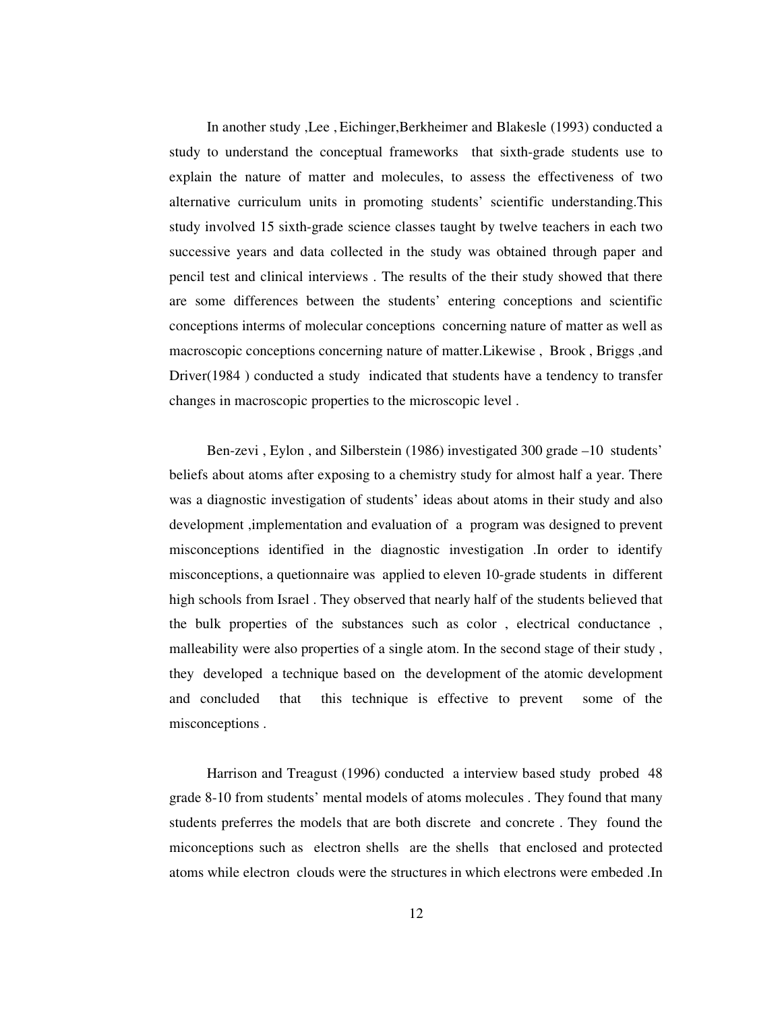In another study ,Lee , Eichinger,Berkheimer and Blakesle (1993) conducted a study to understand the conceptual frameworks that sixth-grade students use to explain the nature of matter and molecules, to assess the effectiveness of two alternative curriculum units in promoting students' scientific understanding.This study involved 15 sixth-grade science classes taught by twelve teachers in each two successive years and data collected in the study was obtained through paper and pencil test and clinical interviews . The results of the their study showed that there are some differences between the students' entering conceptions and scientific conceptions interms of molecular conceptions concerning nature of matter as well as macroscopic conceptions concerning nature of matter.Likewise , Brook , Briggs ,and Driver(1984 ) conducted a study indicated that students have a tendency to transfer changes in macroscopic properties to the microscopic level .

 Ben-zevi , Eylon , and Silberstein (1986) investigated 300 grade –10 students' beliefs about atoms after exposing to a chemistry study for almost half a year. There was a diagnostic investigation of students' ideas about atoms in their study and also development ,implementation and evaluation of a program was designed to prevent misconceptions identified in the diagnostic investigation .In order to identify misconceptions, a quetionnaire was applied to eleven 10-grade students in different high schools from Israel . They observed that nearly half of the students believed that the bulk properties of the substances such as color , electrical conductance , malleability were also properties of a single atom. In the second stage of their study , they developed a technique based on the development of the atomic development and concluded that this technique is effective to prevent some of the misconceptions .

Harrison and Treagust (1996) conducted a interview based study probed 48 grade 8-10 from students' mental models of atoms molecules . They found that many students preferres the models that are both discrete and concrete . They found the miconceptions such as electron shells are the shells that enclosed and protected atoms while electron clouds were the structures in which electrons were embeded .In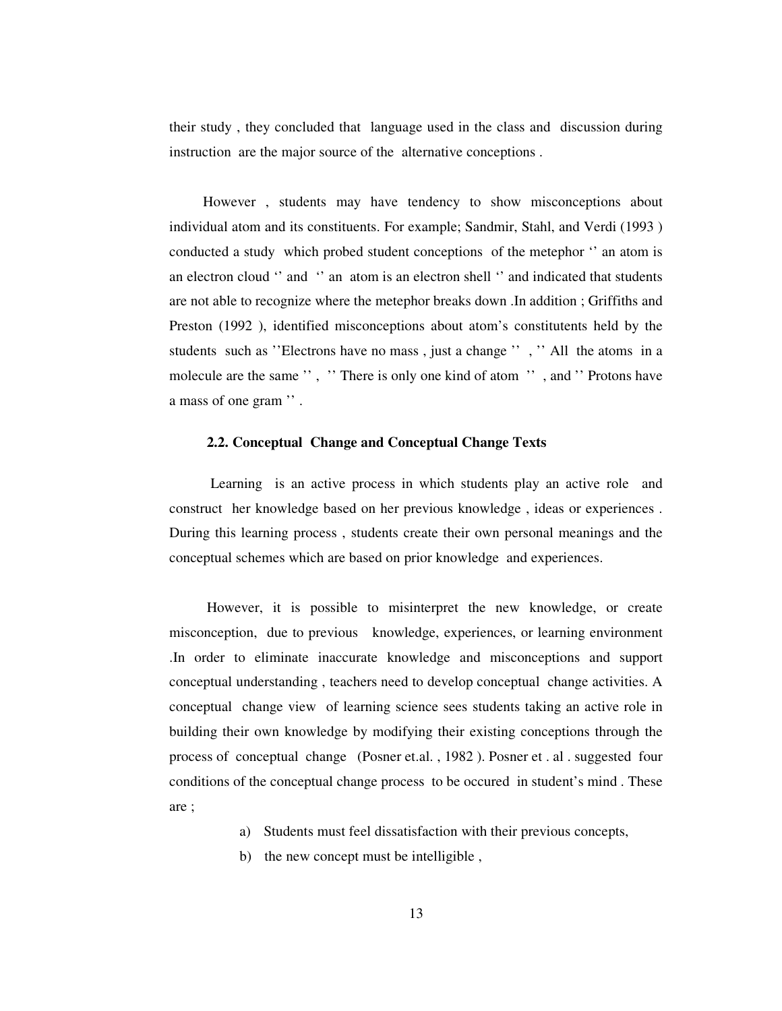their study , they concluded that language used in the class and discussion during instruction are the major source of the alternative conceptions .

 However , students may have tendency to show misconceptions about individual atom and its constituents. For example; Sandmir, Stahl, and Verdi (1993 ) conducted a study which probed student conceptions of the metephor '' an atom is an electron cloud '' and '' an atom is an electron shell '' and indicated that students are not able to recognize where the metephor breaks down .In addition ; Griffiths and Preston (1992 ), identified misconceptions about atom's constitutents held by the students such as "Electrons have no mass, just a change ", ". All the atoms in a molecule are the same ", "There is only one kind of atom ", and " Protons have a mass of one gram '' .

### **2.2. Conceptual Change and Conceptual Change Texts**

Learning is an active process in which students play an active role and construct her knowledge based on her previous knowledge , ideas or experiences . During this learning process , students create their own personal meanings and the conceptual schemes which are based on prior knowledge and experiences.

 However, it is possible to misinterpret the new knowledge, or create misconception, due to previous knowledge, experiences, or learning environment .In order to eliminate inaccurate knowledge and misconceptions and support conceptual understanding , teachers need to develop conceptual change activities. A conceptual change view of learning science sees students taking an active role in building their own knowledge by modifying their existing conceptions through the process of conceptual change (Posner et.al. , 1982 ). Posner et . al . suggested four conditions of the conceptual change process to be occured in student's mind . These are ;

- a) Students must feel dissatisfaction with their previous concepts,
- b) the new concept must be intelligible ,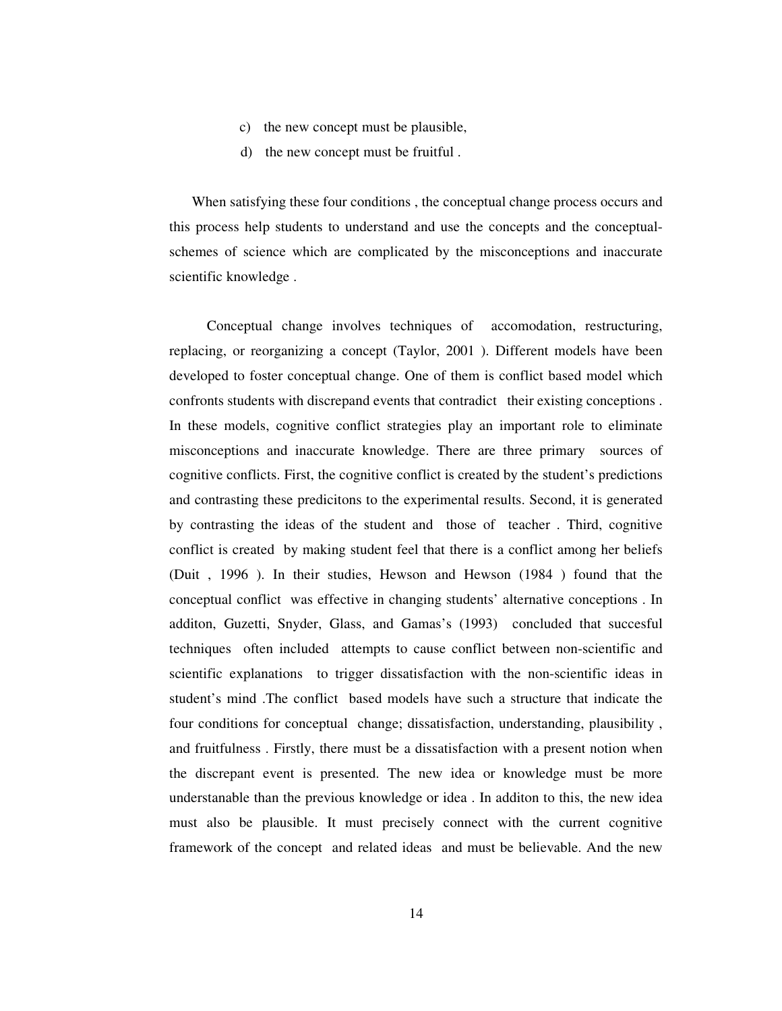- c) the new concept must be plausible,
- d) the new concept must be fruitful .

 When satisfying these four conditions , the conceptual change process occurs and this process help students to understand and use the concepts and the conceptualschemes of science which are complicated by the misconceptions and inaccurate scientific knowledge .

 Conceptual change involves techniques of accomodation, restructuring, replacing, or reorganizing a concept (Taylor, 2001 ). Different models have been developed to foster conceptual change. One of them is conflict based model which confronts students with discrepand events that contradict their existing conceptions . In these models, cognitive conflict strategies play an important role to eliminate misconceptions and inaccurate knowledge. There are three primary sources of cognitive conflicts. First, the cognitive conflict is created by the student's predictions and contrasting these predicitons to the experimental results. Second, it is generated by contrasting the ideas of the student and those of teacher . Third, cognitive conflict is created by making student feel that there is a conflict among her beliefs (Duit , 1996 ). In their studies, Hewson and Hewson (1984 ) found that the conceptual conflict was effective in changing students' alternative conceptions . In additon, Guzetti, Snyder, Glass, and Gamas's (1993) concluded that succesful techniques often included attempts to cause conflict between non-scientific and scientific explanations to trigger dissatisfaction with the non-scientific ideas in student's mind .The conflict based models have such a structure that indicate the four conditions for conceptual change; dissatisfaction, understanding, plausibility , and fruitfulness . Firstly, there must be a dissatisfaction with a present notion when the discrepant event is presented. The new idea or knowledge must be more understanable than the previous knowledge or idea . In additon to this, the new idea must also be plausible. It must precisely connect with the current cognitive framework of the concept and related ideas and must be believable. And the new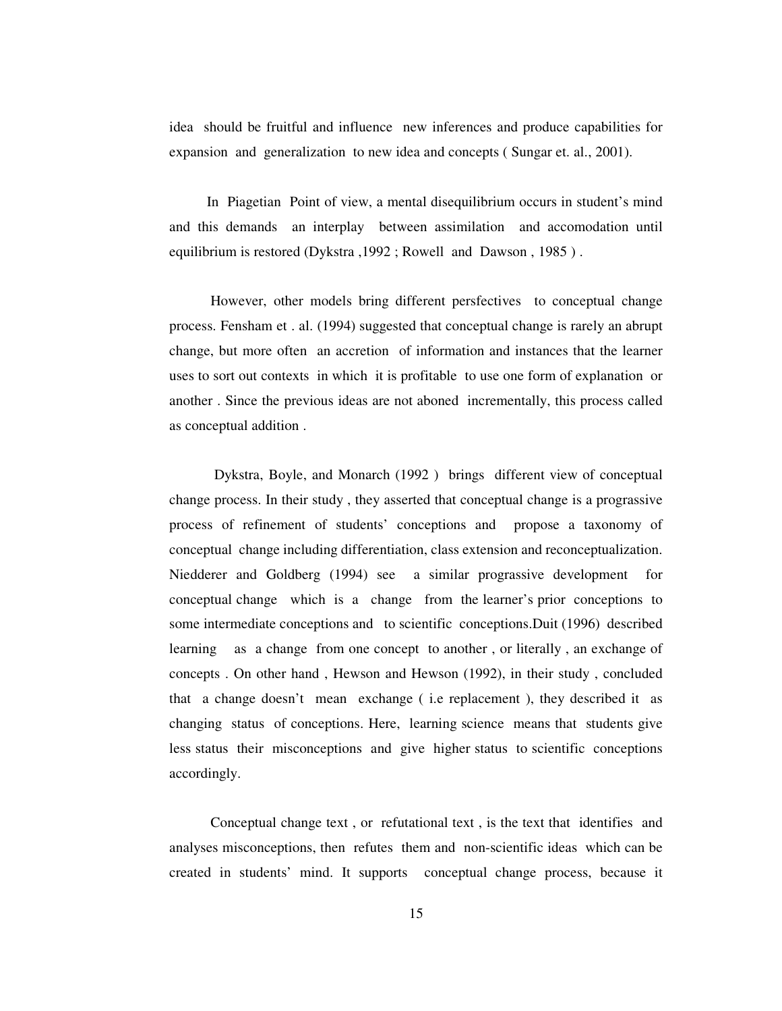idea should be fruitful and influence new inferences and produce capabilities for expansion and generalization to new idea and concepts ( Sungar et. al., 2001).

 In Piagetian Point of view, a mental disequilibrium occurs in student's mind and this demands an interplay between assimilation and accomodation until equilibrium is restored (Dykstra, 1992; Rowell and Dawson, 1985).

 However, other models bring different persfectives to conceptual change process. Fensham et . al. (1994) suggested that conceptual change is rarely an abrupt change, but more often an accretion of information and instances that the learner uses to sort out contexts in which it is profitable to use one form of explanation or another . Since the previous ideas are not aboned incrementally, this process called as conceptual addition .

 Dykstra, Boyle, and Monarch (1992 ) brings different view of conceptual change process. In their study , they asserted that conceptual change is a prograssive process of refinement of students' conceptions and propose a taxonomy of conceptual change including differentiation, class extension and reconceptualization. Niedderer and Goldberg (1994) see a similar prograssive development for conceptual change which is a change from the learner's prior conceptions to some intermediate conceptions and to scientific conceptions.Duit (1996) described learning as a change from one concept to another , or literally , an exchange of concepts . On other hand , Hewson and Hewson (1992), in their study , concluded that a change doesn't mean exchange ( i.e replacement ), they described it as changing status of conceptions. Here, learning science means that students give less status their misconceptions and give higher status to scientific conceptions accordingly.

 Conceptual change text , or refutational text , is the text that identifies and analyses misconceptions, then refutes them and non-scientific ideas which can be created in students' mind. It supports conceptual change process, because it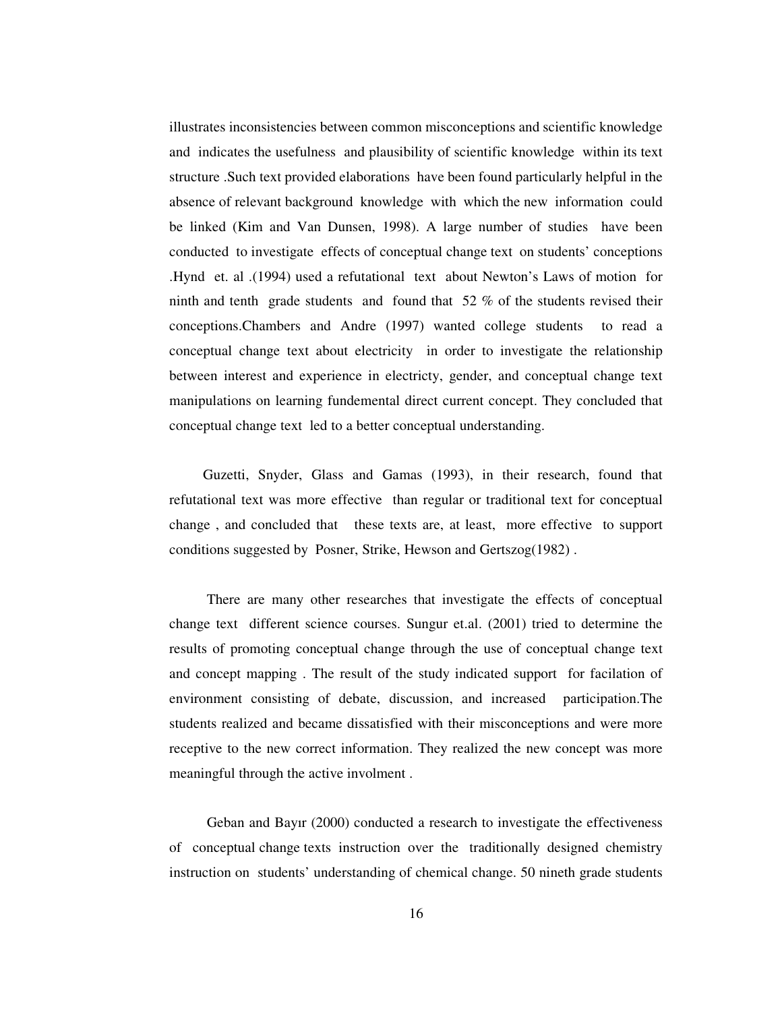illustrates inconsistencies between common misconceptions and scientific knowledge and indicates the usefulness and plausibility of scientific knowledge within its text structure .Such text provided elaborations have been found particularly helpful in the absence of relevant background knowledge with which the new information could be linked (Kim and Van Dunsen, 1998). A large number of studies have been conducted to investigate effects of conceptual change text on students' conceptions .Hynd et. al .(1994) used a refutational text about Newton's Laws of motion for ninth and tenth grade students and found that 52 % of the students revised their conceptions.Chambers and Andre (1997) wanted college students to read a conceptual change text about electricity in order to investigate the relationship between interest and experience in electricty, gender, and conceptual change text manipulations on learning fundemental direct current concept. They concluded that conceptual change text led to a better conceptual understanding.

 Guzetti, Snyder, Glass and Gamas (1993), in their research, found that refutational text was more effective than regular or traditional text for conceptual change , and concluded that these texts are, at least, more effective to support conditions suggested by Posner, Strike, Hewson and Gertszog(1982) .

 There are many other researches that investigate the effects of conceptual change text different science courses. Sungur et.al. (2001) tried to determine the results of promoting conceptual change through the use of conceptual change text and concept mapping . The result of the study indicated support for facilation of environment consisting of debate, discussion, and increased participation.The students realized and became dissatisfied with their misconceptions and were more receptive to the new correct information. They realized the new concept was more meaningful through the active involment .

 Geban and Bayır (2000) conducted a research to investigate the effectiveness of conceptual change texts instruction over the traditionally designed chemistry instruction on students' understanding of chemical change. 50 nineth grade students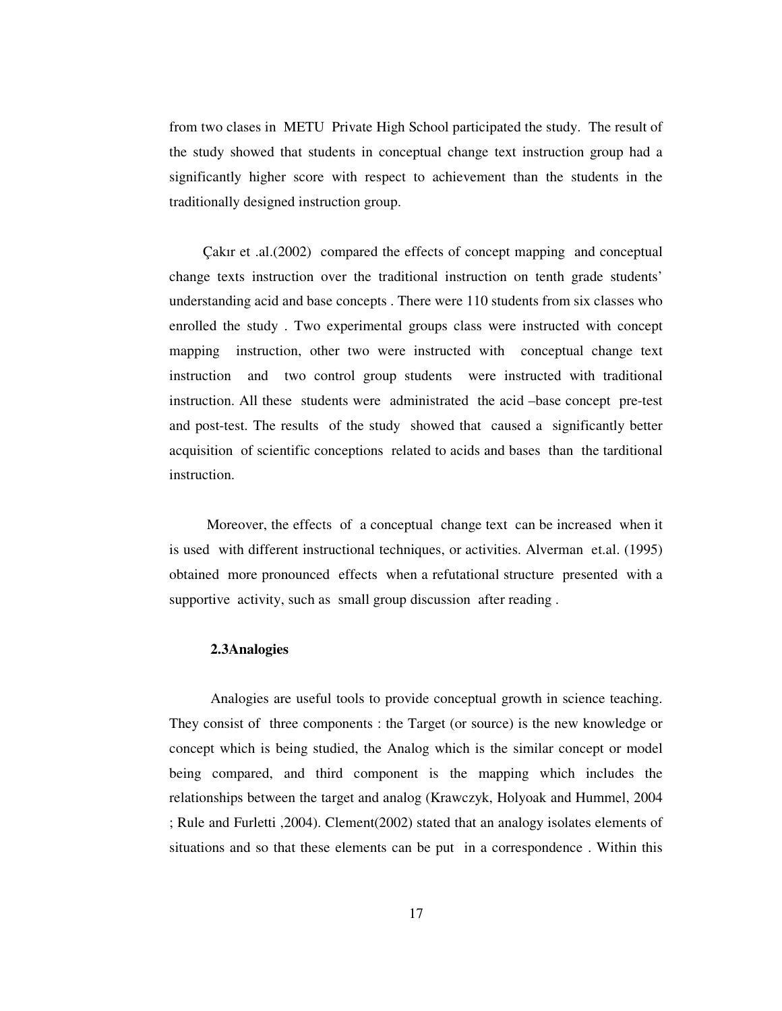from two clases in METU Private High School participated the study. The result of the study showed that students in conceptual change text instruction group had a significantly higher score with respect to achievement than the students in the traditionally designed instruction group.

 Çakır et .al.(2002) compared the effects of concept mapping and conceptual change texts instruction over the traditional instruction on tenth grade students' understanding acid and base concepts . There were 110 students from six classes who enrolled the study . Two experimental groups class were instructed with concept mapping instruction, other two were instructed with conceptual change text instruction and two control group students were instructed with traditional instruction. All these students were administrated the acid –base concept pre-test and post-test. The results of the study showed that caused a significantly better acquisition of scientific conceptions related to acids and bases than the tarditional instruction.

 Moreover, the effects of a conceptual change text can be increased when it is used with different instructional techniques, or activities. Alverman et.al. (1995) obtained more pronounced effects when a refutational structure presented with a supportive activity, such as small group discussion after reading .

#### **2.3Analogies**

 Analogies are useful tools to provide conceptual growth in science teaching. They consist of three components : the Target (or source) is the new knowledge or concept which is being studied, the Analog which is the similar concept or model being compared, and third component is the mapping which includes the relationships between the target and analog (Krawczyk, Holyoak and Hummel, 2004 ; Rule and Furletti ,2004). Clement(2002) stated that an analogy isolates elements of situations and so that these elements can be put in a correspondence . Within this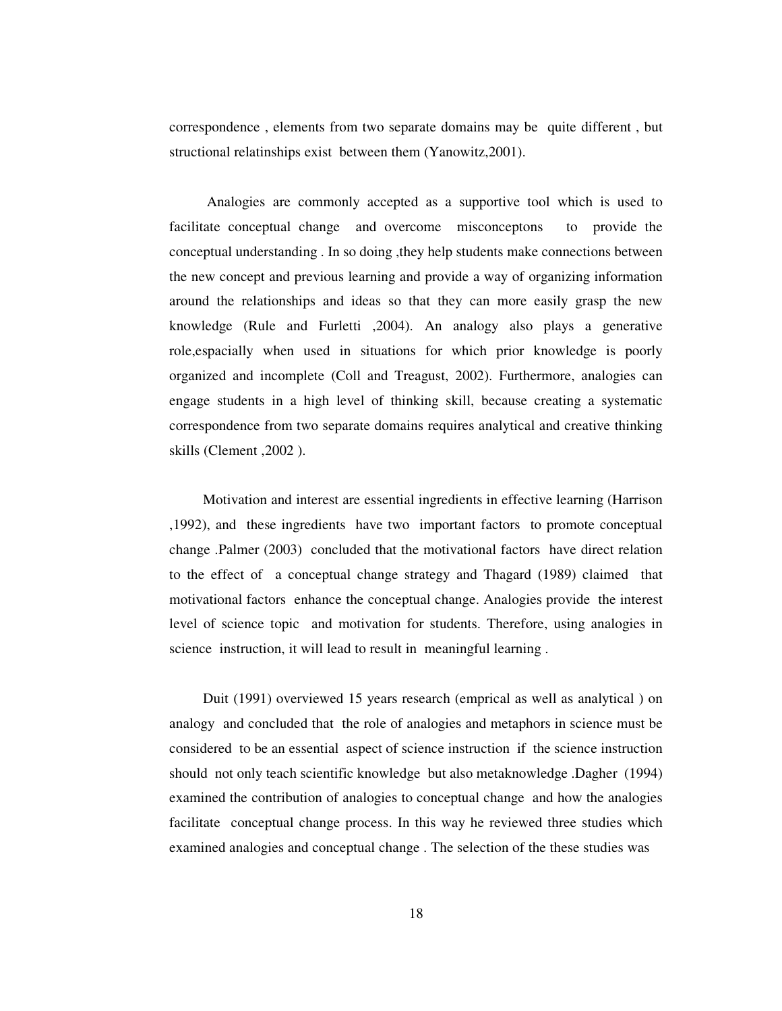correspondence , elements from two separate domains may be quite different , but structional relatinships exist between them (Yanowitz,2001).

 Analogies are commonly accepted as a supportive tool which is used to facilitate conceptual change and overcome misconceptons to provide the conceptual understanding . In so doing ,they help students make connections between the new concept and previous learning and provide a way of organizing information around the relationships and ideas so that they can more easily grasp the new knowledge (Rule and Furletti ,2004). An analogy also plays a generative role,espacially when used in situations for which prior knowledge is poorly organized and incomplete (Coll and Treagust, 2002). Furthermore, analogies can engage students in a high level of thinking skill, because creating a systematic correspondence from two separate domains requires analytical and creative thinking skills (Clement ,2002 ).

 Motivation and interest are essential ingredients in effective learning (Harrison ,1992), and these ingredients have two important factors to promote conceptual change .Palmer (2003) concluded that the motivational factors have direct relation to the effect of a conceptual change strategy and Thagard (1989) claimed that motivational factors enhance the conceptual change. Analogies provide the interest level of science topic and motivation for students. Therefore, using analogies in science instruction, it will lead to result in meaningful learning .

 Duit (1991) overviewed 15 years research (emprical as well as analytical ) on analogy and concluded that the role of analogies and metaphors in science must be considered to be an essential aspect of science instruction if the science instruction should not only teach scientific knowledge but also metaknowledge .Dagher (1994) examined the contribution of analogies to conceptual change and how the analogies facilitate conceptual change process. In this way he reviewed three studies which examined analogies and conceptual change . The selection of the these studies was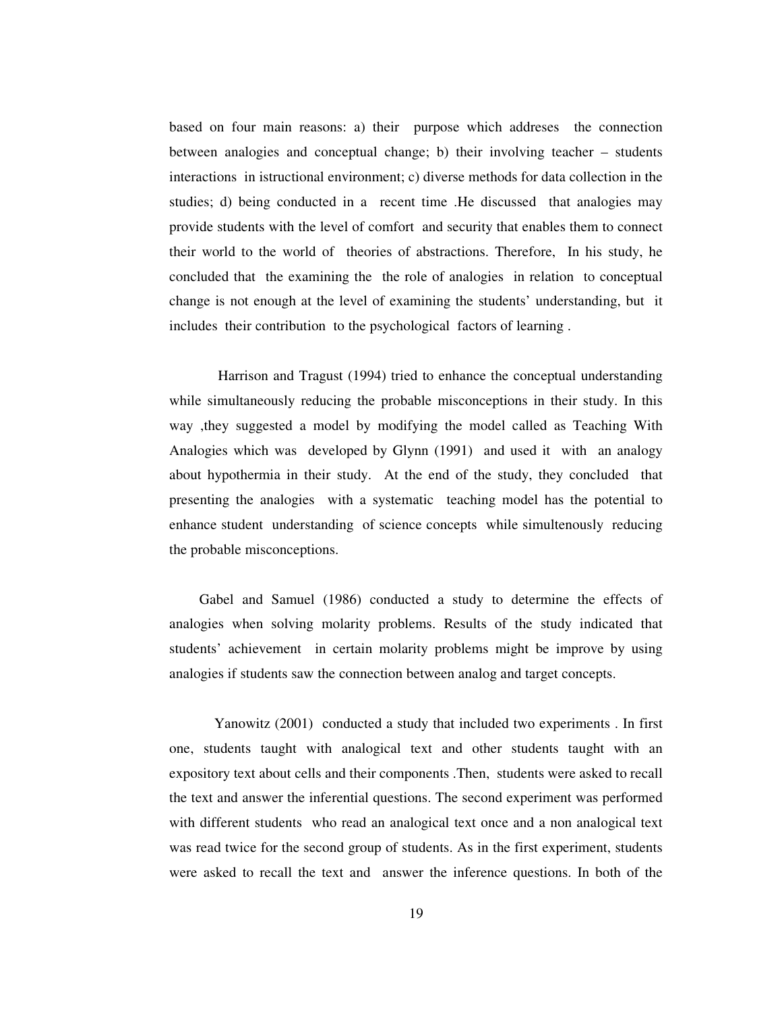based on four main reasons: a) their purpose which addreses the connection between analogies and conceptual change; b) their involving teacher – students interactions in istructional environment; c) diverse methods for data collection in the studies; d) being conducted in a recent time .He discussed that analogies may provide students with the level of comfort and security that enables them to connect their world to the world of theories of abstractions. Therefore, In his study, he concluded that the examining the the role of analogies in relation to conceptual change is not enough at the level of examining the students' understanding, but it includes their contribution to the psychological factors of learning .

 Harrison and Tragust (1994) tried to enhance the conceptual understanding while simultaneously reducing the probable misconceptions in their study. In this way ,they suggested a model by modifying the model called as Teaching With Analogies which was developed by Glynn (1991) and used it with an analogy about hypothermia in their study. At the end of the study, they concluded that presenting the analogies with a systematic teaching model has the potential to enhance student understanding of science concepts while simultenously reducing the probable misconceptions.

 Gabel and Samuel (1986) conducted a study to determine the effects of analogies when solving molarity problems. Results of the study indicated that students' achievement in certain molarity problems might be improve by using analogies if students saw the connection between analog and target concepts.

 Yanowitz (2001) conducted a study that included two experiments . In first one, students taught with analogical text and other students taught with an expository text about cells and their components .Then, students were asked to recall the text and answer the inferential questions. The second experiment was performed with different students who read an analogical text once and a non analogical text was read twice for the second group of students. As in the first experiment, students were asked to recall the text and answer the inference questions. In both of the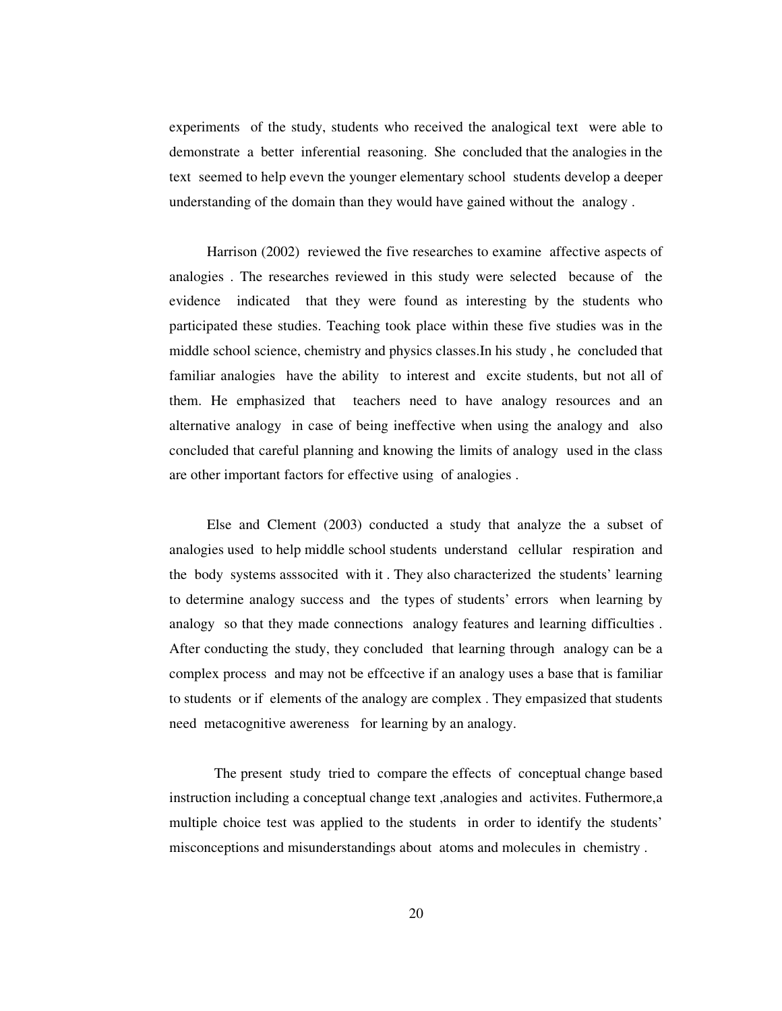experiments of the study, students who received the analogical text were able to demonstrate a better inferential reasoning. She concluded that the analogies in the text seemed to help evevn the younger elementary school students develop a deeper understanding of the domain than they would have gained without the analogy .

 Harrison (2002) reviewed the five researches to examine affective aspects of analogies . The researches reviewed in this study were selected because of the evidence indicated that they were found as interesting by the students who participated these studies. Teaching took place within these five studies was in the middle school science, chemistry and physics classes.In his study , he concluded that familiar analogies have the ability to interest and excite students, but not all of them. He emphasized that teachers need to have analogy resources and an alternative analogy in case of being ineffective when using the analogy and also concluded that careful planning and knowing the limits of analogy used in the class are other important factors for effective using of analogies .

 Else and Clement (2003) conducted a study that analyze the a subset of analogies used to help middle school students understand cellular respiration and the body systems asssocited with it . They also characterized the students' learning to determine analogy success and the types of students' errors when learning by analogy so that they made connections analogy features and learning difficulties . After conducting the study, they concluded that learning through analogy can be a complex process and may not be effcective if an analogy uses a base that is familiar to students or if elements of the analogy are complex . They empasized that students need metacognitive awereness for learning by an analogy.

 The present study tried to compare the effects of conceptual change based instruction including a conceptual change text ,analogies and activites. Futhermore,a multiple choice test was applied to the students in order to identify the students' misconceptions and misunderstandings about atoms and molecules in chemistry .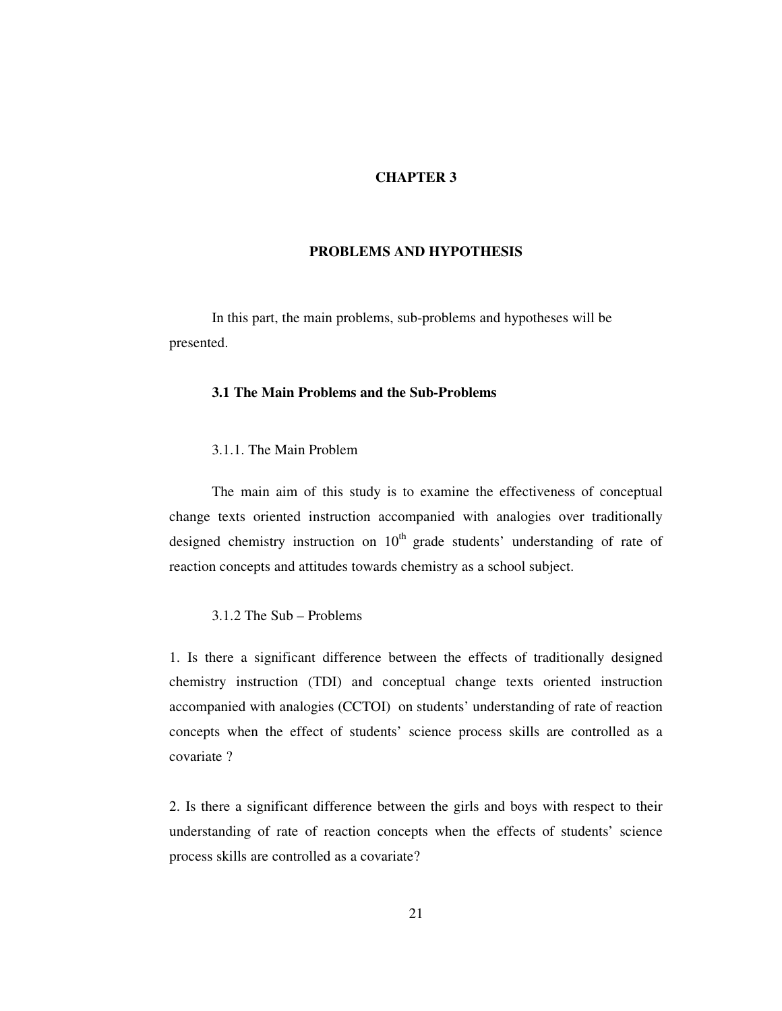# **CHAPTER 3**

### **PROBLEMS AND HYPOTHESIS**

In this part, the main problems, sub-problems and hypotheses will be presented.

# **3.1 The Main Problems and the Sub-Problems**

# 3.1.1. The Main Problem

The main aim of this study is to examine the effectiveness of conceptual change texts oriented instruction accompanied with analogies over traditionally designed chemistry instruction on  $10<sup>th</sup>$  grade students' understanding of rate of reaction concepts and attitudes towards chemistry as a school subject.

### 3.1.2 The Sub – Problems

1. Is there a significant difference between the effects of traditionally designed chemistry instruction (TDI) and conceptual change texts oriented instruction accompanied with analogies (CCTOI) on students' understanding of rate of reaction concepts when the effect of students' science process skills are controlled as a covariate ?

2. Is there a significant difference between the girls and boys with respect to their understanding of rate of reaction concepts when the effects of students' science process skills are controlled as a covariate?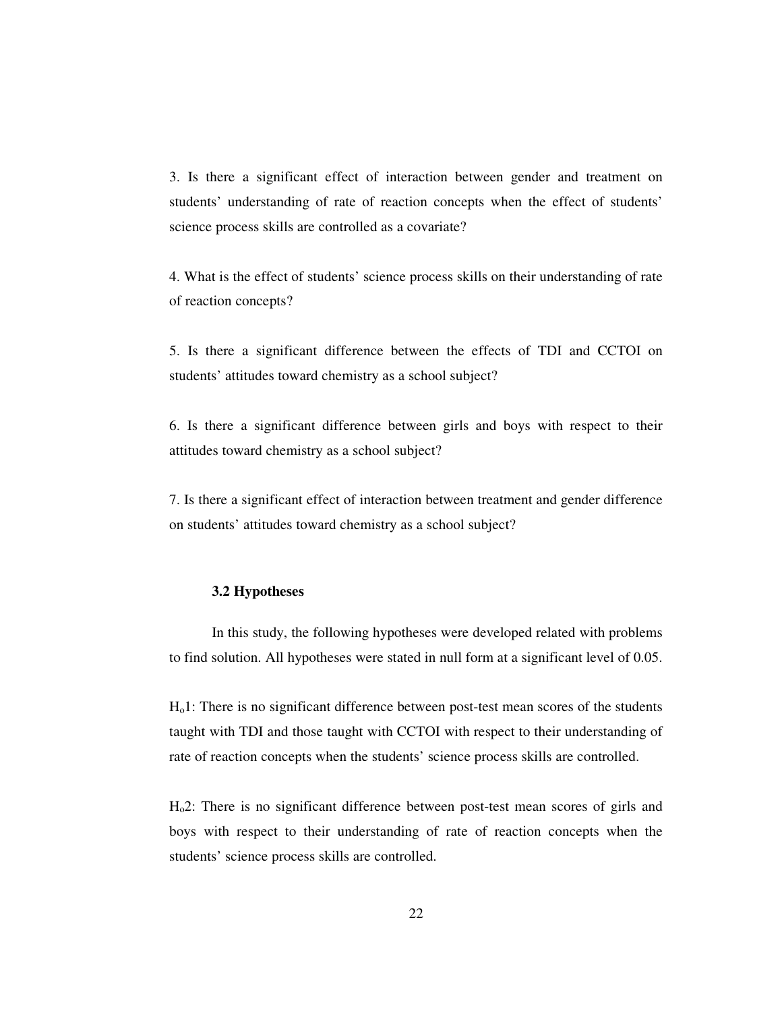3. Is there a significant effect of interaction between gender and treatment on students' understanding of rate of reaction concepts when the effect of students' science process skills are controlled as a covariate?

4. What is the effect of students' science process skills on their understanding of rate of reaction concepts?

5. Is there a significant difference between the effects of TDI and CCTOI on students' attitudes toward chemistry as a school subject?

6. Is there a significant difference between girls and boys with respect to their attitudes toward chemistry as a school subject?

7. Is there a significant effect of interaction between treatment and gender difference on students' attitudes toward chemistry as a school subject?

### **3.2 Hypotheses**

In this study, the following hypotheses were developed related with problems to find solution. All hypotheses were stated in null form at a significant level of 0.05.

Ho1: There is no significant difference between post-test mean scores of the students taught with TDI and those taught with CCTOI with respect to their understanding of rate of reaction concepts when the students' science process skills are controlled.

Ho2: There is no significant difference between post-test mean scores of girls and boys with respect to their understanding of rate of reaction concepts when the students' science process skills are controlled.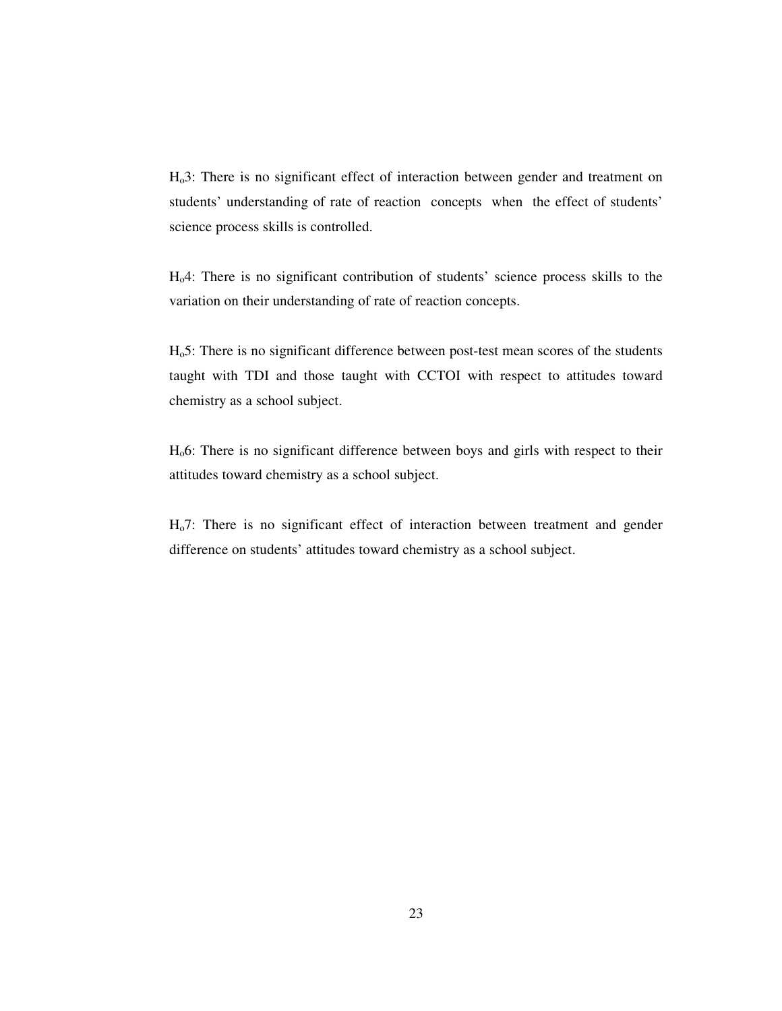Ho3: There is no significant effect of interaction between gender and treatment on students' understanding of rate of reaction concepts when the effect of students' science process skills is controlled.

Ho4: There is no significant contribution of students' science process skills to the variation on their understanding of rate of reaction concepts.

Ho5: There is no significant difference between post-test mean scores of the students taught with TDI and those taught with CCTOI with respect to attitudes toward chemistry as a school subject.

Ho6: There is no significant difference between boys and girls with respect to their attitudes toward chemistry as a school subject.

Ho7: There is no significant effect of interaction between treatment and gender difference on students' attitudes toward chemistry as a school subject.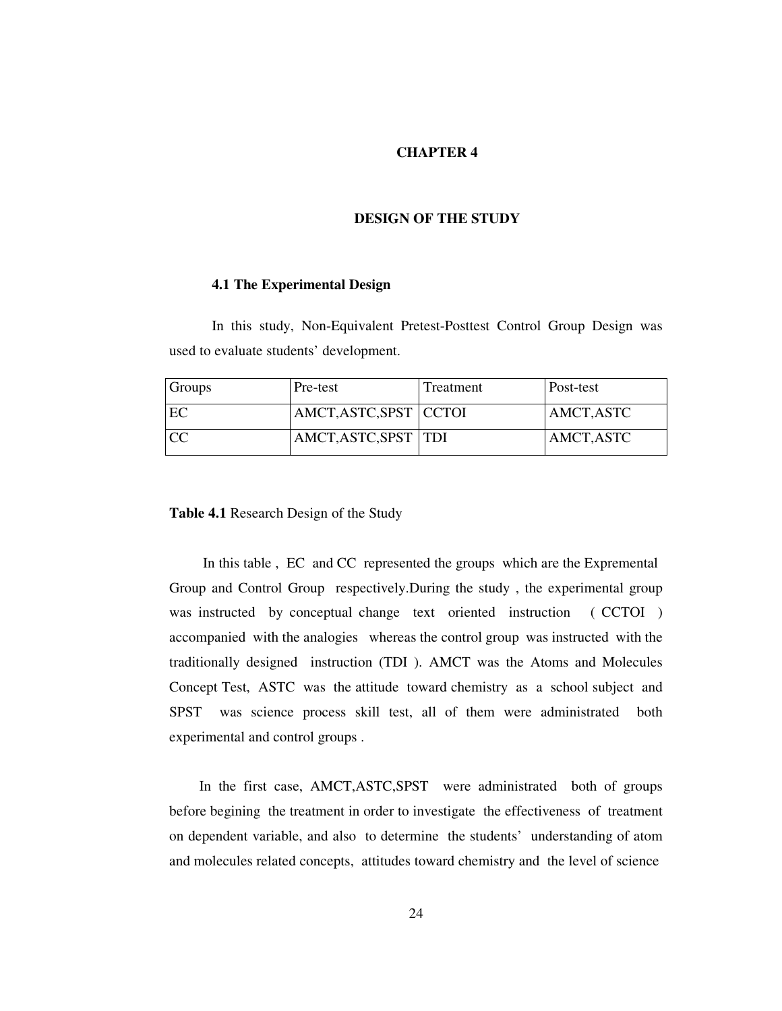#### **CHAPTER 4**

# **DESIGN OF THE STUDY**

#### **4.1 The Experimental Design**

In this study, Non-Equivalent Pretest-Posttest Control Group Design was used to evaluate students' development.

| <b>Groups</b> | Pre-test                 | Treatment | Post-test  |
|---------------|--------------------------|-----------|------------|
| EC            | AMCT, ASTC, SPST   CCTOI |           | AMCT,ASTC  |
|               | AMCT, ASTC, SPST   TDI   |           | AMCT, ASTC |

**Table 4.1** Research Design of the Study

 In this table , EC and CC represented the groups which are the Expremental Group and Control Group respectively.During the study , the experimental group was instructed by conceptual change text oriented instruction ( CCTOI ) accompanied with the analogies whereas the control group was instructed with the traditionally designed instruction (TDI ). AMCT was the Atoms and Molecules Concept Test, ASTC was the attitude toward chemistry as a school subject and SPST was science process skill test, all of them were administrated both experimental and control groups .

 In the first case, AMCT,ASTC,SPST were administrated both of groups before begining the treatment in order to investigate the effectiveness of treatment on dependent variable, and also to determine the students' understanding of atom and molecules related concepts, attitudes toward chemistry and the level of science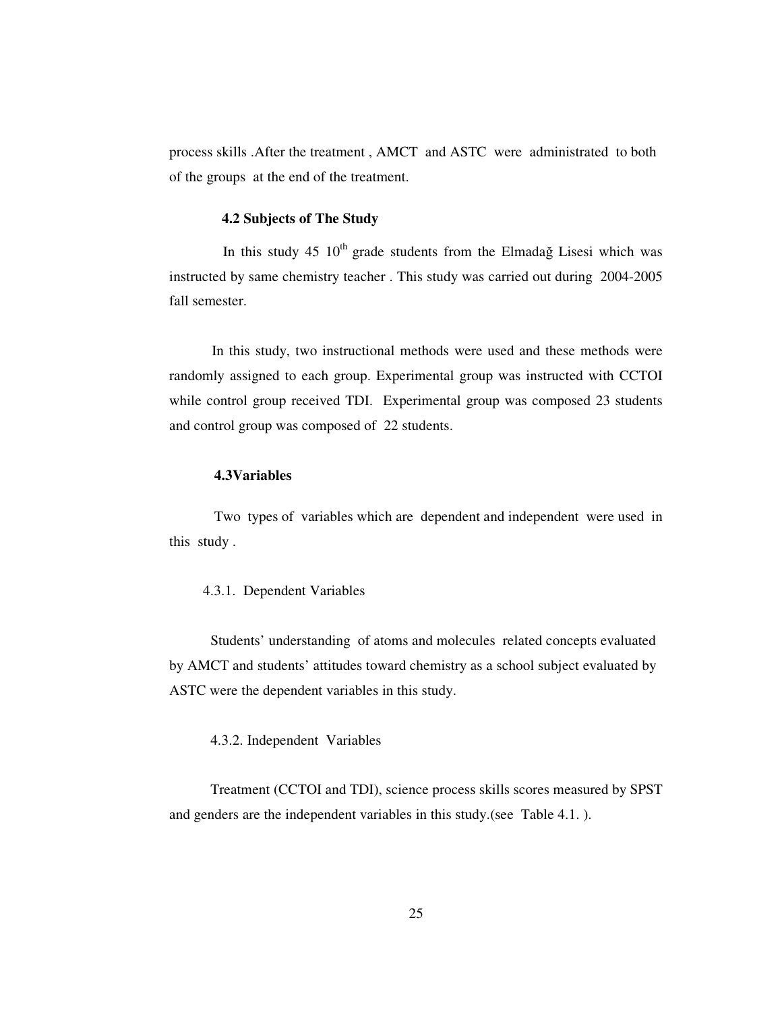process skills .After the treatment , AMCT and ASTC were administrated to both of the groups at the end of the treatment.

# **4.2 Subjects of The Study**

In this study 45  $10<sup>th</sup>$  grade students from the Elmadağ Lisesi which was instructed by same chemistry teacher . This study was carried out during 2004-2005 fall semester.

In this study, two instructional methods were used and these methods were randomly assigned to each group. Experimental group was instructed with CCTOI while control group received TDI. Experimental group was composed 23 students and control group was composed of 22 students.

#### **4.3Variables**

 Two types of variables which are dependent and independent were used in this study .

# 4.3.1. Dependent Variables

 Students' understanding of atoms and molecules related concepts evaluated by AMCT and students' attitudes toward chemistry as a school subject evaluated by ASTC were the dependent variables in this study.

### 4.3.2. Independent Variables

 Treatment (CCTOI and TDI), science process skills scores measured by SPST and genders are the independent variables in this study.(see Table 4.1. ).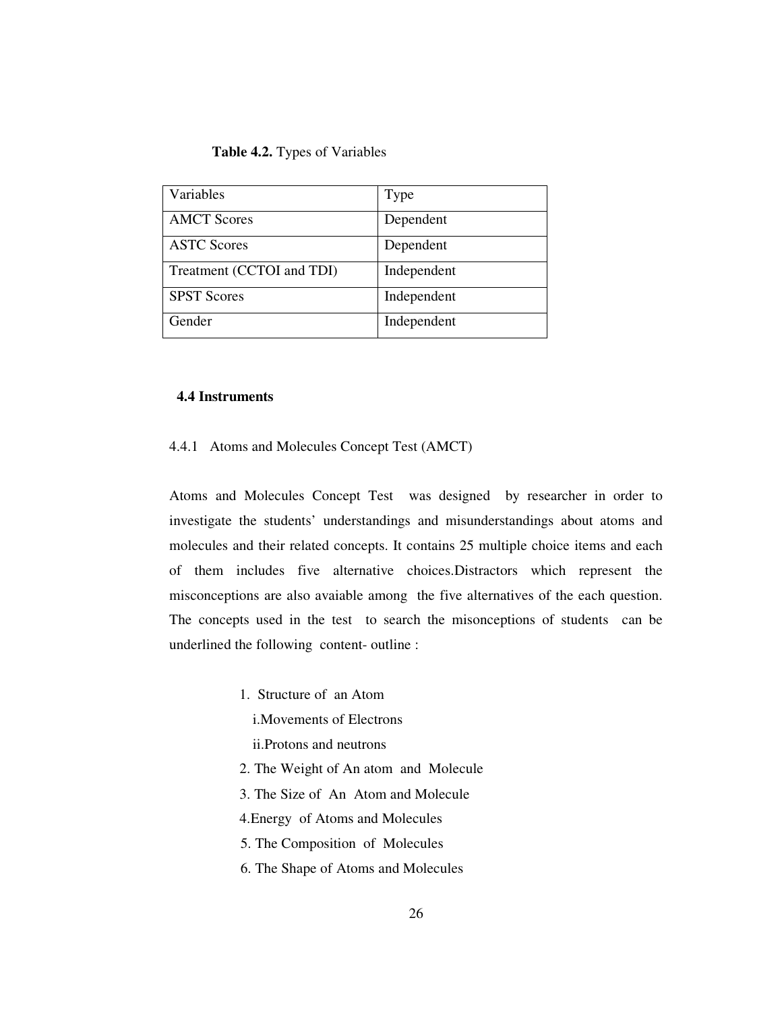### **Table 4.2.** Types of Variables

| Variables                 | <b>Type</b> |
|---------------------------|-------------|
| <b>AMCT</b> Scores        | Dependent   |
| <b>ASTC Scores</b>        | Dependent   |
| Treatment (CCTOI and TDI) | Independent |
| <b>SPST Scores</b>        | Independent |
| Gender                    | Independent |

### **4.4 Instruments**

### 4.4.1 Atoms and Molecules Concept Test (AMCT)

Atoms and Molecules Concept Test was designed by researcher in order to investigate the students' understandings and misunderstandings about atoms and molecules and their related concepts. It contains 25 multiple choice items and each of them includes five alternative choices.Distractors which represent the misconceptions are also avaiable among the five alternatives of the each question. The concepts used in the test to search the misonceptions of students can be underlined the following content- outline :

- 1. Structure of an Atom
	- i.Movements of Electrons
	- ii.Protons and neutrons
- 2. The Weight of An atom and Molecule
- 3. The Size of An Atom and Molecule
- 4.Energy of Atoms and Molecules
- 5. The Composition of Molecules
- 6. The Shape of Atoms and Molecules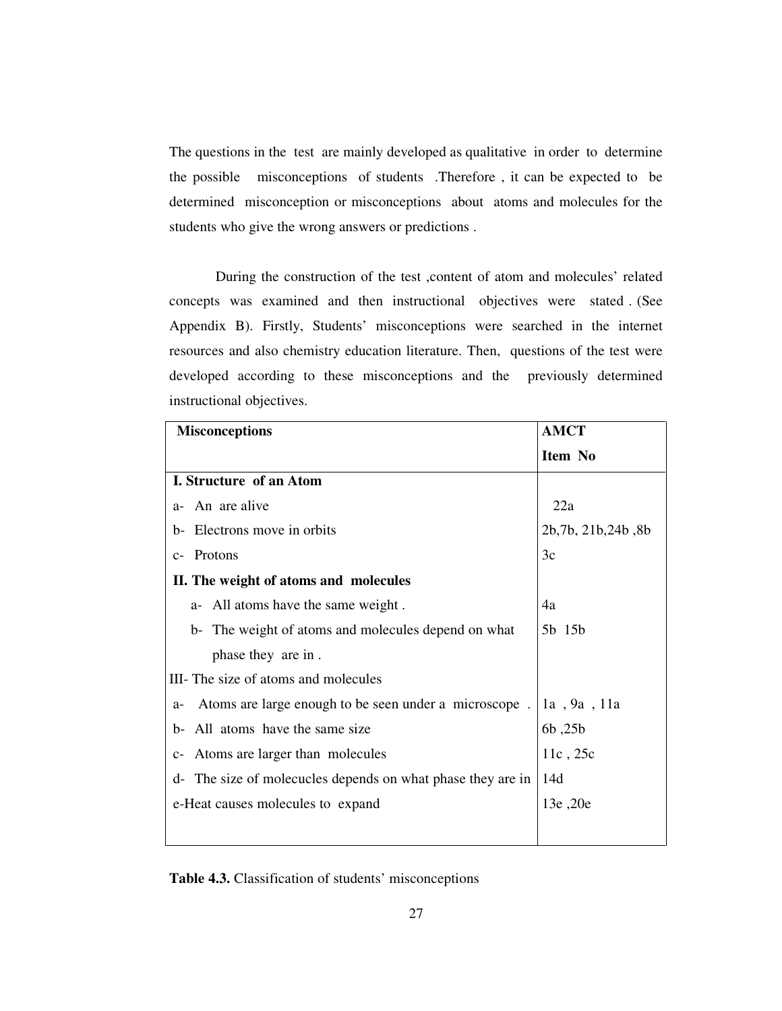The questions in the test are mainly developed as qualitative in order to determine the possible misconceptions of students .Therefore , it can be expected to be determined misconception or misconceptions about atoms and molecules for the students who give the wrong answers or predictions .

During the construction of the test ,content of atom and molecules' related concepts was examined and then instructional objectives were stated . (See Appendix B). Firstly, Students' misconceptions were searched in the internet resources and also chemistry education literature. Then, questions of the test were developed according to these misconceptions and the previously determined instructional objectives.

| <b>Misconceptions</b>                                                        | <b>AMCT</b>          |  |  |  |
|------------------------------------------------------------------------------|----------------------|--|--|--|
|                                                                              | Item No              |  |  |  |
| I. Structure of an Atom                                                      |                      |  |  |  |
| An are alive<br>$a-$                                                         | 22a                  |  |  |  |
| Electrons move in orbits<br>$b-$                                             | 2b, 7b, 21b, 24b, 8b |  |  |  |
| Protons<br>$C-$                                                              | 3c                   |  |  |  |
| II. The weight of atoms and molecules                                        |                      |  |  |  |
| All atoms have the same weight.<br>$a-$                                      | 4a                   |  |  |  |
| b- The weight of atoms and molecules depend on what                          | 5b 15b               |  |  |  |
| phase they are in.                                                           |                      |  |  |  |
| III- The size of atoms and molecules                                         |                      |  |  |  |
| Atoms are large enough to be seen under a microscope.<br>la, 9a, 11a<br>$a-$ |                      |  |  |  |
| All atoms have the same size<br>$b-$                                         | $6b$ , $25b$         |  |  |  |
| Atoms are larger than molecules<br>$C-$                                      | 11c, 25c             |  |  |  |
| d- The size of molecucles depends on what phase they are in                  | 14d                  |  |  |  |
| e-Heat causes molecules to expand                                            | 13e, 20e             |  |  |  |
|                                                                              |                      |  |  |  |

**Table 4.3.** Classification of students' misconceptions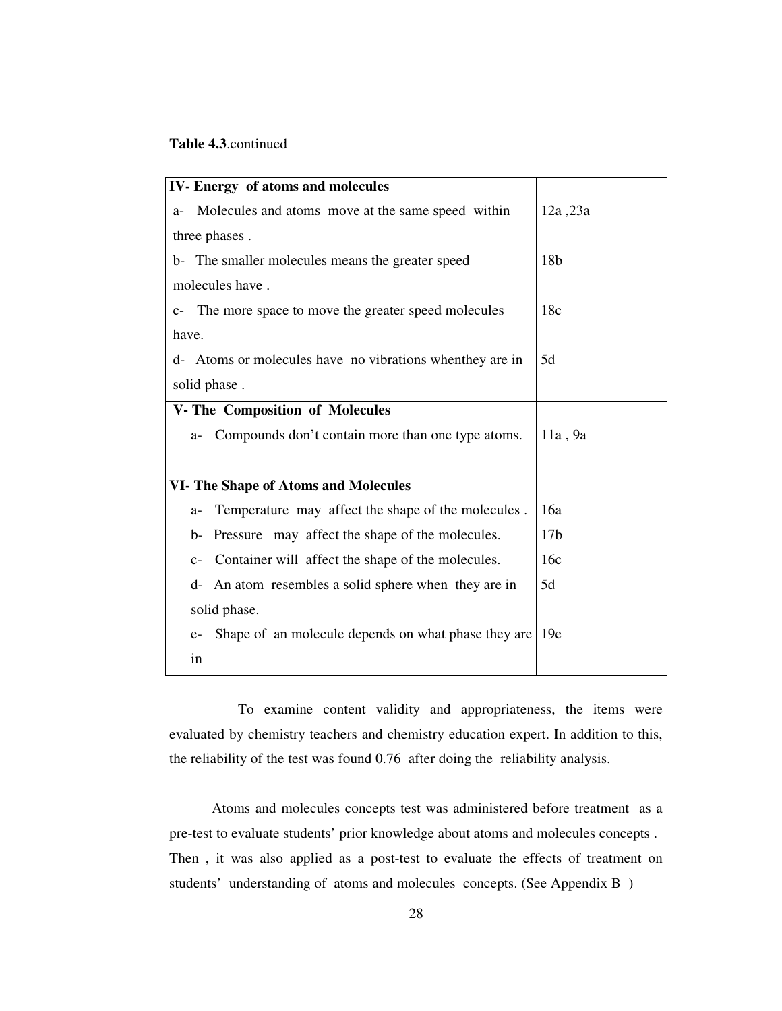# **Table 4.3**.continued

| <b>IV-Energy of atoms and molecules</b>                            |                 |  |  |  |
|--------------------------------------------------------------------|-----------------|--|--|--|
| Molecules and atoms move at the same speed within<br>a-            | 12a, 23a        |  |  |  |
| three phases.                                                      |                 |  |  |  |
| b- The smaller molecules means the greater speed                   | 18 <sub>b</sub> |  |  |  |
| molecules have.                                                    |                 |  |  |  |
| The more space to move the greater speed molecules<br>$C-$         | 18c             |  |  |  |
| have.                                                              |                 |  |  |  |
| d- Atoms or molecules have no vibrations when they are in          | 5d              |  |  |  |
| solid phase.                                                       |                 |  |  |  |
| <b>V-The Composition of Molecules</b>                              |                 |  |  |  |
| Compounds don't contain more than one type atoms.<br>$a-$          | 11a, 9a         |  |  |  |
|                                                                    |                 |  |  |  |
| <b>VI- The Shape of Atoms and Molecules</b>                        |                 |  |  |  |
| Temperature may affect the shape of the molecules.<br>$a-$         | 16a             |  |  |  |
| Pressure may affect the shape of the molecules.<br>$b-$            | 17 <sub>b</sub> |  |  |  |
| Container will affect the shape of the molecules.<br>$C-$          | 16c             |  |  |  |
| d- An atom resembles a solid sphere when they are in               | 5d              |  |  |  |
| solid phase.                                                       |                 |  |  |  |
| Shape of an molecule depends on what phase they are<br>19e<br>$e-$ |                 |  |  |  |
| in                                                                 |                 |  |  |  |

To examine content validity and appropriateness, the items were evaluated by chemistry teachers and chemistry education expert. In addition to this, the reliability of the test was found 0.76 after doing the reliability analysis.

 Atoms and molecules concepts test was administered before treatment as a pre-test to evaluate students' prior knowledge about atoms and molecules concepts . Then , it was also applied as a post-test to evaluate the effects of treatment on students' understanding of atoms and molecules concepts. (See Appendix B )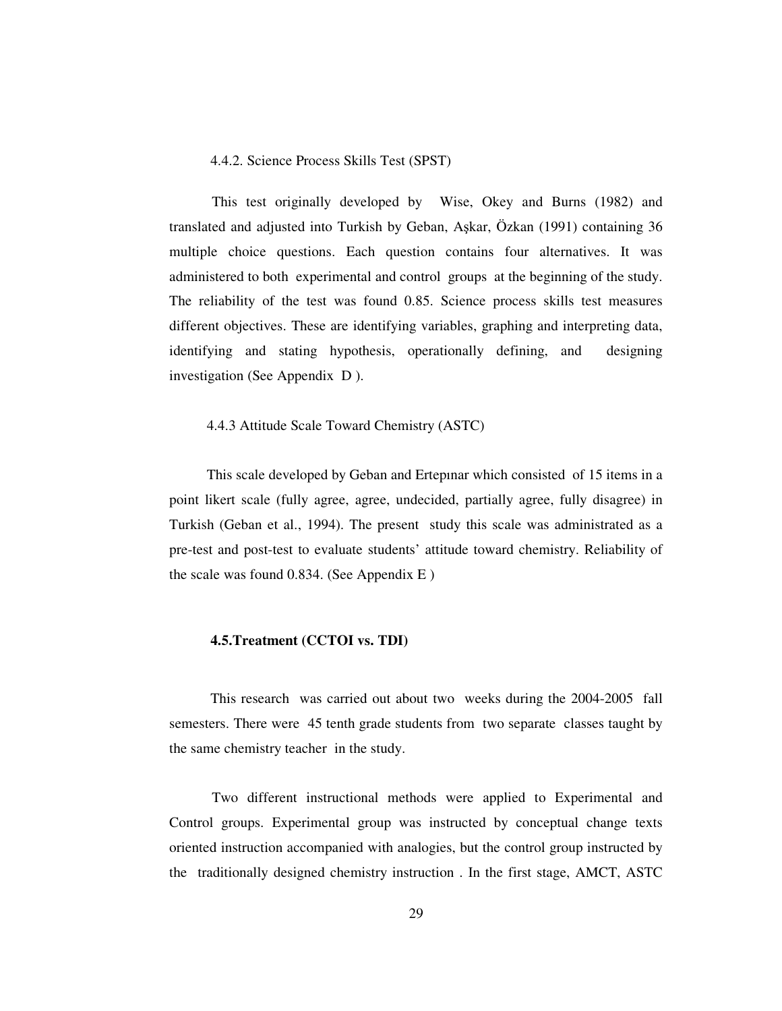#### 4.4.2. Science Process Skills Test (SPST)

 This test originally developed by Wise, Okey and Burns (1982) and translated and adjusted into Turkish by Geban, Aşkar, Özkan (1991) containing 36 multiple choice questions. Each question contains four alternatives. It was administered to both experimental and control groups at the beginning of the study. The reliability of the test was found 0.85. Science process skills test measures different objectives. These are identifying variables, graphing and interpreting data, identifying and stating hypothesis, operationally defining, and designing investigation (See Appendix D ).

#### 4.4.3 Attitude Scale Toward Chemistry (ASTC)

 This scale developed by Geban and Ertepınar which consisted of 15 items in a point likert scale (fully agree, agree, undecided, partially agree, fully disagree) in Turkish (Geban et al., 1994). The present study this scale was administrated as a pre-test and post-test to evaluate students' attitude toward chemistry. Reliability of the scale was found 0.834. (See Appendix E )

#### **4.5.Treatment (CCTOI vs. TDI)**

 This research was carried out about two weeks during the 2004-2005 fall semesters. There were 45 tenth grade students from two separate classes taught by the same chemistry teacher in the study.

 Two different instructional methods were applied to Experimental and Control groups. Experimental group was instructed by conceptual change texts oriented instruction accompanied with analogies, but the control group instructed by the traditionally designed chemistry instruction . In the first stage, AMCT, ASTC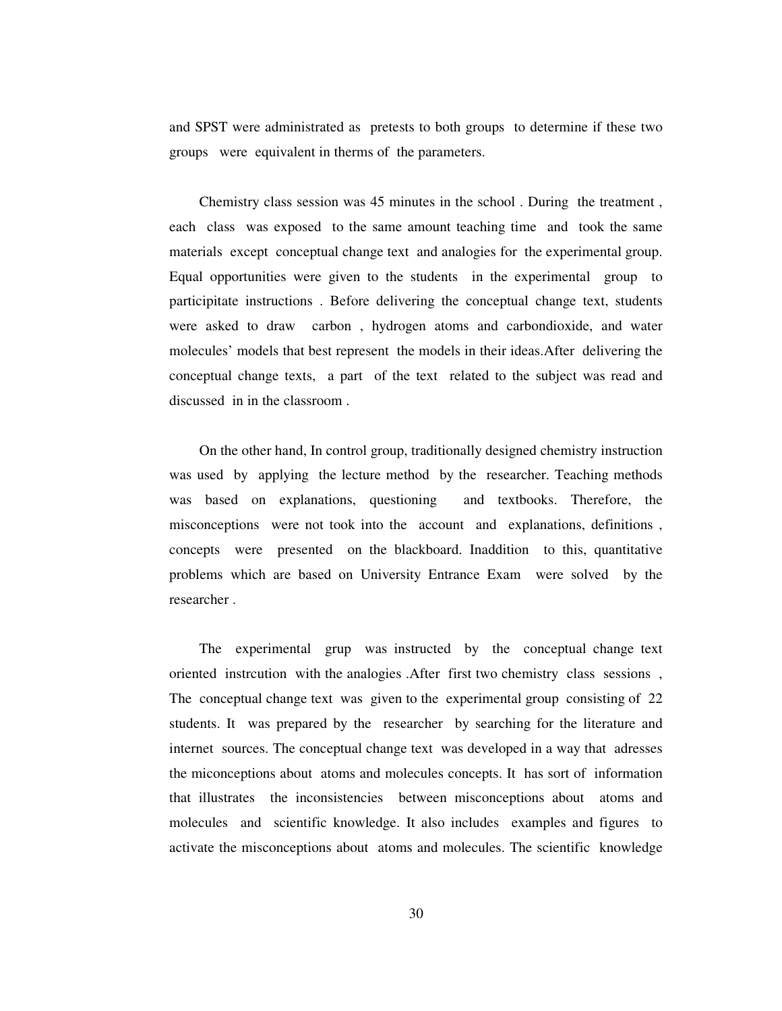and SPST were administrated as pretests to both groups to determine if these two groups were equivalent in therms of the parameters.

 Chemistry class session was 45 minutes in the school . During the treatment , each class was exposed to the same amount teaching time and took the same materials except conceptual change text and analogies for the experimental group. Equal opportunities were given to the students in the experimental group to participitate instructions . Before delivering the conceptual change text, students were asked to draw carbon , hydrogen atoms and carbondioxide, and water molecules' models that best represent the models in their ideas.After delivering the conceptual change texts, a part of the text related to the subject was read and discussed in in the classroom .

 On the other hand, In control group, traditionally designed chemistry instruction was used by applying the lecture method by the researcher. Teaching methods was based on explanations, questioning and textbooks. Therefore, the misconceptions were not took into the account and explanations, definitions , concepts were presented on the blackboard. Inaddition to this, quantitative problems which are based on University Entrance Exam were solved by the researcher .

 The experimental grup was instructed by the conceptual change text oriented instrcution with the analogies .After first two chemistry class sessions , The conceptual change text was given to the experimental group consisting of 22 students. It was prepared by the researcher by searching for the literature and internet sources. The conceptual change text was developed in a way that adresses the miconceptions about atoms and molecules concepts. It has sort of information that illustrates the inconsistencies between misconceptions about atoms and molecules and scientific knowledge. It also includes examples and figures to activate the misconceptions about atoms and molecules. The scientific knowledge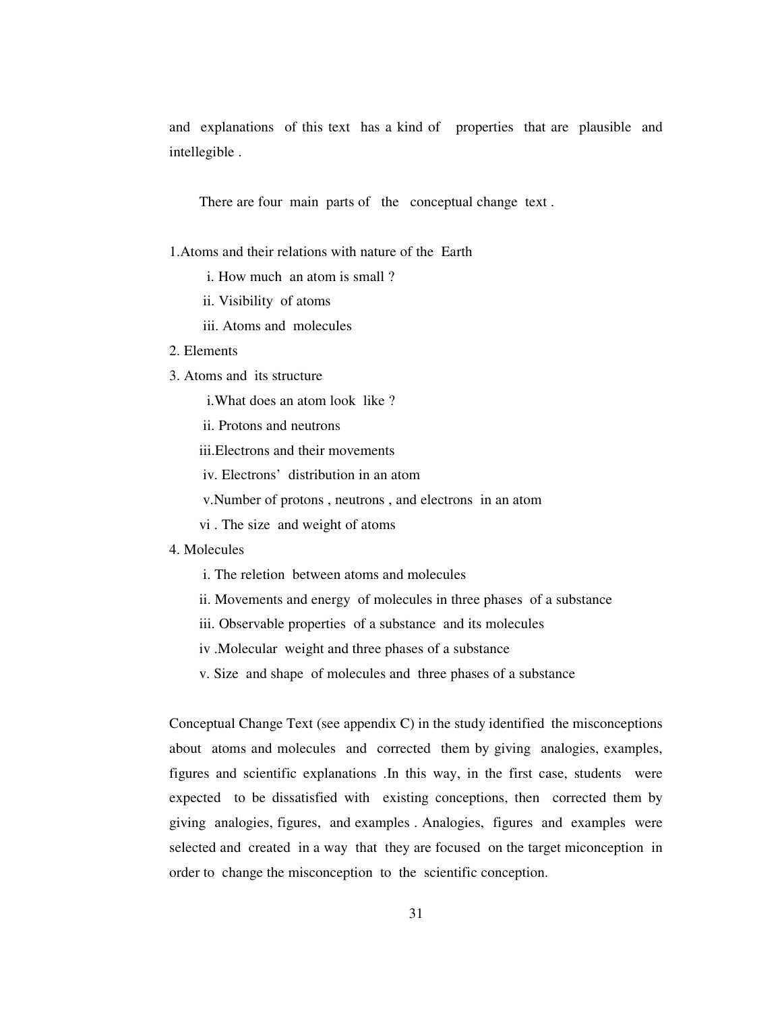and explanations of this text has a kind of properties that are plausible and intellegible .

There are four main parts of the conceptual change text .

1.Atoms and their relations with nature of the Earth

- i. How much an atom is small ?
- ii. Visibility of atoms
- iii. Atoms and molecules
- 2. Elements
- 3. Atoms and its structure
	- i.What does an atom look like ?
	- ii. Protons and neutrons
	- iii.Electrons and their movements
	- iv. Electrons' distribution in an atom
	- v.Number of protons , neutrons , and electrons in an atom
	- vi . The size and weight of atoms

### 4. Molecules

- i. The reletion between atoms and molecules
- ii. Movements and energy of molecules in three phases of a substance
- iii. Observable properties of a substance and its molecules
- iv .Molecular weight and three phases of a substance
- v. Size and shape of molecules and three phases of a substance

Conceptual Change Text (see appendix  $C$ ) in the study identified the misconceptions about atoms and molecules and corrected them by giving analogies, examples, figures and scientific explanations .In this way, in the first case, students were expected to be dissatisfied with existing conceptions, then corrected them by giving analogies, figures, and examples . Analogies, figures and examples were selected and created in a way that they are focused on the target miconception in order to change the misconception to the scientific conception.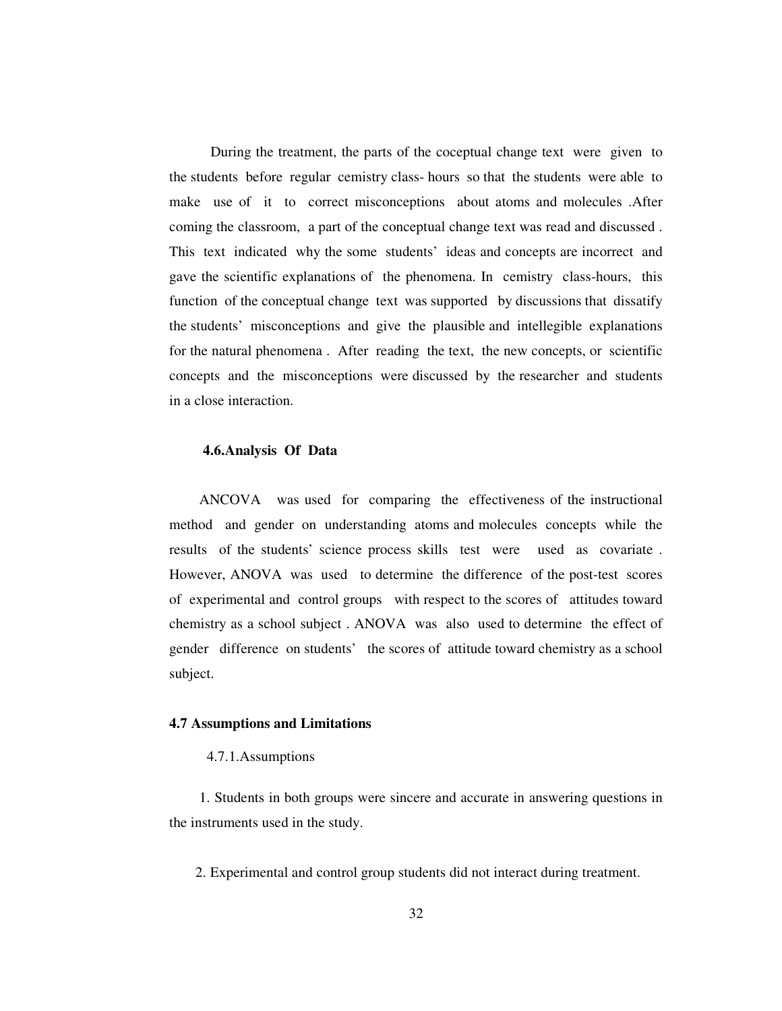During the treatment, the parts of the coceptual change text were given to the students before regular cemistry class- hours so that the students were able to make use of it to correct misconceptions about atoms and molecules .After coming the classroom, a part of the conceptual change text was read and discussed . This text indicated why the some students' ideas and concepts are incorrect and gave the scientific explanations of the phenomena. In cemistry class-hours, this function of the conceptual change text was supported by discussions that dissatify the students' misconceptions and give the plausible and intellegible explanations for the natural phenomena . After reading the text, the new concepts, or scientific concepts and the misconceptions were discussed by the researcher and students in a close interaction.

#### **4.6.Analysis Of Data**

ANCOVA was used for comparing the effectiveness of the instructional method and gender on understanding atoms and molecules concepts while the results of the students' science process skills test were used as covariate . However, ANOVA was used to determine the difference of the post-test scores of experimental and control groups with respect to the scores of attitudes toward chemistry as a school subject . ANOVA was also used to determine the effect of gender difference on students' the scores of attitude toward chemistry as a school subject.

### **4.7 Assumptions and Limitations**

### 4.7.1.Assumptions

 1. Students in both groups were sincere and accurate in answering questions in the instruments used in the study.

2. Experimental and control group students did not interact during treatment.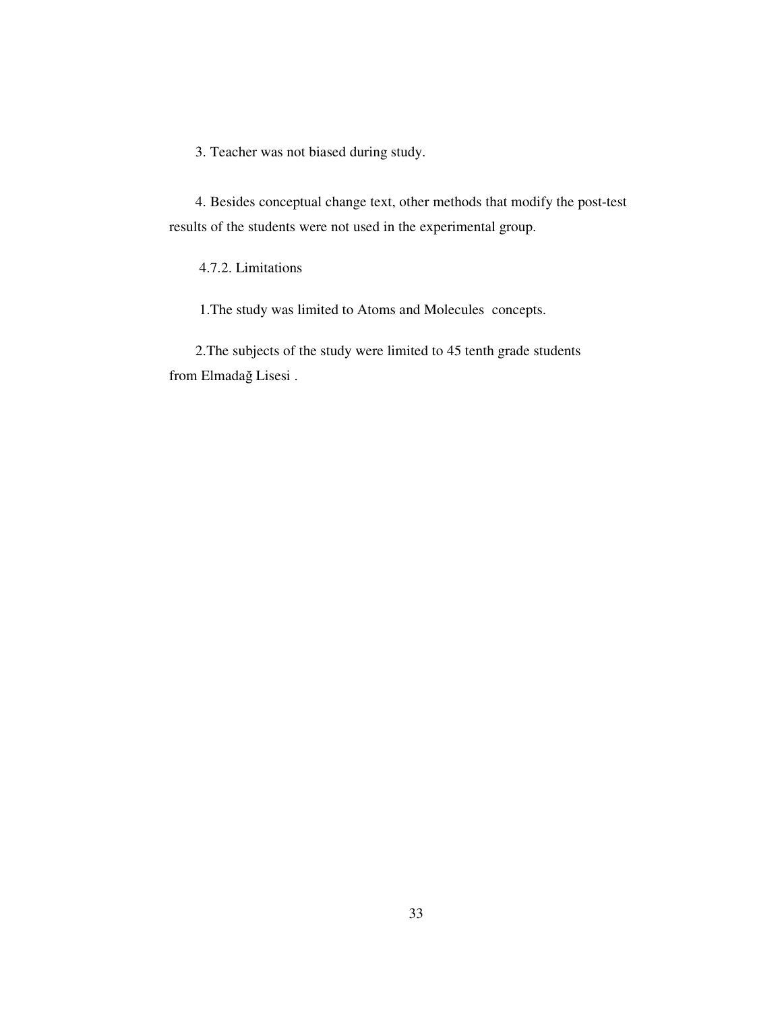3. Teacher was not biased during study.

4. Besides conceptual change text, other methods that modify the post-test results of the students were not used in the experimental group.

4.7.2. Limitations

1.The study was limited to Atoms and Molecules concepts.

 2.The subjects of the study were limited to 45 tenth grade students from Elmadağ Lisesi .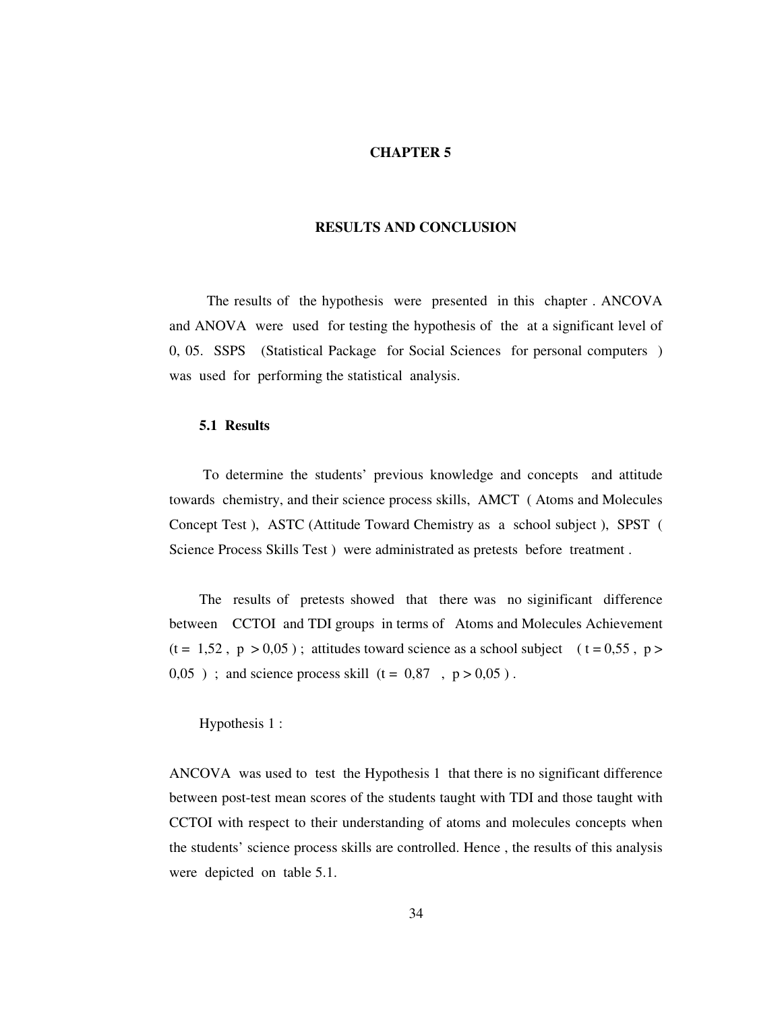#### **CHAPTER 5**

### **RESULTS AND CONCLUSION**

The results of the hypothesis were presented in this chapter . ANCOVA and ANOVA were used for testing the hypothesis of the at a significant level of 0, 05. SSPS (Statistical Package for Social Sciences for personal computers ) was used for performing the statistical analysis.

#### **5.1 Results**

 To determine the students' previous knowledge and concepts and attitude towards chemistry, and their science process skills, AMCT ( Atoms and Molecules Concept Test ), ASTC (Attitude Toward Chemistry as a school subject ), SPST ( Science Process Skills Test ) were administrated as pretests before treatment .

 The results of pretests showed that there was no siginificant difference between CCTOI and TDI groups in terms of Atoms and Molecules Achievement  $(t = 1.52, p > 0.05)$ ; attitudes toward science as a school subject ( $t = 0.55, p > 0.05$ )  $0,05$ ); and science process skill (t =  $0,87$ , p >  $0,05$ ).

### Hypothesis 1 :

ANCOVA was used to test the Hypothesis 1 that there is no significant difference between post-test mean scores of the students taught with TDI and those taught with CCTOI with respect to their understanding of atoms and molecules concepts when the students' science process skills are controlled. Hence , the results of this analysis were depicted on table 5.1.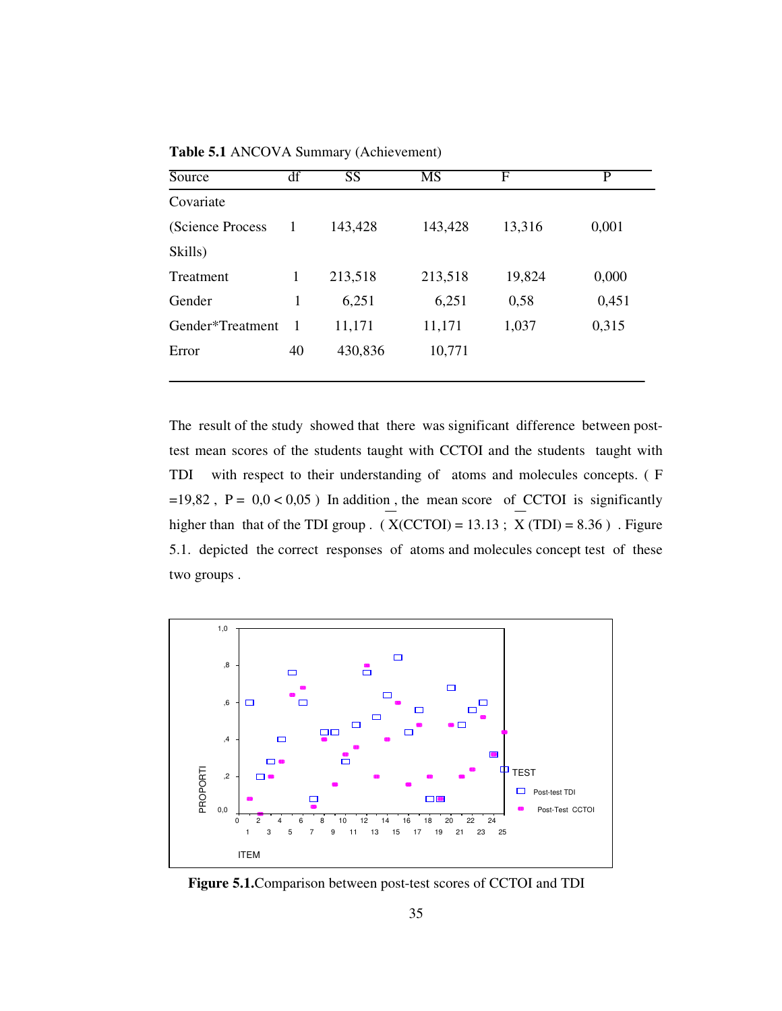**Table 5.1** ANCOVA Summary (Achievement)

| Source            | df | SS      | <b>MS</b> | F      | P     |
|-------------------|----|---------|-----------|--------|-------|
| Covariate         |    |         |           |        |       |
| (Science Process) | 1  | 143,428 | 143,428   | 13,316 | 0,001 |
| Skills)           |    |         |           |        |       |
| Treatment         | 1  | 213,518 | 213,518   | 19,824 | 0,000 |
| Gender            | 1  | 6,251   | 6,251     | 0,58   | 0,451 |
| Gender*Treatment  | -1 | 11,171  | 11,171    | 1,037  | 0,315 |
| Error             | 40 | 430,836 | 10,771    |        |       |
|                   |    |         |           |        |       |

The result of the study showed that there was significant difference between posttest mean scores of the students taught with CCTOI and the students taught with TDI with respect to their understanding of atoms and molecules concepts. ( F  $=19,82$ ,  $P = 0,0 < 0,05$ ) In addition, the mean score of CCTOI is significantly higher than that of the TDI group . ( $X(CCTOI) = 13.13$ ;  $X(TDI) = 8.36$ ). Figure 5.1. depicted the correct responses of atoms and molecules concept test of these two groups .



**Figure 5.1.**Comparison between post-test scores of CCTOI and TDI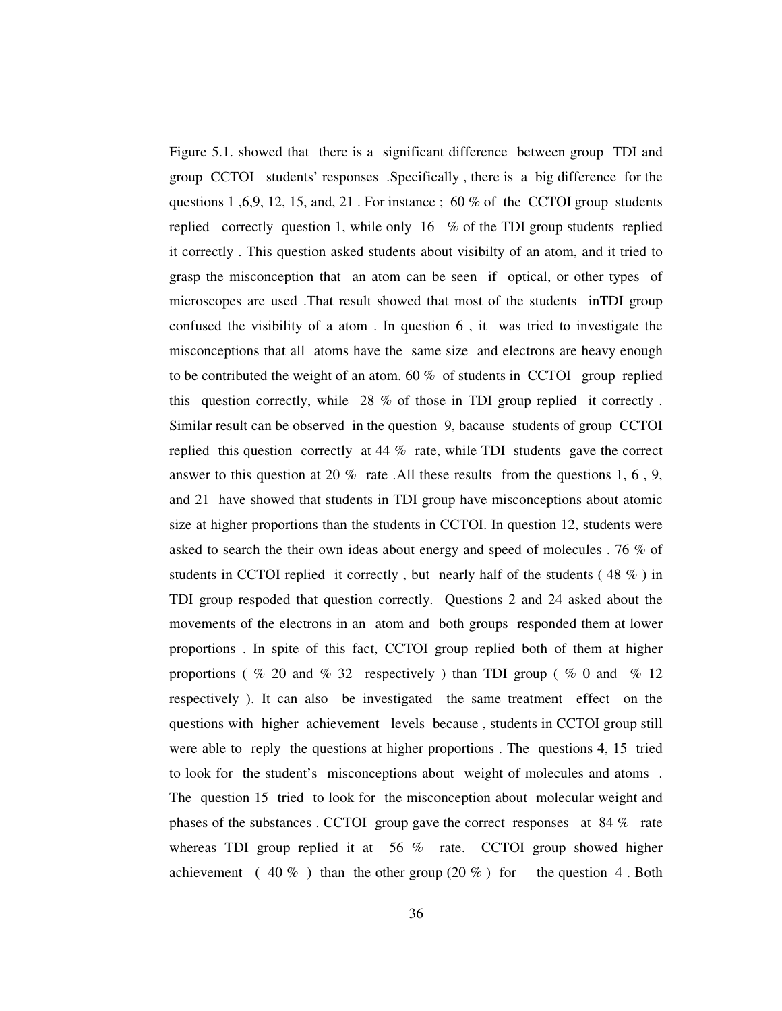Figure 5.1. showed that there is a significant difference between group TDI and group CCTOI students' responses .Specifically , there is a big difference for the questions 1,6,9, 12, 15, and, 21. For instance ; 60 % of the CCTOI group students replied correctly question 1, while only 16  $%$  of the TDI group students replied it correctly . This question asked students about visibilty of an atom, and it tried to grasp the misconception that an atom can be seen if optical, or other types of microscopes are used .That result showed that most of the students inTDI group confused the visibility of a atom . In question 6 , it was tried to investigate the misconceptions that all atoms have the same size and electrons are heavy enough to be contributed the weight of an atom. 60 % of students in CCTOI group replied this question correctly, while 28 % of those in TDI group replied it correctly . Similar result can be observed in the question 9, bacause students of group CCTOI replied this question correctly at 44 % rate, while TDI students gave the correct answer to this question at 20 % rate .All these results from the questions 1, 6 , 9, and 21 have showed that students in TDI group have misconceptions about atomic size at higher proportions than the students in CCTOI. In question 12, students were asked to search the their own ideas about energy and speed of molecules . 76 % of students in CCTOI replied it correctly , but nearly half of the students ( 48 % ) in TDI group respoded that question correctly. Questions 2 and 24 asked about the movements of the electrons in an atom and both groups responded them at lower proportions . In spite of this fact, CCTOI group replied both of them at higher proportions (  $\%$  20 and  $\%$  32 respectively ) than TDI group (  $\%$  0 and  $\%$  12 respectively ). It can also be investigated the same treatment effect on the questions with higher achievement levels because , students in CCTOI group still were able to reply the questions at higher proportions . The questions 4, 15 tried to look for the student's misconceptions about weight of molecules and atoms . The question 15 tried to look for the misconception about molecular weight and phases of the substances . CCTOI group gave the correct responses at 84 % rate whereas TDI group replied it at 56  $\%$  rate. CCTOI group showed higher achievement ( 40 % ) than the other group (20 %) for the question 4. Both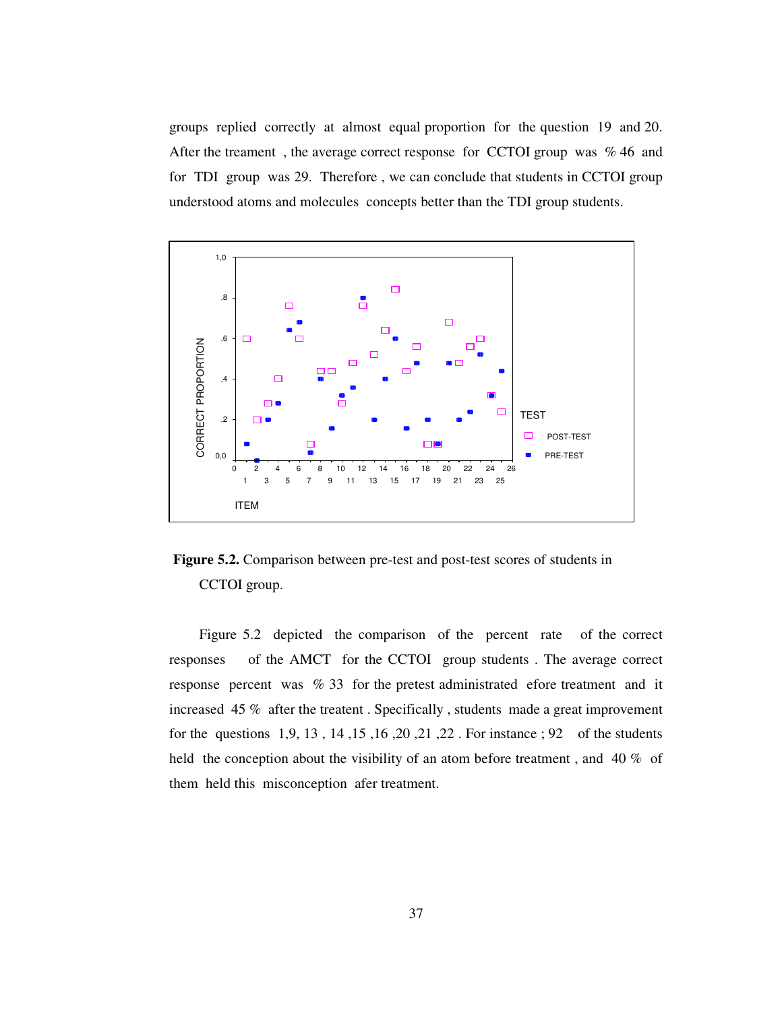groups replied correctly at almost equal proportion for the question 19 and 20. After the treament , the average correct response for CCTOI group was % 46 and for TDI group was 29. Therefore , we can conclude that students in CCTOI group understood atoms and molecules concepts better than the TDI group students.



**Figure 5.2.** Comparison between pre-test and post-test scores of students in CCTOI group.

 Figure 5.2 depicted the comparison of the percent rate of the correct responses of the AMCT for the CCTOI group students . The average correct response percent was % 33 for the pretest administrated efore treatment and it increased 45 % after the treatent . Specifically , students made a great improvement for the questions 1,9, 13 , 14 ,15 ,16 ,20 ,21 ,22 . For instance ; 92 of the students held the conception about the visibility of an atom before treatment, and 40 % of them held this misconception afer treatment.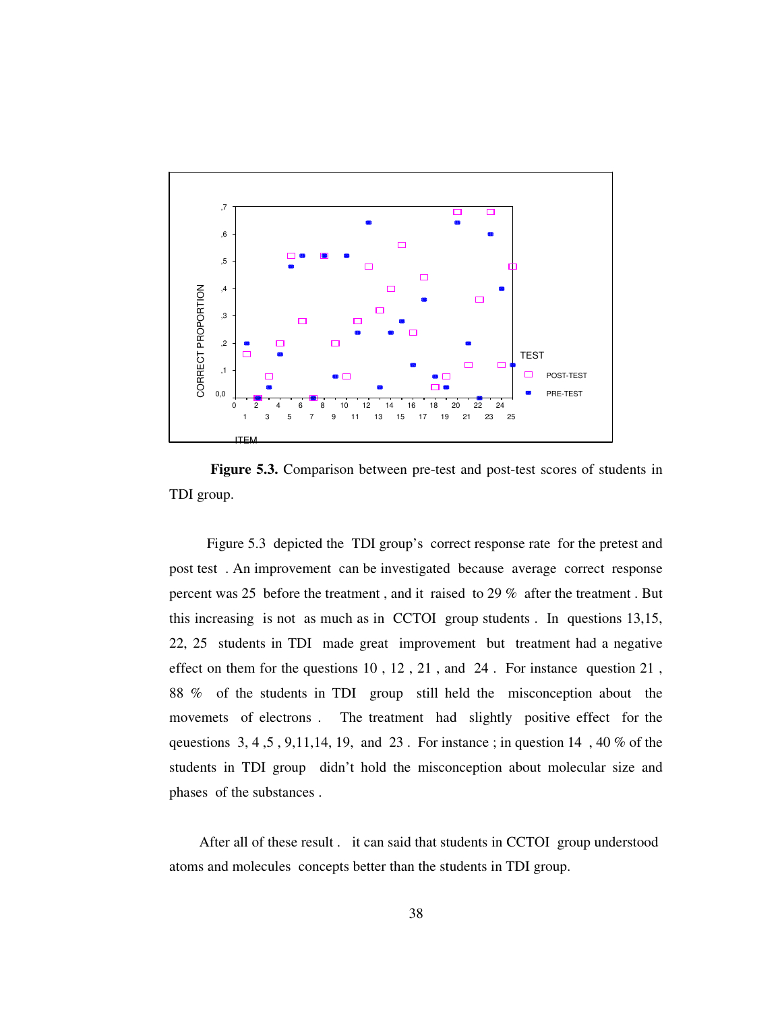

 **Figure 5.3.** Comparison between pre-test and post-test scores of students in TDI group.

 Figure 5.3 depicted the TDI group's correct response rate for the pretest and post test . An improvement can be investigated because average correct response percent was 25 before the treatment , and it raised to 29 % after the treatment . But this increasing is not as much as in CCTOI group students . In questions 13,15, 22, 25 students in TDI made great improvement but treatment had a negative effect on them for the questions 10 , 12 , 21 , and 24 . For instance question 21 , 88 % of the students in TDI group still held the misconception about the movemets of electrons . The treatment had slightly positive effect for the qeuestions  $3, 4, 5, 9, 11, 14, 19$ , and  $23$ . For instance ; in question 14, 40 % of the students in TDI group didn't hold the misconception about molecular size and phases of the substances .

 After all of these result . it can said that students in CCTOI group understood atoms and molecules concepts better than the students in TDI group.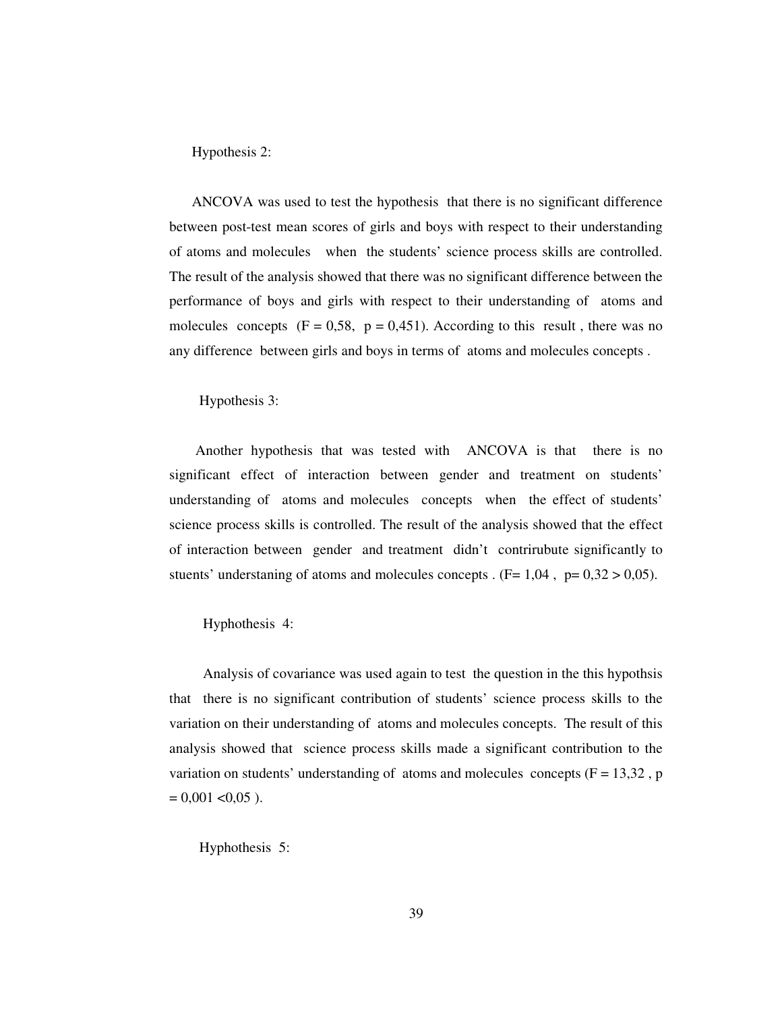Hypothesis 2:

 ANCOVA was used to test the hypothesis that there is no significant difference between post-test mean scores of girls and boys with respect to their understanding of atoms and molecules when the students' science process skills are controlled. The result of the analysis showed that there was no significant difference between the performance of boys and girls with respect to their understanding of atoms and molecules concepts  $(F = 0.58, p = 0.451)$ . According to this result, there was no any difference between girls and boys in terms of atoms and molecules concepts .

#### Hypothesis 3:

 Another hypothesis that was tested with ANCOVA is that there is no significant effect of interaction between gender and treatment on students' understanding of atoms and molecules concepts when the effect of students' science process skills is controlled. The result of the analysis showed that the effect of interaction between gender and treatment didn't contrirubute significantly to stuents' understaning of atoms and molecules concepts . (F=  $1,04$ , p=  $0,32 > 0,05$ ).

#### Hyphothesis 4:

 Analysis of covariance was used again to test the question in the this hypothsis that there is no significant contribution of students' science process skills to the variation on their understanding of atoms and molecules concepts. The result of this analysis showed that science process skills made a significant contribution to the variation on students' understanding of atoms and molecules concepts  $(F = 13,32, p)$  $= 0,001 < 0,05$ .

#### Hyphothesis 5: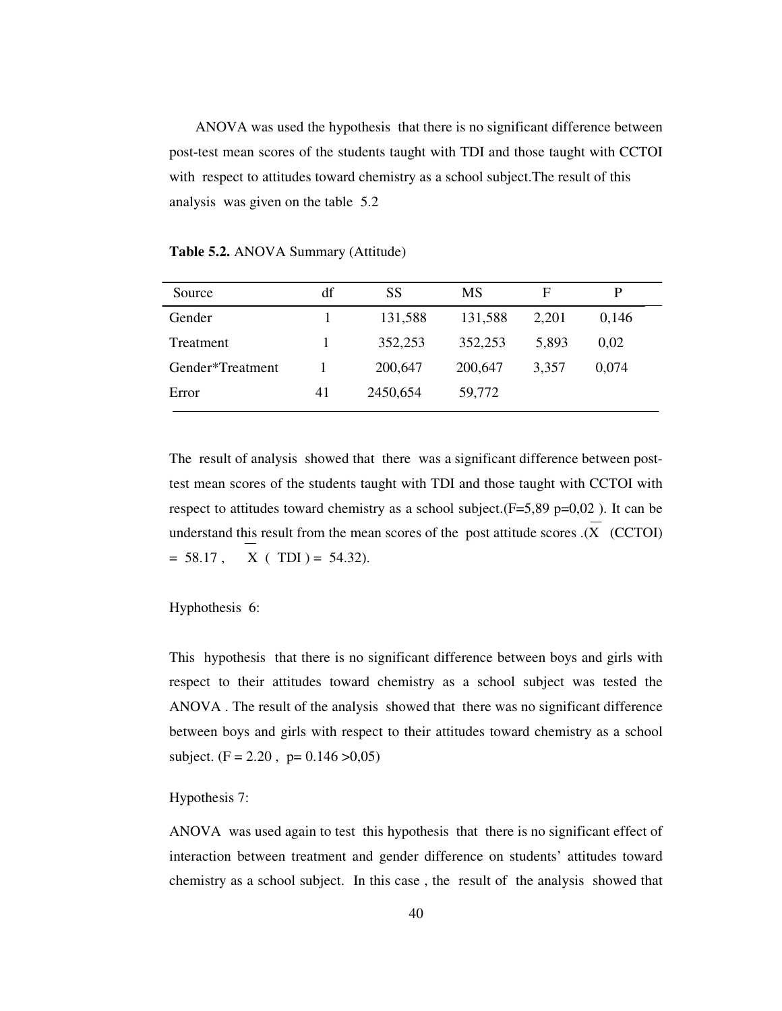ANOVA was used the hypothesis that there is no significant difference between post-test mean scores of the students taught with TDI and those taught with CCTOI with respect to attitudes toward chemistry as a school subject.The result of this analysis was given on the table 5.2

**Table 5.2.** ANOVA Summary (Attitude)

| Source           | df | SS       | MS      | F     | P     |
|------------------|----|----------|---------|-------|-------|
| Gender           |    | 131,588  | 131,588 | 2,201 | 0.146 |
| Treatment        |    | 352,253  | 352,253 | 5,893 | 0.02  |
| Gender*Treatment |    | 200,647  | 200,647 | 3.357 | 0,074 |
| Error            | 41 | 2450,654 | 59,772  |       |       |

The result of analysis showed that there was a significant difference between posttest mean scores of the students taught with TDI and those taught with CCTOI with respect to attitudes toward chemistry as a school subject. $(F=5,89 \text{ p}=0,02)$ . It can be understand this result from the mean scores of the post attitude scores .(X (CCTOI)  $= 58.17$ ,  $X (TDI) = 54.32$ ).

Hyphothesis 6:

This hypothesis that there is no significant difference between boys and girls with respect to their attitudes toward chemistry as a school subject was tested the ANOVA . The result of the analysis showed that there was no significant difference between boys and girls with respect to their attitudes toward chemistry as a school subject.  $(F = 2.20, p = 0.146 > 0.05)$ 

Hypothesis 7:

ANOVA was used again to test this hypothesis that there is no significant effect of interaction between treatment and gender difference on students' attitudes toward chemistry as a school subject. In this case , the result of the analysis showed that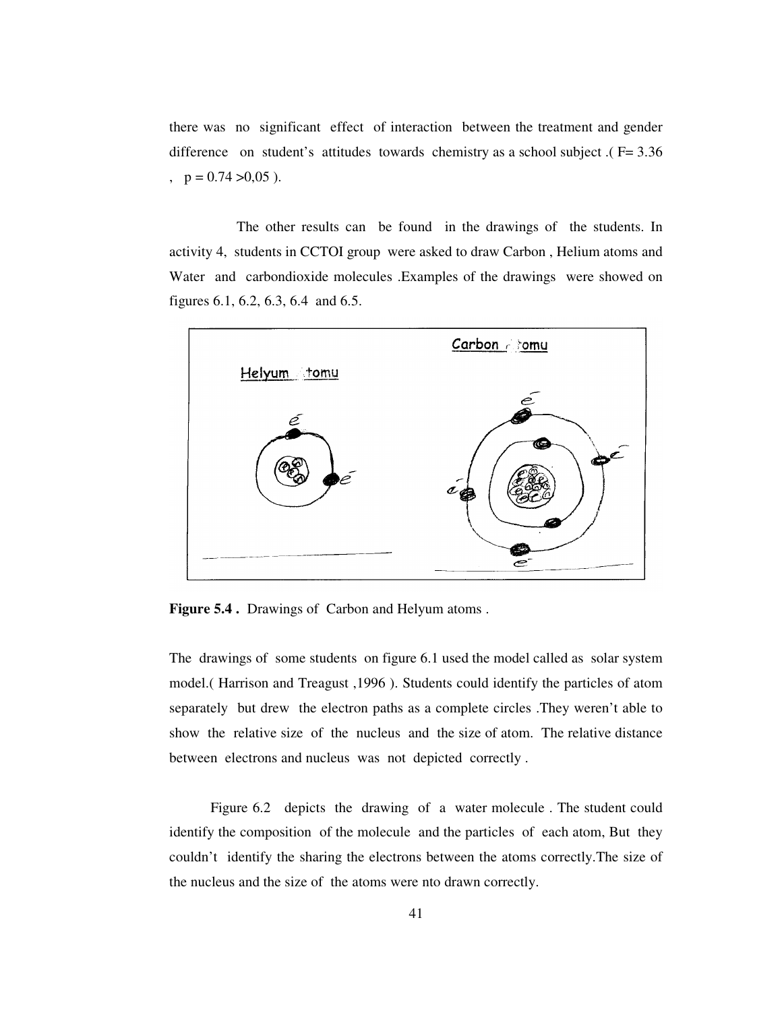there was no significant effect of interaction between the treatment and gender difference on student's attitudes towards chemistry as a school subject  $(F = 3.36)$  $p = 0.74 > 0.05$ .

The other results can be found in the drawings of the students. In activity 4, students in CCTOI group were asked to draw Carbon , Helium atoms and Water and carbondioxide molecules .Examples of the drawings were showed on figures 6.1, 6.2, 6.3, 6.4 and 6.5.



**Figure 5.4 .** Drawings of Carbon and Helyum atoms .

The drawings of some students on figure 6.1 used the model called as solar system model.( Harrison and Treagust ,1996 ). Students could identify the particles of atom separately but drew the electron paths as a complete circles .They weren't able to show the relative size of the nucleus and the size of atom. The relative distance between electrons and nucleus was not depicted correctly .

 Figure 6.2 depicts the drawing of a water molecule . The student could identify the composition of the molecule and the particles of each atom, But they couldn't identify the sharing the electrons between the atoms correctly.The size of the nucleus and the size of the atoms were nto drawn correctly.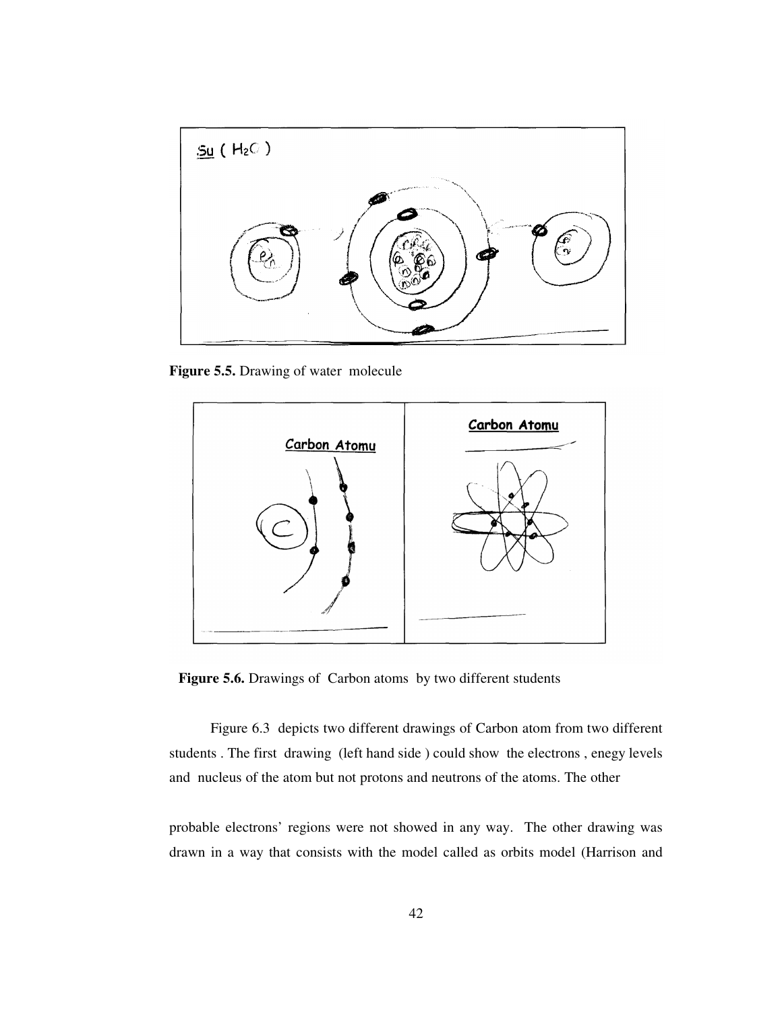

**Figure 5.5.** Drawing of water molecule



**Figure 5.6.** Drawings of Carbon atoms by two different students

Figure 6.3 depicts two different drawings of Carbon atom from two different students . The first drawing (left hand side ) could show the electrons , enegy levels and nucleus of the atom but not protons and neutrons of the atoms. The other

probable electrons' regions were not showed in any way. The other drawing was drawn in a way that consists with the model called as orbits model (Harrison and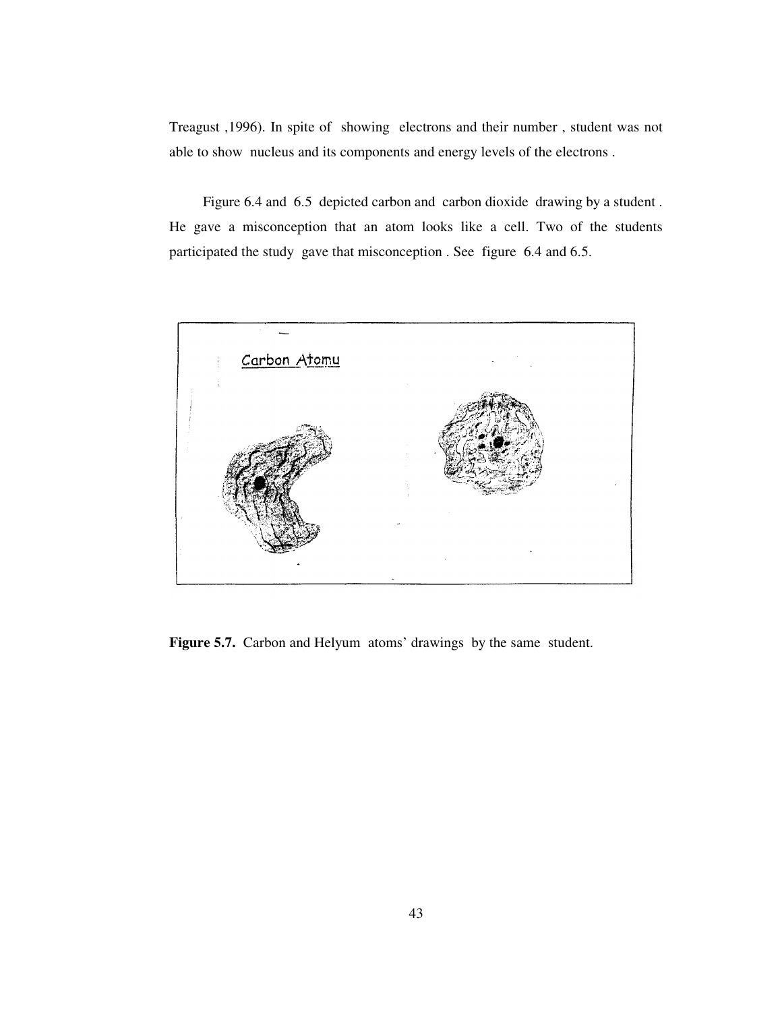Treagust ,1996). In spite of showing electrons and their number , student was not able to show nucleus and its components and energy levels of the electrons .

 Figure 6.4 and 6.5 depicted carbon and carbon dioxide drawing by a student . He gave a misconception that an atom looks like a cell. Two of the students participated the study gave that misconception . See figure 6.4 and 6.5.



**Figure 5.7.** Carbon and Helyum atoms' drawings by the same student.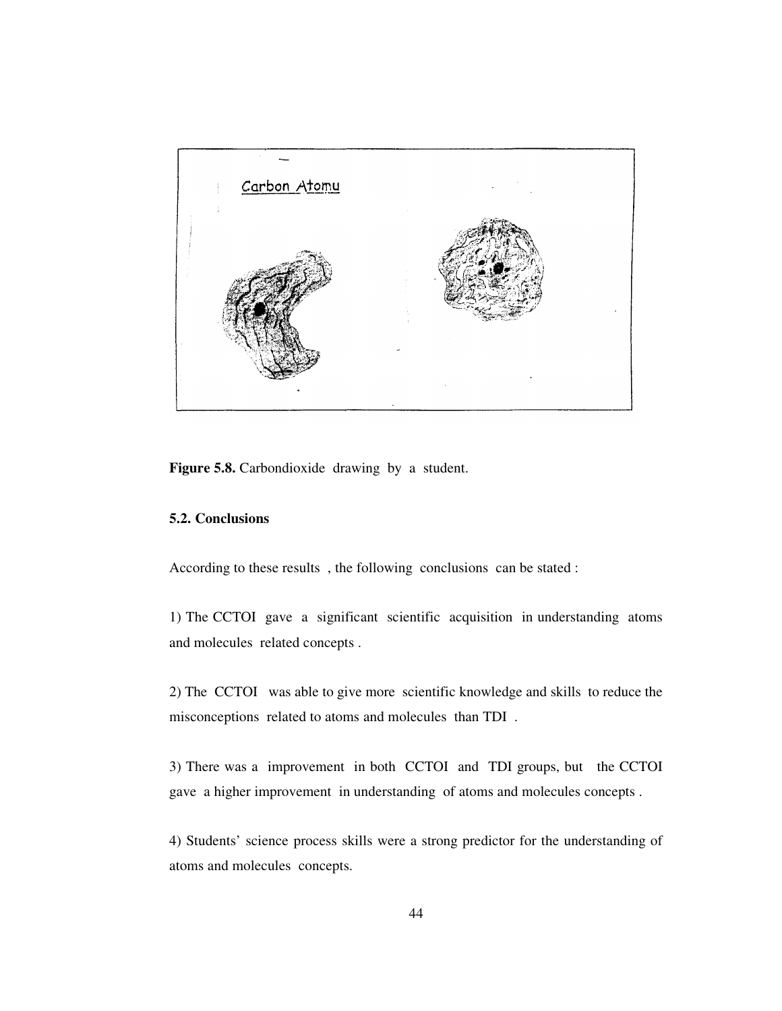

**Figure 5.8.** Carbondioxide drawing by a student.

# **5.2. Conclusions**

According to these results , the following conclusions can be stated :

1) The CCTOI gave a significant scientific acquisition in understanding atoms and molecules related concepts .

2) The CCTOI was able to give more scientific knowledge and skills to reduce the misconceptions related to atoms and molecules than TDI .

3) There was a improvement in both CCTOI and TDI groups, but the CCTOI gave a higher improvement in understanding of atoms and molecules concepts .

4) Students' science process skills were a strong predictor for the understanding of atoms and molecules concepts.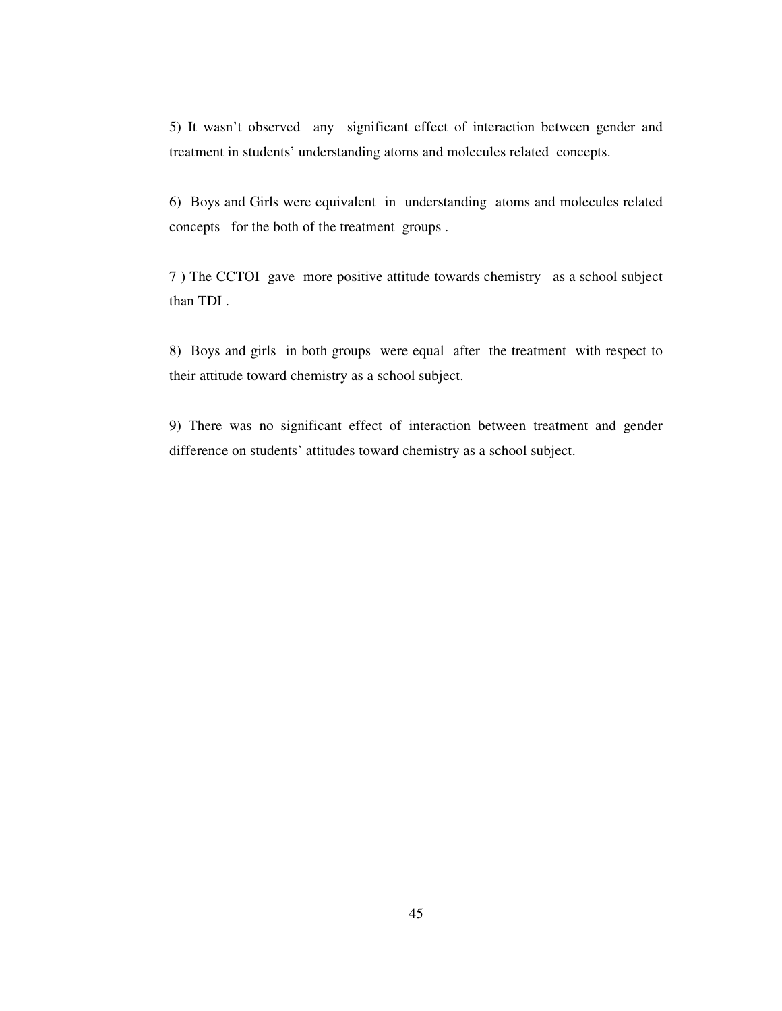5) It wasn't observed any significant effect of interaction between gender and treatment in students' understanding atoms and molecules related concepts.

6) Boys and Girls were equivalent in understanding atoms and molecules related concepts for the both of the treatment groups .

7 ) The CCTOI gave more positive attitude towards chemistry as a school subject than TDI .

8) Boys and girls in both groups were equal after the treatment with respect to their attitude toward chemistry as a school subject.

9) There was no significant effect of interaction between treatment and gender difference on students' attitudes toward chemistry as a school subject.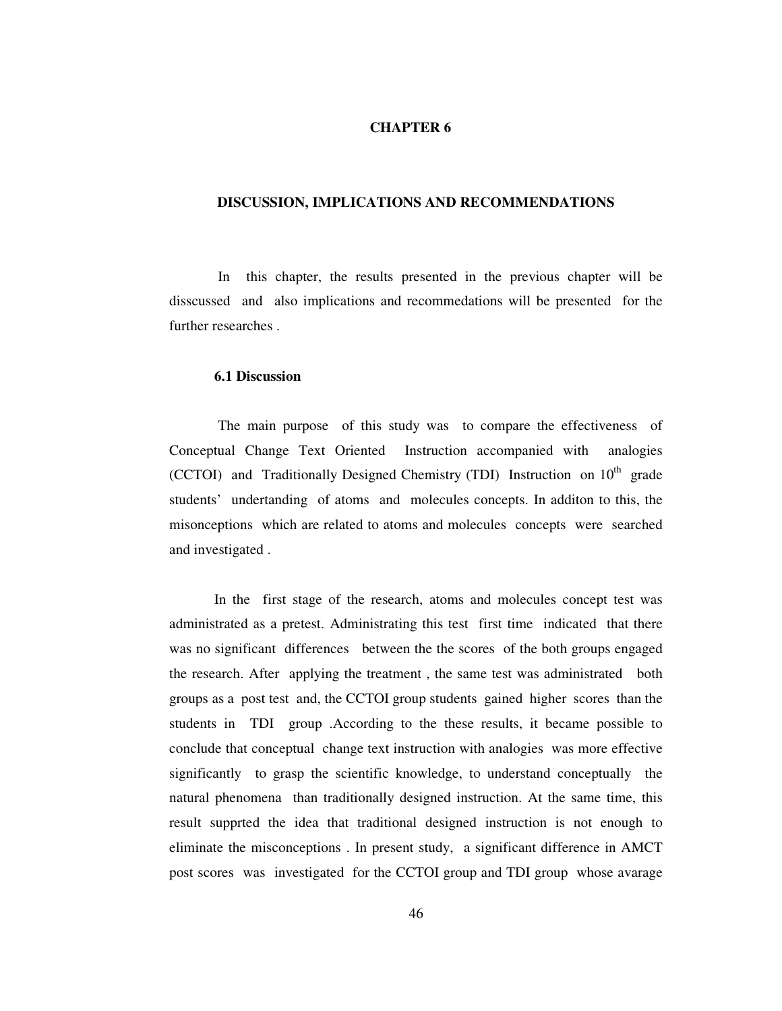### **CHAPTER 6**

#### **DISCUSSION, IMPLICATIONS AND RECOMMENDATIONS**

 In this chapter, the results presented in the previous chapter will be disscussed and also implications and recommedations will be presented for the further researches .

### **6.1 Discussion**

The main purpose of this study was to compare the effectiveness of Conceptual Change Text Oriented Instruction accompanied with analogies (CCTOI) and Traditionally Designed Chemistry (TDI) Instruction on  $10<sup>th</sup>$  grade students' undertanding of atoms and molecules concepts. In additon to this, the misonceptions which are related to atoms and molecules concepts were searched and investigated .

In the first stage of the research, atoms and molecules concept test was administrated as a pretest. Administrating this test first time indicated that there was no significant differences between the the scores of the both groups engaged the research. After applying the treatment , the same test was administrated both groups as a post test and, the CCTOI group students gained higher scores than the students in TDI group .According to the these results, it became possible to conclude that conceptual change text instruction with analogies was more effective significantly to grasp the scientific knowledge, to understand conceptually the natural phenomena than traditionally designed instruction. At the same time, this result supprted the idea that traditional designed instruction is not enough to eliminate the misconceptions . In present study, a significant difference in AMCT post scores was investigated for the CCTOI group and TDI group whose avarage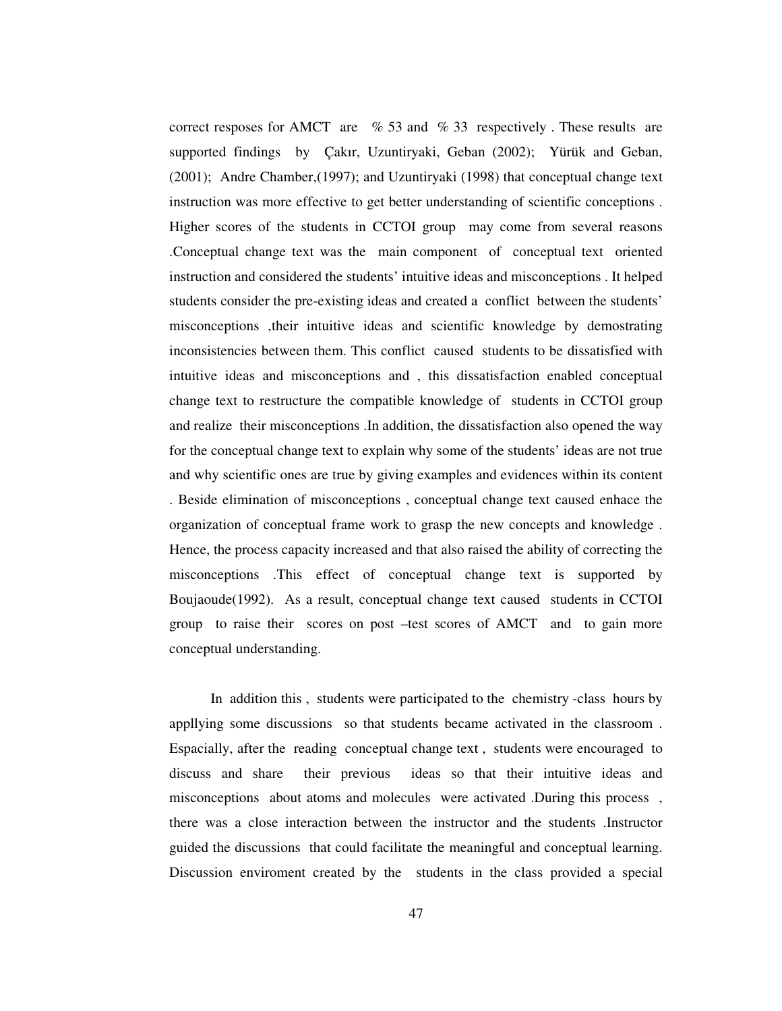correct resposes for AMCT are  $\%$  53 and  $\%$  33 respectively. These results are supported findings by Çakır, Uzuntiryaki, Geban (2002); Yürük and Geban, (2001); Andre Chamber,(1997); and Uzuntiryaki (1998) that conceptual change text instruction was more effective to get better understanding of scientific conceptions . Higher scores of the students in CCTOI group may come from several reasons .Conceptual change text was the main component of conceptual text oriented instruction and considered the students' intuitive ideas and misconceptions . It helped students consider the pre-existing ideas and created a conflict between the students' misconceptions ,their intuitive ideas and scientific knowledge by demostrating inconsistencies between them. This conflict caused students to be dissatisfied with intuitive ideas and misconceptions and , this dissatisfaction enabled conceptual change text to restructure the compatible knowledge of students in CCTOI group and realize their misconceptions .In addition, the dissatisfaction also opened the way for the conceptual change text to explain why some of the students' ideas are not true and why scientific ones are true by giving examples and evidences within its content . Beside elimination of misconceptions , conceptual change text caused enhace the organization of conceptual frame work to grasp the new concepts and knowledge . Hence, the process capacity increased and that also raised the ability of correcting the misconceptions .This effect of conceptual change text is supported by Boujaoude(1992). As a result, conceptual change text caused students in CCTOI group to raise their scores on post –test scores of AMCT and to gain more conceptual understanding.

 In addition this , students were participated to the chemistry -class hours by appllying some discussions so that students became activated in the classroom . Espacially, after the reading conceptual change text , students were encouraged to discuss and share their previous ideas so that their intuitive ideas and misconceptions about atoms and molecules were activated .During this process , there was a close interaction between the instructor and the students .Instructor guided the discussions that could facilitate the meaningful and conceptual learning. Discussion enviroment created by the students in the class provided a special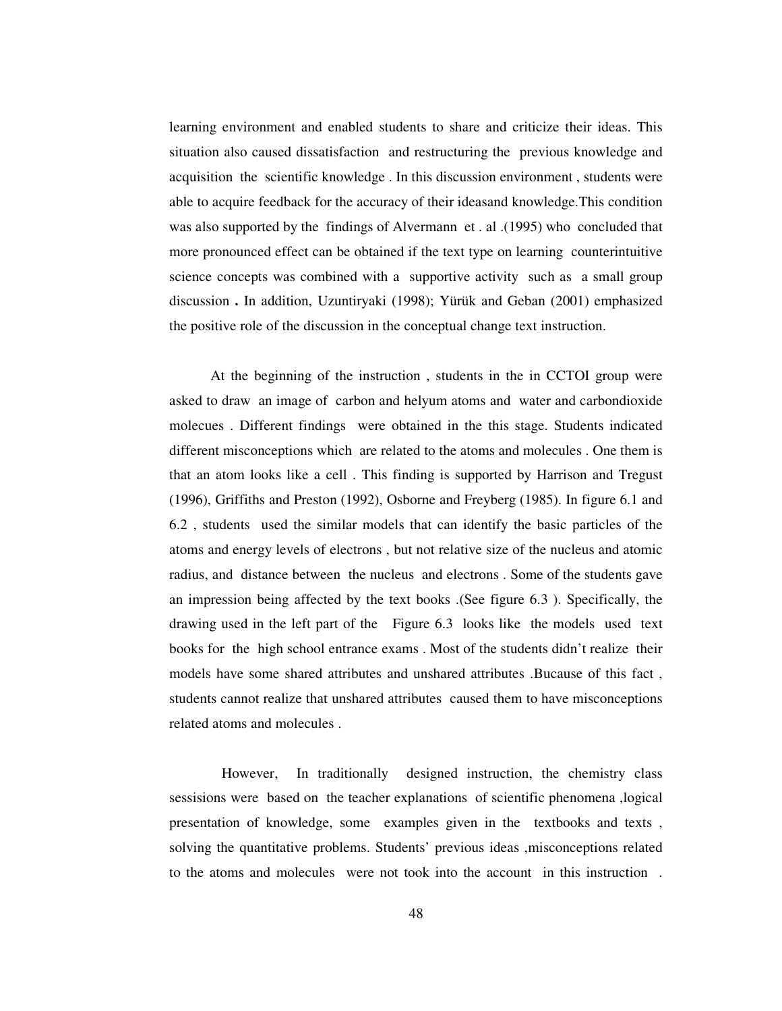learning environment and enabled students to share and criticize their ideas. This situation also caused dissatisfaction and restructuring the previous knowledge and acquisition the scientific knowledge . In this discussion environment , students were able to acquire feedback for the accuracy of their ideasand knowledge.This condition was also supported by the findings of Alvermann et . al .(1995) who concluded that more pronounced effect can be obtained if the text type on learning counterintuitive science concepts was combined with a supportive activity such as a small group discussion **.** In addition, Uzuntiryaki (1998); Yürük and Geban (2001) emphasized the positive role of the discussion in the conceptual change text instruction.

 At the beginning of the instruction , students in the in CCTOI group were asked to draw an image of carbon and helyum atoms and water and carbondioxide molecues . Different findings were obtained in the this stage. Students indicated different misconceptions which are related to the atoms and molecules . One them is that an atom looks like a cell . This finding is supported by Harrison and Tregust (1996), Griffiths and Preston (1992), Osborne and Freyberg (1985). In figure 6.1 and 6.2 , students used the similar models that can identify the basic particles of the atoms and energy levels of electrons , but not relative size of the nucleus and atomic radius, and distance between the nucleus and electrons . Some of the students gave an impression being affected by the text books .(See figure 6.3 ). Specifically, the drawing used in the left part of the Figure 6.3 looks like the models used text books for the high school entrance exams . Most of the students didn't realize their models have some shared attributes and unshared attributes .Bucause of this fact , students cannot realize that unshared attributes caused them to have misconceptions related atoms and molecules .

 However, In traditionally designed instruction, the chemistry class sessisions were based on the teacher explanations of scientific phenomena ,logical presentation of knowledge, some examples given in the textbooks and texts , solving the quantitative problems. Students' previous ideas ,misconceptions related to the atoms and molecules were not took into the account in this instruction .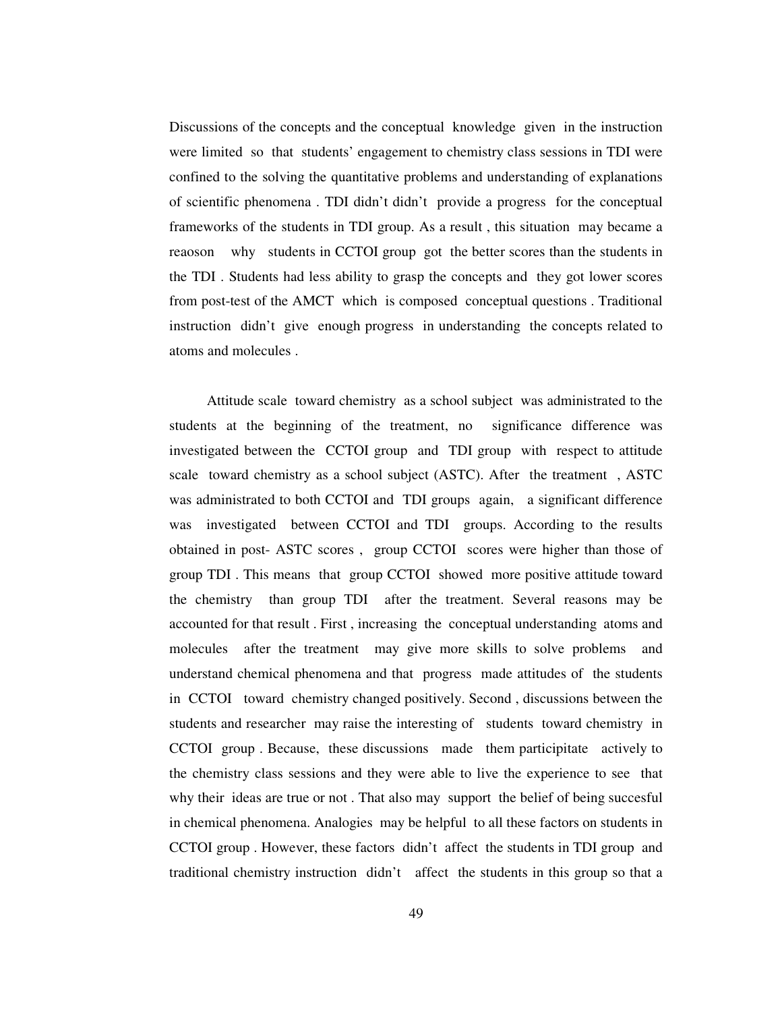Discussions of the concepts and the conceptual knowledge given in the instruction were limited so that students' engagement to chemistry class sessions in TDI were confined to the solving the quantitative problems and understanding of explanations of scientific phenomena . TDI didn't didn't provide a progress for the conceptual frameworks of the students in TDI group. As a result , this situation may became a reaoson why students in CCTOI group got the better scores than the students in the TDI . Students had less ability to grasp the concepts and they got lower scores from post-test of the AMCT which is composed conceptual questions . Traditional instruction didn't give enough progress in understanding the concepts related to atoms and molecules .

 Attitude scale toward chemistry as a school subject was administrated to the students at the beginning of the treatment, no significance difference was investigated between the CCTOI group and TDI group with respect to attitude scale toward chemistry as a school subject (ASTC). After the treatment , ASTC was administrated to both CCTOI and TDI groups again, a significant difference was investigated between CCTOI and TDI groups. According to the results obtained in post- ASTC scores , group CCTOI scores were higher than those of group TDI . This means that group CCTOI showed more positive attitude toward the chemistry than group TDI after the treatment. Several reasons may be accounted for that result . First , increasing the conceptual understanding atoms and molecules after the treatment may give more skills to solve problems and understand chemical phenomena and that progress made attitudes of the students in CCTOI toward chemistry changed positively. Second , discussions between the students and researcher may raise the interesting of students toward chemistry in CCTOI group . Because, these discussions made them participitate actively to the chemistry class sessions and they were able to live the experience to see that why their ideas are true or not . That also may support the belief of being succesful in chemical phenomena. Analogies may be helpful to all these factors on students in CCTOI group . However, these factors didn't affect the students in TDI group and traditional chemistry instruction didn't affect the students in this group so that a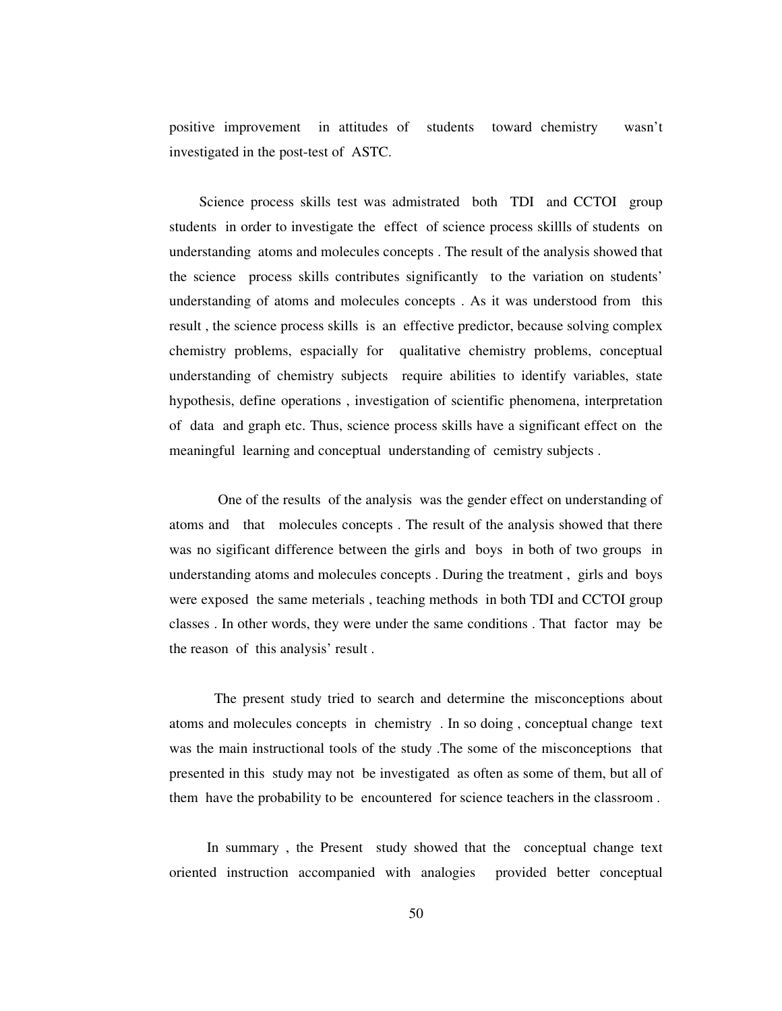positive improvement in attitudes of students toward chemistry wasn't investigated in the post-test of ASTC.

Science process skills test was admistrated both TDI and CCTOI group students in order to investigate the effect of science process skillls of students on understanding atoms and molecules concepts . The result of the analysis showed that the science process skills contributes significantly to the variation on students' understanding of atoms and molecules concepts . As it was understood from this result , the science process skills is an effective predictor, because solving complex chemistry problems, espacially for qualitative chemistry problems, conceptual understanding of chemistry subjects require abilities to identify variables, state hypothesis, define operations , investigation of scientific phenomena, interpretation of data and graph etc. Thus, science process skills have a significant effect on the meaningful learning and conceptual understanding of cemistry subjects .

One of the results of the analysis was the gender effect on understanding of atoms and that molecules concepts . The result of the analysis showed that there was no sigificant difference between the girls and boys in both of two groups in understanding atoms and molecules concepts . During the treatment , girls and boys were exposed the same meterials , teaching methods in both TDI and CCTOI group classes . In other words, they were under the same conditions . That factor may be the reason of this analysis' result .

 The present study tried to search and determine the misconceptions about atoms and molecules concepts in chemistry . In so doing , conceptual change text was the main instructional tools of the study .The some of the misconceptions that presented in this study may not be investigated as often as some of them, but all of them have the probability to be encountered for science teachers in the classroom .

 In summary , the Present study showed that the conceptual change text oriented instruction accompanied with analogies provided better conceptual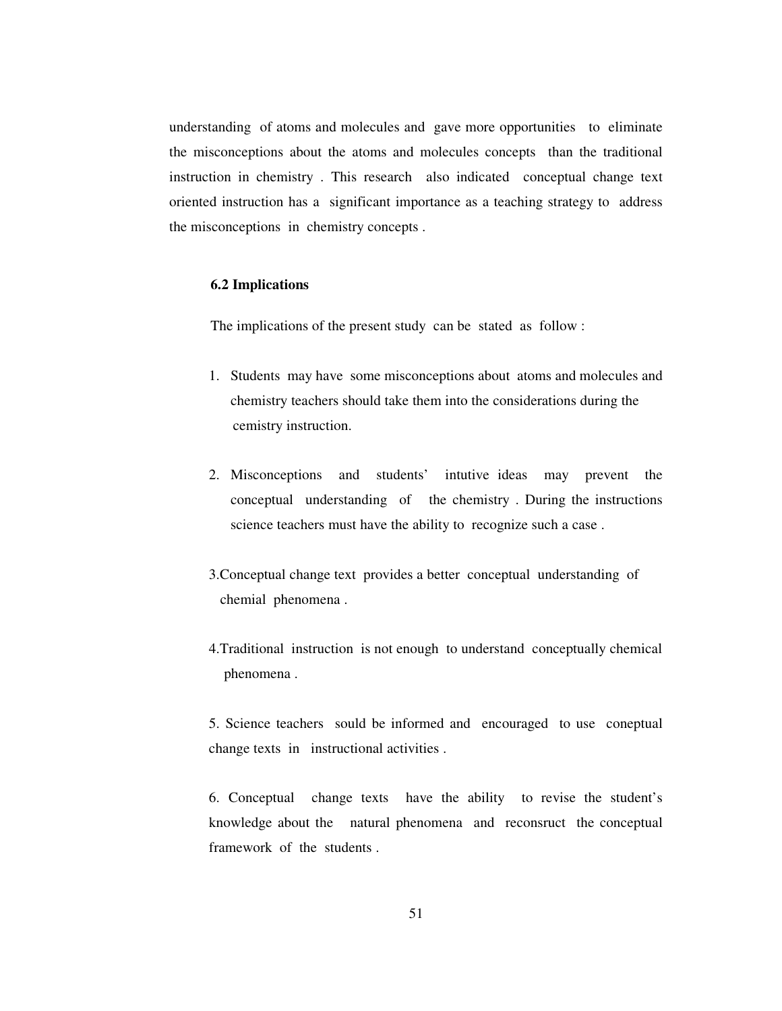understanding of atoms and molecules and gave more opportunities to eliminate the misconceptions about the atoms and molecules concepts than the traditional instruction in chemistry . This research also indicated conceptual change text oriented instruction has a significant importance as a teaching strategy to address the misconceptions in chemistry concepts .

### **6.2 Implications**

The implications of the present study can be stated as follow :

- 1. Students may have some misconceptions about atoms and molecules and chemistry teachers should take them into the considerations during the cemistry instruction.
- 2. Misconceptions and students' intutive ideas may prevent the conceptual understanding of the chemistry . During the instructions science teachers must have the ability to recognize such a case .
- 3.Conceptual change text provides a better conceptual understanding of chemial phenomena .
- 4.Traditional instruction is not enough to understand conceptually chemical phenomena .

5. Science teachers sould be informed and encouraged to use coneptual change texts in instructional activities .

6. Conceptual change texts have the ability to revise the student's knowledge about the natural phenomena and reconsruct the conceptual framework of the students .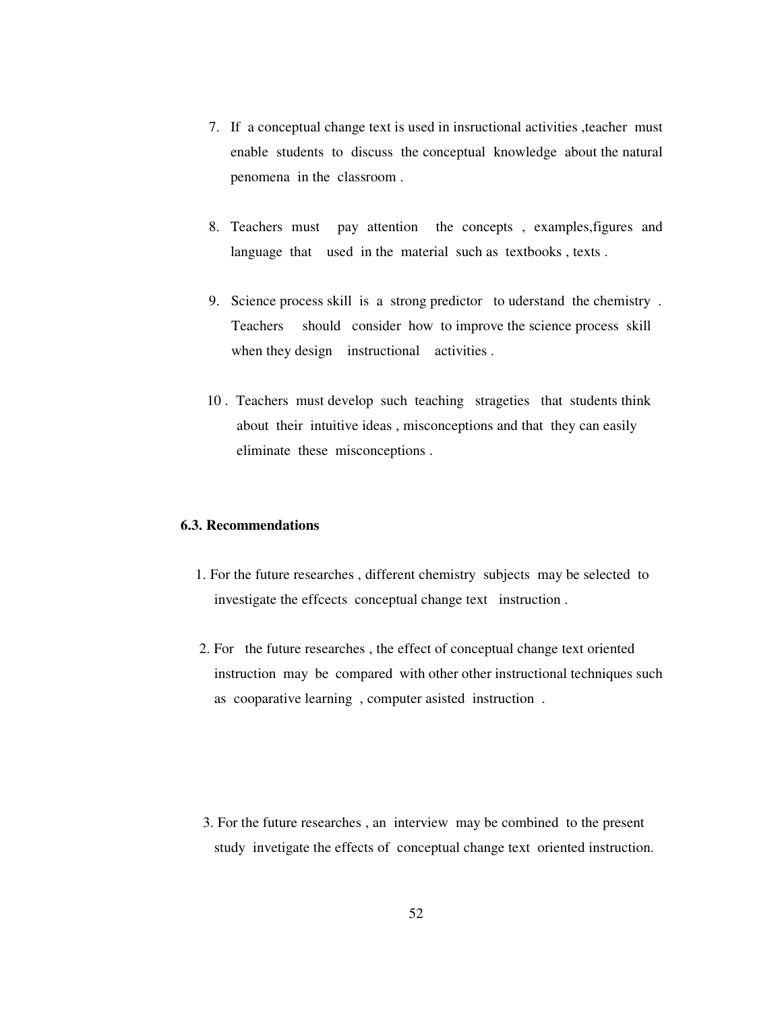- 7. If a conceptual change text is used in insructional activities ,teacher must enable students to discuss the conceptual knowledge about the natural penomena in the classroom .
- 8. Teachers must pay attention the concepts , examples,figures and language that used in the material such as textbooks, texts.
- 9. Science process skill is a strong predictor to uderstand the chemistry . Teachers should consider how to improve the science process skill when they design instructional activities.
- 10 . Teachers must develop such teaching strageties that students think about their intuitive ideas , misconceptions and that they can easily eliminate these misconceptions .

# **6.3. Recommendations**

- 1. For the future researches , different chemistry subjects may be selected to investigate the effcects conceptual change text instruction .
- 2. For the future researches , the effect of conceptual change text oriented instruction may be compared with other other instructional techniques such as cooparative learning , computer asisted instruction .

 3. For the future researches , an interview may be combined to the present study invetigate the effects of conceptual change text oriented instruction.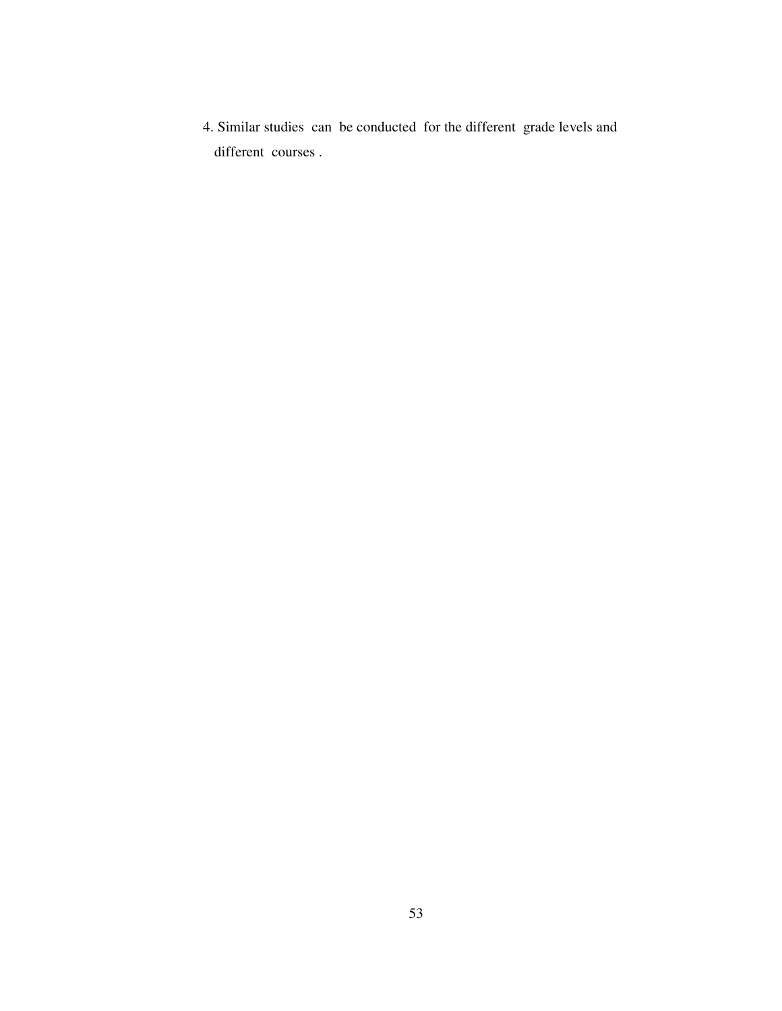4. Similar studies can be conducted for the different grade levels and different courses .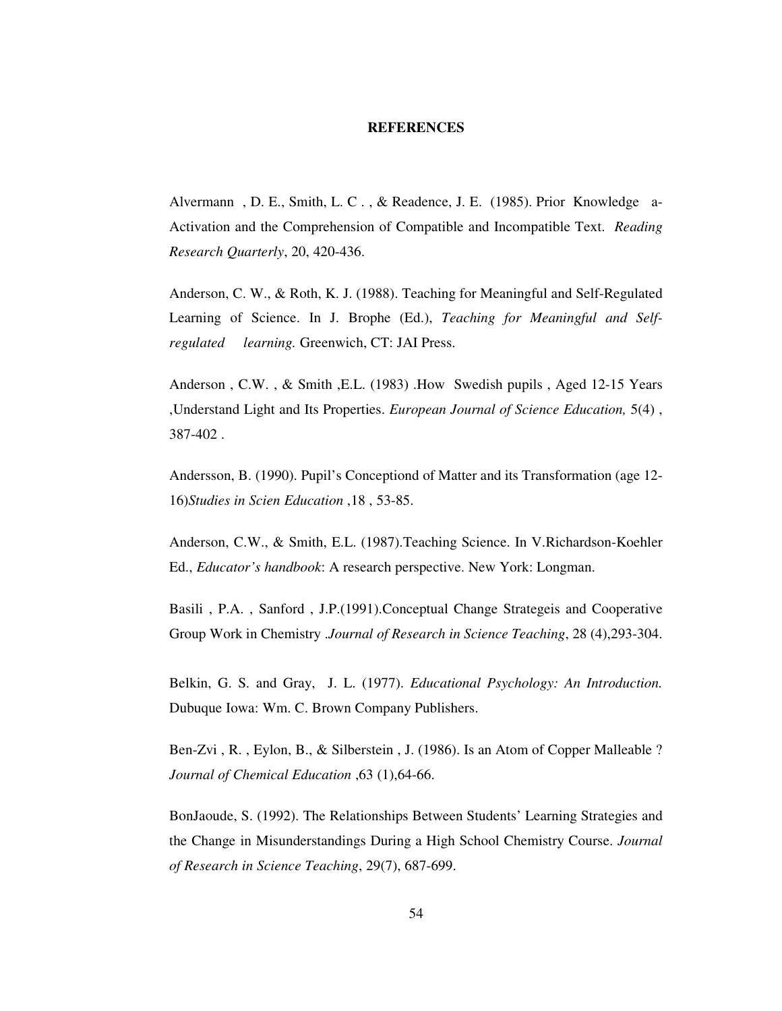#### **REFERENCES**

Alvermann , D. E., Smith, L. C . , & Readence, J. E. (1985). Prior Knowledge a-Activation and the Comprehension of Compatible and Incompatible Text. *Reading Research Quarterly*, 20, 420-436.

Anderson, C. W., & Roth, K. J. (1988). Teaching for Meaningful and Self-Regulated Learning of Science. In J. Brophe (Ed.), *Teaching for Meaningful and Selfregulated learning.* Greenwich, CT: JAI Press.

Anderson , C.W. , & Smith ,E.L. (1983) .How Swedish pupils , Aged 12-15 Years ,Understand Light and Its Properties. *European Journal of Science Education,* 5(4) , 387-402 .

Andersson, B. (1990). Pupil's Conceptiond of Matter and its Transformation (age 12- 16)*Studies in Scien Education* ,18 , 53-85.

Anderson, C.W., & Smith, E.L. (1987).Teaching Science. In V.Richardson-Koehler Ed., *Educator's handbook*: A research perspective. New York: Longman.

Basili , P.A. , Sanford , J.P.(1991).Conceptual Change Strategeis and Cooperative Group Work in Chemistry .*Journal of Research in Science Teaching*, 28 (4),293-304.

Belkin, G. S. and Gray, J. L. (1977). *Educational Psychology: An Introduction.* Dubuque Iowa: Wm. C. Brown Company Publishers.

Ben-Zvi , R. , Eylon, B., & Silberstein , J. (1986). Is an Atom of Copper Malleable ? *Journal of Chemical Education* ,63 (1),64-66.

BonJaoude, S. (1992). The Relationships Between Students' Learning Strategies and the Change in Misunderstandings During a High School Chemistry Course. *Journal of Research in Science Teaching*, 29(7), 687-699.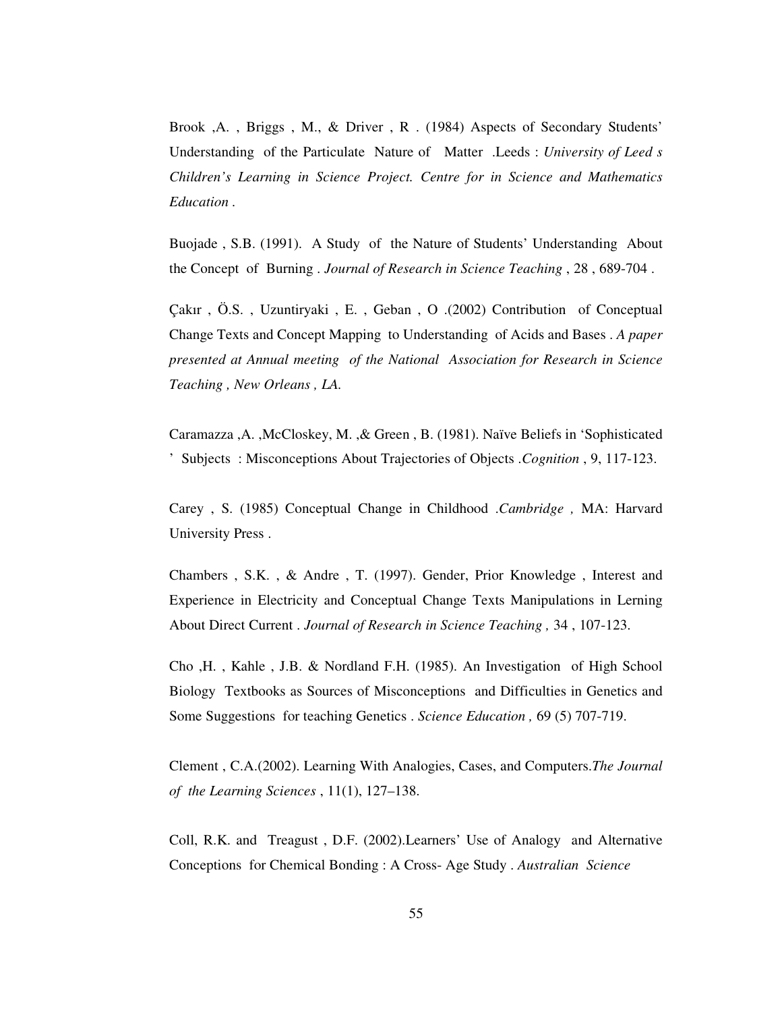Brook ,A. , Briggs , M., & Driver , R . (1984) Aspects of Secondary Students' Understanding of the Particulate Nature of Matter .Leeds : *University of Leed s Children's Learning in Science Project. Centre for in Science and Mathematics Education .* 

Buojade , S.B. (1991). A Study of the Nature of Students' Understanding About the Concept of Burning . *Journal of Research in Science Teaching* , 28 , 689-704 .

Çakır , Ö.S. , Uzuntiryaki , E. , Geban , O .(2002) Contribution of Conceptual Change Texts and Concept Mapping to Understanding of Acids and Bases . *A paper presented at Annual meeting of the National Association for Research in Science Teaching , New Orleans , LA.*

Caramazza ,A. ,McCloskey, M. ,& Green , B. (1981). Naïve Beliefs in 'Sophisticated ' Subjects : Misconceptions About Trajectories of Objects .*Cognition* , 9, 117-123.

Carey , S. (1985) Conceptual Change in Childhood .*Cambridge ,* MA: Harvard University Press .

Chambers , S.K. , & Andre , T. (1997). Gender, Prior Knowledge , Interest and Experience in Electricity and Conceptual Change Texts Manipulations in Lerning About Direct Current . *Journal of Research in Science Teaching ,* 34 , 107-123.

Cho ,H. , Kahle , J.B. & Nordland F.H. (1985). An Investigation of High School Biology Textbooks as Sources of Misconceptions and Difficulties in Genetics and Some Suggestions for teaching Genetics . *Science Education ,* 69 (5) 707-719.

Clement , C.A.(2002). Learning With Analogies, Cases, and Computers.*The Journal of the Learning Sciences* , 11(1), 127–138.

Coll, R.K. and Treagust , D.F. (2002).Learners' Use of Analogy and Alternative Conceptions for Chemical Bonding : A Cross- Age Study . *Australian Science*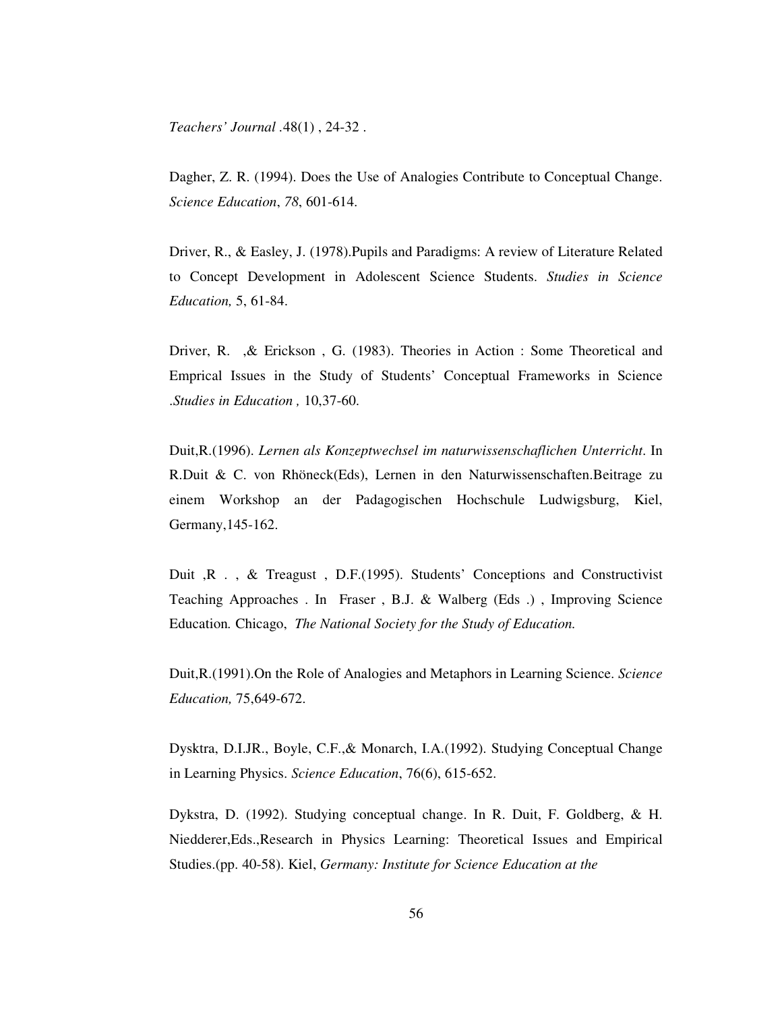*Teachers' Journal .*48(1) , 24-32 .

Dagher, Z. R. (1994). Does the Use of Analogies Contribute to Conceptual Change. *Science Education*, *78*, 601-614.

Driver, R., & Easley, J. (1978).Pupils and Paradigms: A review of Literature Related to Concept Development in Adolescent Science Students. *Studies in Science Education,* 5, 61-84.

Driver, R. ,& Erickson , G. (1983). Theories in Action : Some Theoretical and Emprical Issues in the Study of Students' Conceptual Frameworks in Science .*Studies in Education ,* 10,37-60.

Duit,R.(1996). *Lernen als Konzeptwechsel im naturwissenschaflichen Unterricht*. In R.Duit & C. von Rhöneck(Eds), Lernen in den Naturwissenschaften.Beitrage zu einem Workshop an der Padagogischen Hochschule Ludwigsburg, Kiel, Germany,145-162.

Duit ,R . , & Treagust , D.F.(1995). Students' Conceptions and Constructivist Teaching Approaches . In Fraser , B.J. & Walberg (Eds .) , Improving Science Education*.* Chicago, *The National Society for the Study of Education.* 

Duit,R.(1991).On the Role of Analogies and Metaphors in Learning Science. *Science Education,* 75,649-672.

Dysktra, D.I.JR., Boyle, C.F.,& Monarch, I.A.(1992). Studying Conceptual Change in Learning Physics. *Science Education*, 76(6), 615-652.

Dykstra, D. (1992). Studying conceptual change. In R. Duit, F. Goldberg, & H. Niedderer,Eds.,Research in Physics Learning: Theoretical Issues and Empirical Studies.(pp. 40-58). Kiel, *Germany: Institute for Science Education at the*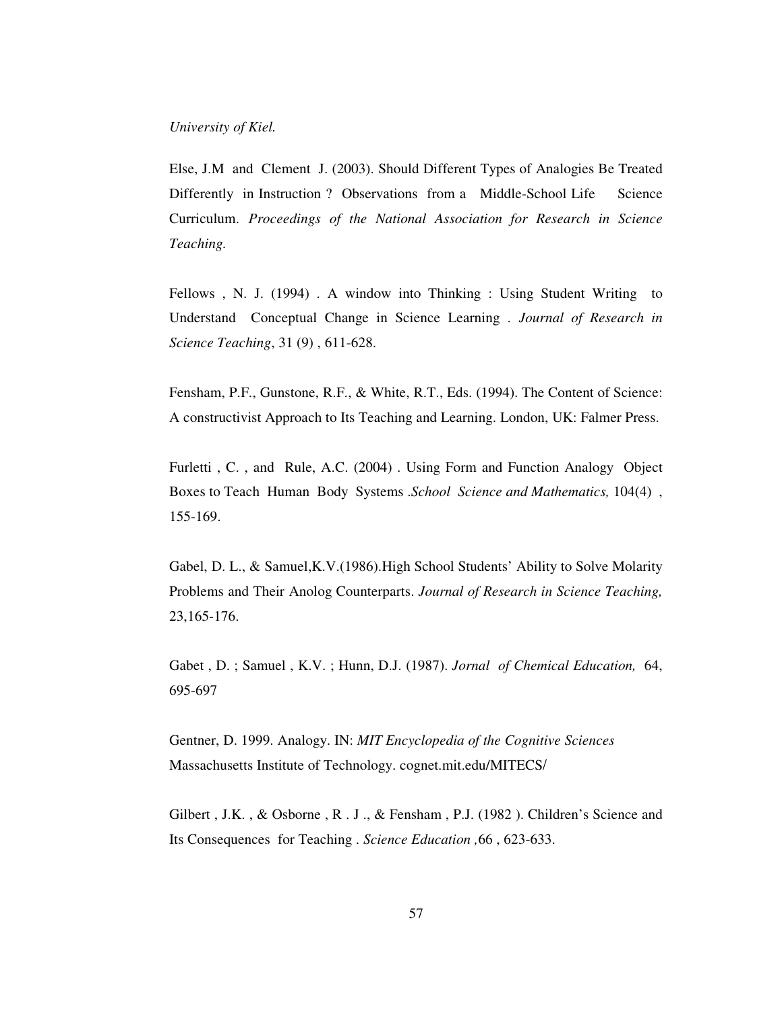*University of Kiel.* 

Else, J.M and Clement J. (2003). Should Different Types of Analogies Be Treated Differently in Instruction ? Observations from a Middle-School Life Science Curriculum. *Proceedings of the National Association for Research in Science Teaching.*

Fellows , N. J. (1994) . A window into Thinking : Using Student Writing to Understand Conceptual Change in Science Learning . *Journal of Research in Science Teaching*, 31 (9) , 611-628.

Fensham, P.F., Gunstone, R.F., & White, R.T., Eds. (1994). The Content of Science: A constructivist Approach to Its Teaching and Learning. London, UK: Falmer Press.

Furletti , C. , and Rule, A.C. (2004) . Using Form and Function Analogy Object Boxes to Teach Human Body Systems .*School Science and Mathematics,* 104(4) , 155-169.

Gabel, D. L., & Samuel,K.V.(1986).High School Students' Ability to Solve Molarity Problems and Their Anolog Counterparts. *Journal of Research in Science Teaching,*  23,165-176.

Gabet , D. ; Samuel , K.V. ; Hunn, D.J. (1987). *Jornal of Chemical Education,* 64, 695-697

Gentner, D. 1999. Analogy. IN: *MIT Encyclopedia of the Cognitive Sciences* Massachusetts Institute of Technology. cognet.mit.edu/MITECS/

Gilbert , J.K., & Osborne, R.J., & Fensham, P.J. (1982). Children's Science and Its Consequences for Teaching . *Science Education ,*66 , 623-633.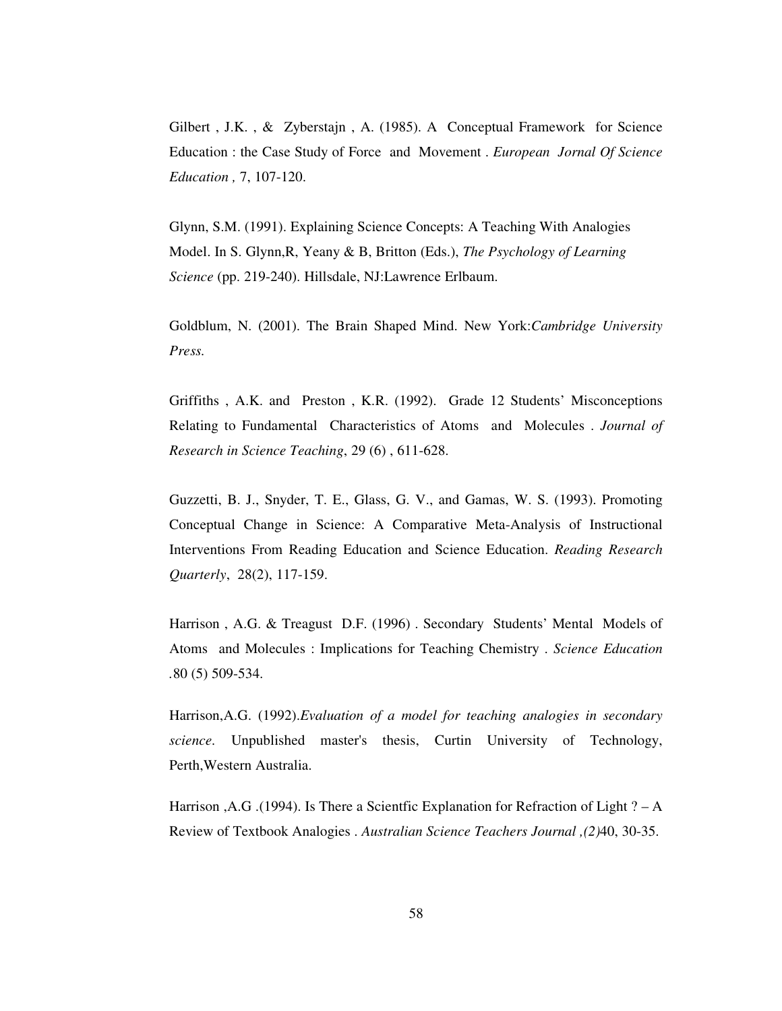Gilbert , J.K. , & Zyberstajn , A. (1985). A Conceptual Framework for Science Education : the Case Study of Force and Movement . *European Jornal Of Science Education ,* 7, 107-120.

Glynn, S.M. (1991). Explaining Science Concepts: A Teaching With Analogies Model. In S. Glynn,R, Yeany & B, Britton (Eds.), *The Psychology of Learning Science* (pp. 219-240). Hillsdale, NJ:Lawrence Erlbaum.

Goldblum, N. (2001). The Brain Shaped Mind. New York:*Cambridge University Press.* 

Griffiths , A.K. and Preston , K.R. (1992). Grade 12 Students' Misconceptions Relating to Fundamental Characteristics of Atoms and Molecules . *Journal of Research in Science Teaching*, 29 (6) , 611-628.

Guzzetti, B. J., Snyder, T. E., Glass, G. V., and Gamas, W. S. (1993). Promoting Conceptual Change in Science: A Comparative Meta-Analysis of Instructional Interventions From Reading Education and Science Education. *Reading Research Quarterly*, 28(2), 117-159.

Harrison , A.G. & Treagust D.F. (1996) . Secondary Students' Mental Models of Atoms and Molecules : Implications for Teaching Chemistry . *Science Education .*80 (5) 509-534.

Harrison,A.G. (1992).*Evaluation of a model for teaching analogies in secondary science.* Unpublished master's thesis, Curtin University of Technology, Perth,Western Australia.

Harrison ,A.G .(1994). Is There a Scientfic Explanation for Refraction of Light ? – A Review of Textbook Analogies . *Australian Science Teachers Journal ,(2)*40, 30-35.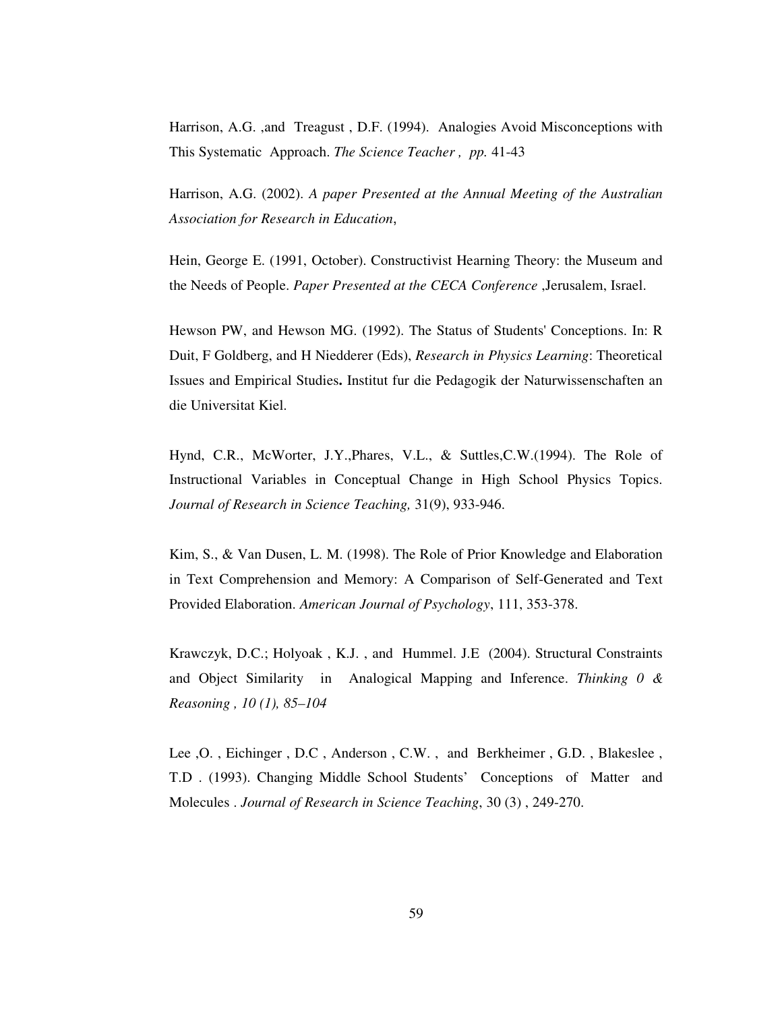Harrison, A.G. ,and Treagust , D.F. (1994). Analogies Avoid Misconceptions with This Systematic Approach. *The Science Teacher , pp.* 41-43

Harrison, A.G. (2002). *A paper Presented at the Annual Meeting of the Australian Association for Research in Education*,

Hein, George E. (1991, October). Constructivist Hearning Theory: the Museum and the Needs of People. *Paper Presented at the CECA Conference* ,Jerusalem, Israel.

Hewson PW, and Hewson MG. (1992). The Status of Students' Conceptions. In: R Duit, F Goldberg, and H Niedderer (Eds), *Research in Physics Learning*: Theoretical Issues and Empirical Studies**.** Institut fur die Pedagogik der Naturwissenschaften an die Universitat Kiel.

Hynd, C.R., McWorter, J.Y.,Phares, V.L., & Suttles,C.W.(1994). The Role of Instructional Variables in Conceptual Change in High School Physics Topics. *Journal of Research in Science Teaching,* 31(9), 933-946.

Kim, S., & Van Dusen, L. M. (1998). The Role of Prior Knowledge and Elaboration in Text Comprehension and Memory: A Comparison of Self-Generated and Text Provided Elaboration. *American Journal of Psychology*, 111, 353-378.

Krawczyk, D.C.; Holyoak , K.J. , and Hummel. J.E (2004). Structural Constraints and Object Similarity in Analogical Mapping and Inference. *Thinking 0 & Reasoning , 10 (1), 85–104* 

Lee ,O. , Eichinger , D.C , Anderson , C.W. , and Berkheimer , G.D. , Blakeslee , T.D . (1993). Changing Middle School Students' Conceptions of Matter and Molecules . *Journal of Research in Science Teaching*, 30 (3) , 249-270.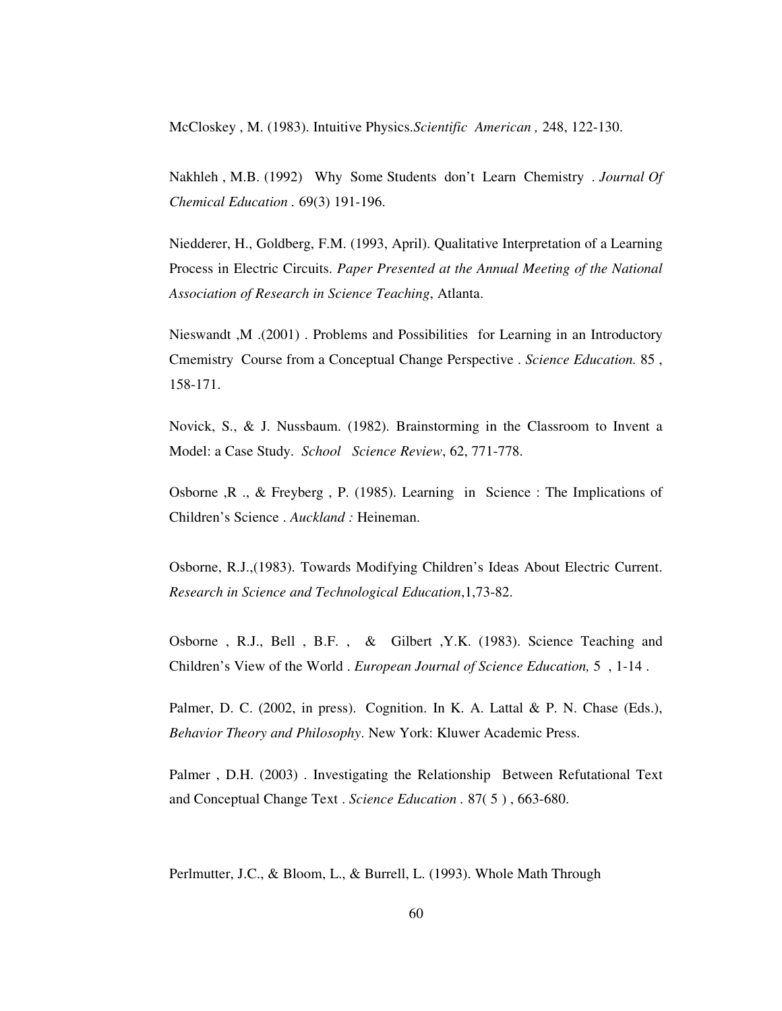McCloskey , M. (1983). Intuitive Physics.*Scientific American ,* 248, 122-130.

Nakhleh , M.B. (1992) Why Some Students don't Learn Chemistry . *Journal Of Chemical Education .* 69(3) 191-196.

Niedderer, H., Goldberg, F.M. (1993, April). Qualitative Interpretation of a Learning Process in Electric Circuits. *Paper Presented at the Annual Meeting of the National Association of Research in Science Teaching*, Atlanta.

Nieswandt ,M .(2001) . Problems and Possibilities for Learning in an Introductory Cmemistry Course from a Conceptual Change Perspective . *Science Education.* 85 , 158-171.

Novick, S., & J. Nussbaum. (1982). Brainstorming in the Classroom to Invent a Model: a Case Study. *School Science Review*, 62, 771-778.

Osborne ,R ., & Freyberg , P. (1985). Learning in Science : The Implications of Children's Science . *Auckland :* Heineman.

Osborne, R.J.,(1983). Towards Modifying Children's Ideas About Electric Current. *Research in Science and Technological Education*,1,73-82.

Osborne , R.J., Bell , B.F. , & Gilbert ,Y.K. (1983). Science Teaching and Children's View of the World . *European Journal of Science Education,* 5 , 1-14 .

Palmer, D. C. (2002, in press). Cognition. In K. A. Lattal & P. N. Chase (Eds.), *Behavior Theory and Philosophy*. New York: Kluwer Academic Press.

Palmer , D.H. (2003) . Investigating the Relationship Between Refutational Text and Conceptual Change Text . *Science Education .* 87( 5 ) , 663-680.

Perlmutter, J.C., & Bloom, L., & Burrell, L. (1993). Whole Math Through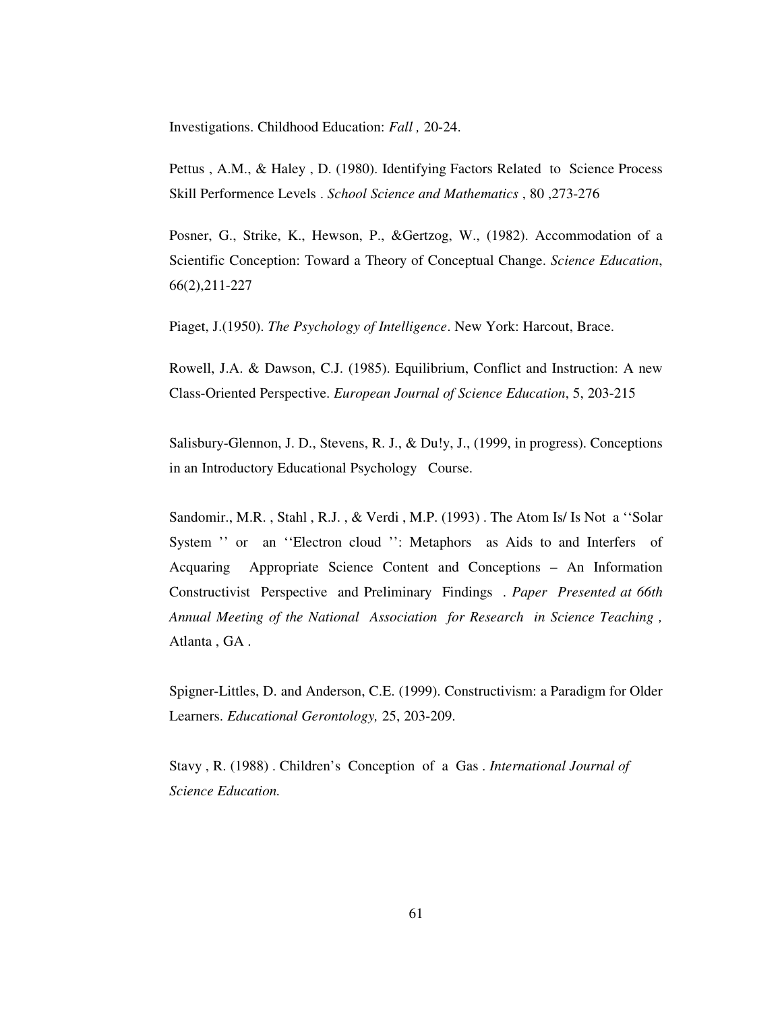Investigations. Childhood Education: *Fall ,* 20-24.

Pettus , A.M., & Haley , D. (1980). Identifying Factors Related to Science Process Skill Performence Levels . *School Science and Mathematics* , 80 ,273-276

Posner, G., Strike, K., Hewson, P., &Gertzog, W., (1982). Accommodation of a Scientific Conception: Toward a Theory of Conceptual Change. *Science Education*, 66(2),211-227

Piaget, J.(1950). *The Psychology of Intelligence*. New York: Harcout, Brace.

Rowell, J.A. & Dawson, C.J. (1985). Equilibrium, Conflict and Instruction: A new Class-Oriented Perspective. *European Journal of Science Education*, 5, 203-215

Salisbury-Glennon, J. D., Stevens, R. J., & Du!y, J., (1999, in progress). Conceptions in an Introductory Educational Psychology Course.

Sandomir., M.R. , Stahl , R.J. , & Verdi , M.P. (1993) . The Atom Is/ Is Not a ''Solar System '' or an ''Electron cloud '': Metaphors as Aids to and Interfers of Acquaring Appropriate Science Content and Conceptions – An Information Constructivist Perspective and Preliminary Findings . *Paper Presented at 66th Annual Meeting of the National Association for Research in Science Teaching ,*  Atlanta , GA .

Spigner-Littles, D. and Anderson, C.E. (1999). Constructivism: a Paradigm for Older Learners. *Educational Gerontology,* 25, 203-209.

Stavy , R. (1988) . Children's Conception of a Gas . *International Journal of Science Education.*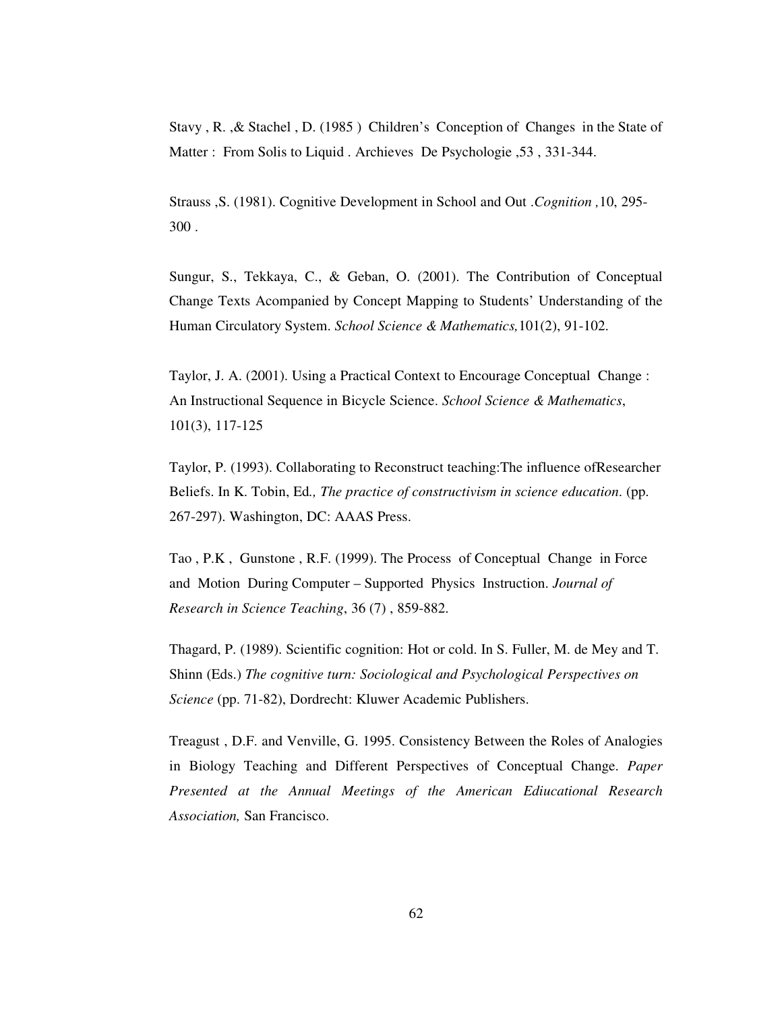Stavy , R. ,& Stachel , D. (1985 ) Children's Conception of Changes in the State of Matter : From Solis to Liquid . Archieves De Psychologie ,53 , 331-344.

Strauss ,S. (1981). Cognitive Development in School and Out .*Cognition ,*10, 295- 300 .

Sungur, S., Tekkaya, C., & Geban, O. (2001). The Contribution of Conceptual Change Texts Acompanied by Concept Mapping to Students' Understanding of the Human Circulatory System. *School Science & Mathematics,*101(2), 91-102.

Taylor, J. A. (2001). Using a Practical Context to Encourage Conceptual Change : An Instructional Sequence in Bicycle Science. *School Science & Mathematics*, 101(3), 117-125

Taylor, P. (1993). Collaborating to Reconstruct teaching:The influence ofResearcher Beliefs. In K. Tobin, Ed*., The practice of constructivism in science education*. (pp. 267-297). Washington, DC: AAAS Press.

Tao , P.K , Gunstone , R.F. (1999). The Process of Conceptual Change in Force and Motion During Computer – Supported Physics Instruction. *Journal of Research in Science Teaching*, 36 (7) , 859-882.

Thagard, P. (1989). Scientific cognition: Hot or cold. In S. Fuller, M. de Mey and T. Shinn (Eds.) *The cognitive turn: Sociological and Psychological Perspectives on Science* (pp. 71-82), Dordrecht: Kluwer Academic Publishers.

Treagust , D.F. and Venville, G. 1995. Consistency Between the Roles of Analogies in Biology Teaching and Different Perspectives of Conceptual Change. *Paper Presented at the Annual Meetings of the American Ediucational Research Association,* San Francisco.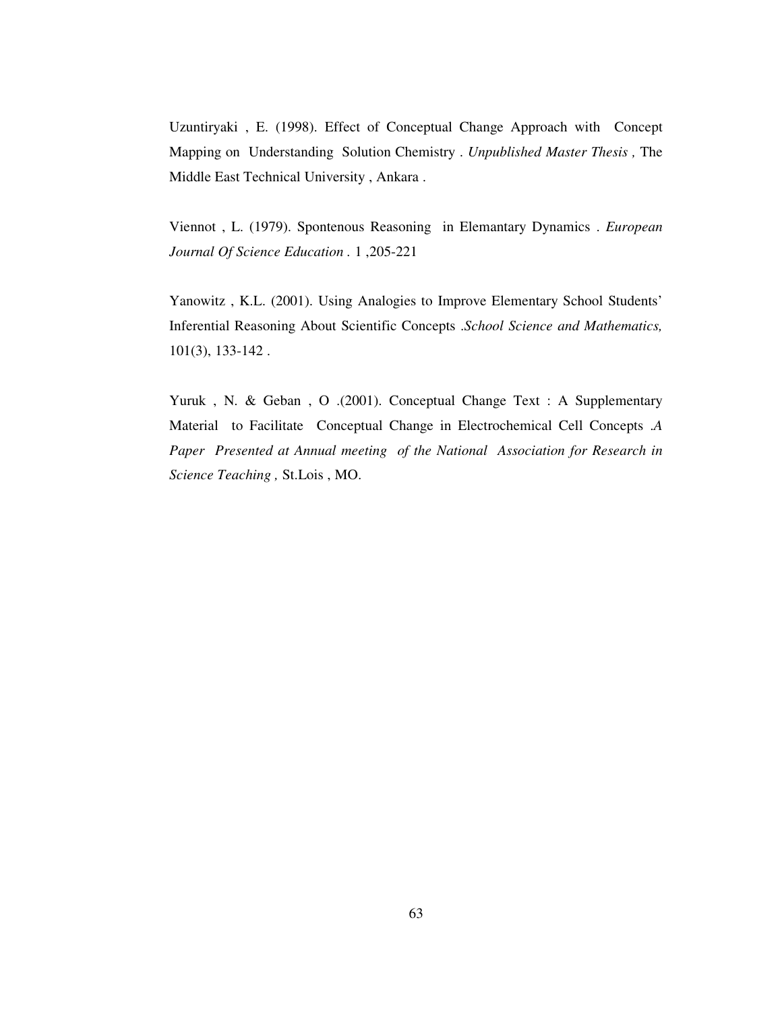Uzuntiryaki , E. (1998). Effect of Conceptual Change Approach with Concept Mapping on Understanding Solution Chemistry . *Unpublished Master Thesis ,* The Middle East Technical University , Ankara .

Viennot , L. (1979). Spontenous Reasoning in Elemantary Dynamics . *European Journal Of Science Education .* 1 ,205-221

Yanowitz , K.L. (2001). Using Analogies to Improve Elementary School Students' Inferential Reasoning About Scientific Concepts .*School Science and Mathematics,* 101(3), 133-142 .

Yuruk, N. & Geban, O. (2001). Conceptual Change Text : A Supplementary Material to Facilitate Conceptual Change in Electrochemical Cell Concepts .*A Paper Presented at Annual meeting of the National Association for Research in Science Teaching ,* St.Lois , MO.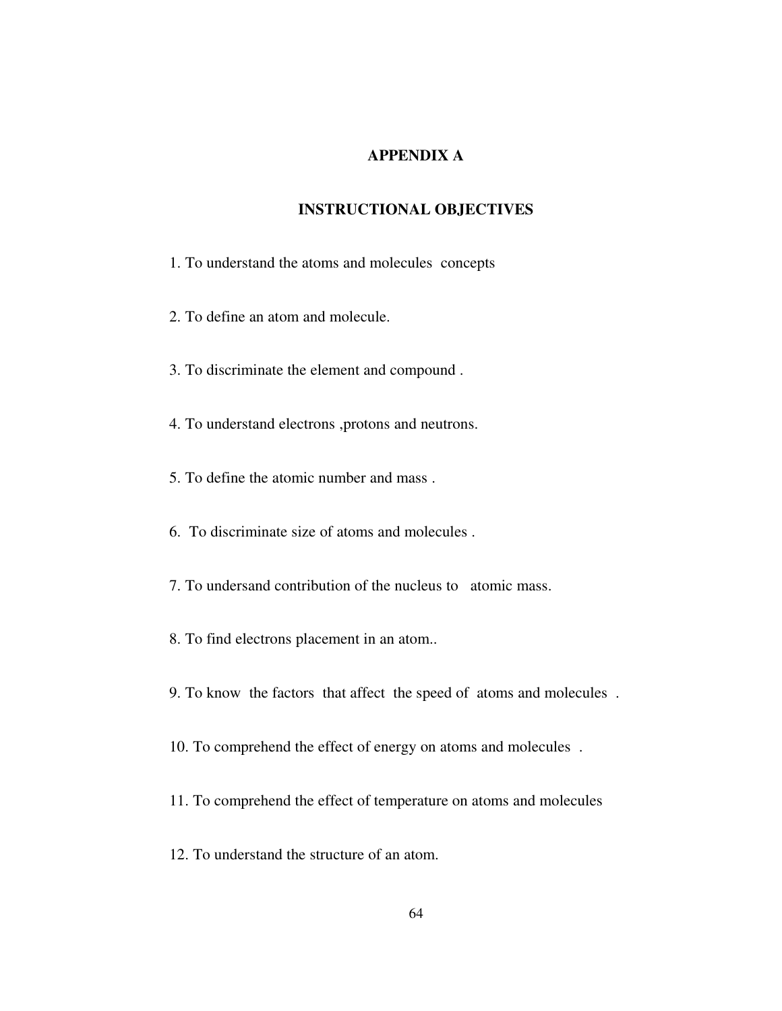# **APPENDIX A**

# **INSTRUCTIONAL OBJECTIVES**

- 1. To understand the atoms and molecules concepts
- 2. To define an atom and molecule.
- 3. To discriminate the element and compound .
- 4. To understand electrons ,protons and neutrons.
- 5. To define the atomic number and mass .
- 6. To discriminate size of atoms and molecules .
- 7. To undersand contribution of the nucleus to atomic mass.
- 8. To find electrons placement in an atom..
- 9. To know the factors that affect the speed of atoms and molecules .
- 10. To comprehend the effect of energy on atoms and molecules .
- 11. To comprehend the effect of temperature on atoms and molecules
- 12. To understand the structure of an atom.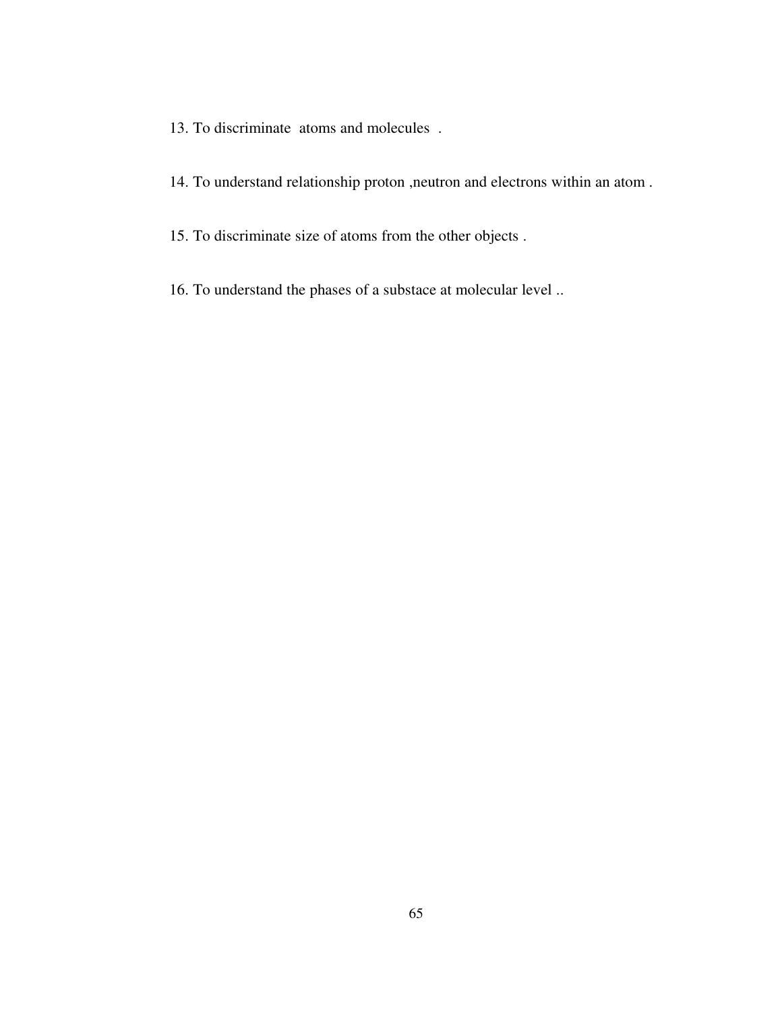- 13. To discriminate atoms and molecules .
- 14. To understand relationship proton ,neutron and electrons within an atom .
- 15. To discriminate size of atoms from the other objects .
- 16. To understand the phases of a substace at molecular level ..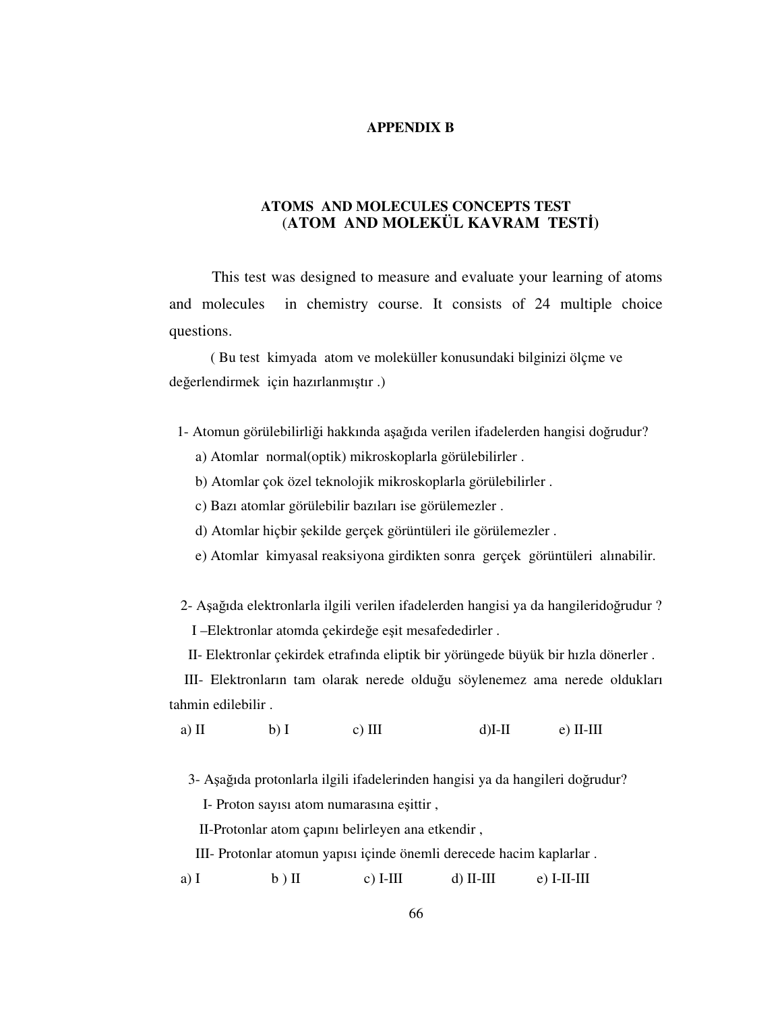## **APPENDIX B**

# **ATOMS AND MOLECULES CONCEPTS TEST**  (**ATOM AND MOLEKÜL KAVRAM TEST**İ**)**

This test was designed to measure and evaluate your learning of atoms and molecules in chemistry course. It consists of 24 multiple choice questions.

 ( Bu test kimyada atom ve moleküller konusundaki bilginizi ölçme ve değerlendirmek için hazırlanmıştır .)

- 1- Atomun görülebilirliği hakkında aşağıda verilen ifadelerden hangisi doğrudur?
	- a) Atomlar normal(optik) mikroskoplarla görülebilirler .
	- b) Atomlar çok özel teknolojik mikroskoplarla görülebilirler .
	- c) Bazı atomlar görülebilir bazıları ise görülemezler .
	- d) Atomlar hiçbir şekilde gerçek görüntüleri ile görülemezler .
	- e) Atomlar kimyasal reaksiyona girdikten sonra gerçek görüntüleri alınabilir.

2- Aşağıda elektronlarla ilgili verilen ifadelerden hangisi ya da hangileridoğrudur ?

I –Elektronlar atomda çekirdeğe eşit mesafededirler .

II- Elektronlar çekirdek etrafında eliptik bir yörüngede büyük bir hızla dönerler .

 III- Elektronların tam olarak nerede olduğu söylenemez ama nerede oldukları tahmin edilebilir .

a) II b) I c) III d)I-II e) II-III

3- Aşağıda protonlarla ilgili ifadelerinden hangisi ya da hangileri doğrudur?

I- Proton sayısı atom numarasına eşittir ,

II-Protonlar atom çapını belirleyen ana etkendir ,

III- Protonlar atomun yapısı içinde önemli derecede hacim kaplarlar .

a) I b ) II c) I-III d) II-III e) I-II-III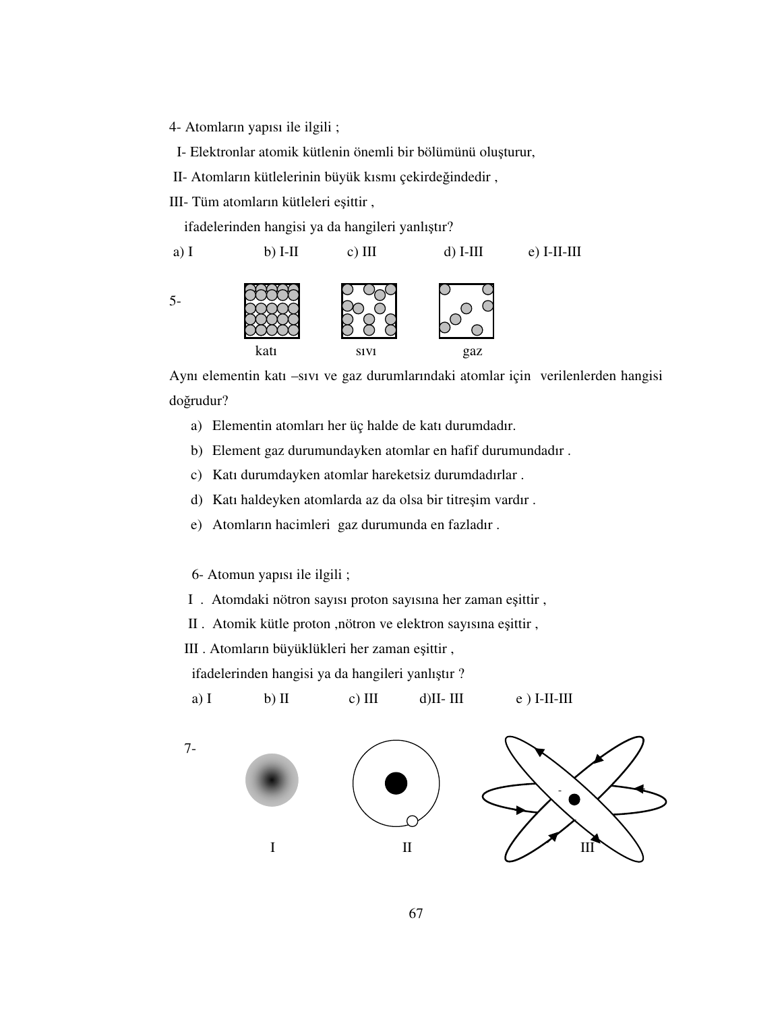- 4- Atomların yapısı ile ilgili ;
- I- Elektronlar atomik kütlenin önemli bir bölümünü oluşturur,
- II- Atomların kütlelerinin büyük kısmı çekirdeğindedir ,
- III- Tüm atomların kütleleri eşittir ,

ifadelerinden hangisi ya da hangileri yanlıştır?



Aynı elementin katı –sıvı ve gaz durumlarındaki atomlar için verilenlerden hangisi doğrudur?

- a) Elementin atomları her üç halde de katı durumdadır.
- b) Element gaz durumundayken atomlar en hafif durumundadır .
- c) Katı durumdayken atomlar hareketsiz durumdadırlar .
- d) Katı haldeyken atomlarda az da olsa bir titreşim vardır .
- e) Atomların hacimleri gaz durumunda en fazladır .
- 6- Atomun yapısı ile ilgili ;
- I . Atomdaki nötron sayısı proton sayısına her zaman eşittir ,
- II . Atomik kütle proton ,nötron ve elektron sayısına eşittir ,
- III . Atomların büyüklükleri her zaman eşittir ,

ifadelerinden hangisi ya da hangileri yanlıştır ?





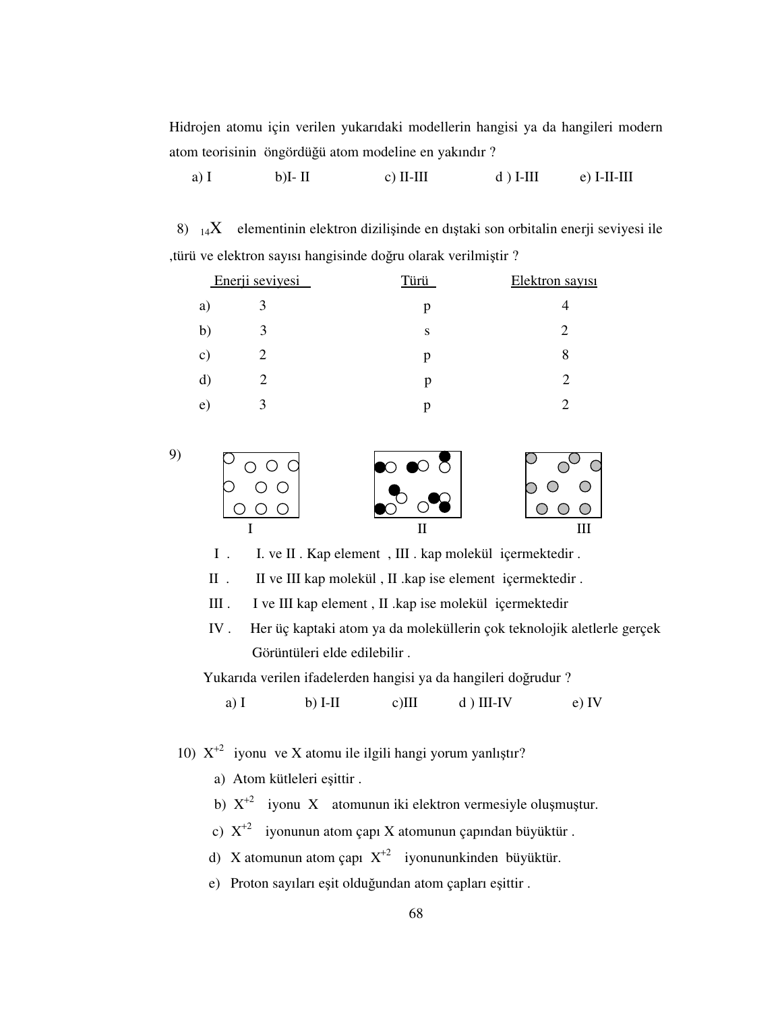Hidrojen atomu için verilen yukarıdaki modellerin hangisi ya da hangileri modern atom teorisinin öngördüğü atom modeline en yakındır ?

a) I b)I- II c) II-III d ) I-III e) I-II-III

8)  $_{14}X$  elementinin elektron dizilişinde en dıştaki son orbitalin enerji seviyesi ile ,türü ve elektron sayısı hangisinde doğru olarak verilmiştir ?

|               | Enerji seviyesi | Türü | Elektron sayısı |
|---------------|-----------------|------|-----------------|
| a)            | 3               | р    |                 |
| b)            |                 | S    |                 |
| $\mathbf{c})$ | $\overline{2}$  | р    | 8               |
| d)            |                 | p    |                 |
| e)            | 3               |      |                 |



I . I. ve II . Kap element , III . kap molekül içermektedir .

II . II ve III kap molekül , II .kap ise element içermektedir .

III . I ve III kap element , II .kap ise molekül içermektedir

IV . Her üç kaptaki atom ya da moleküllerin çok teknolojik aletlerle gerçek Görüntüleri elde edilebilir .

Yukarıda verilen ifadelerden hangisi ya da hangileri doğrudur ?

a) I b) I-II c)III d ) III-IV e) IV

10)  $X^{+2}$  iyonu ve X atomu ile ilgili hangi yorum yanlıştır?

- a) Atom kütleleri eşittir .
- b)  $X^{+2}$  iyonu X atomunun iki elektron vermesiyle oluşmuştur.
- c)  $X^{+2}$  iyonunun atom çapı X atomunun çapından büyüktür .
- d) X atomunun atom çapı  $X^{+2}$  iyonununkinden büyüktür.
- e) Proton sayıları eşit olduğundan atom çapları eşittir .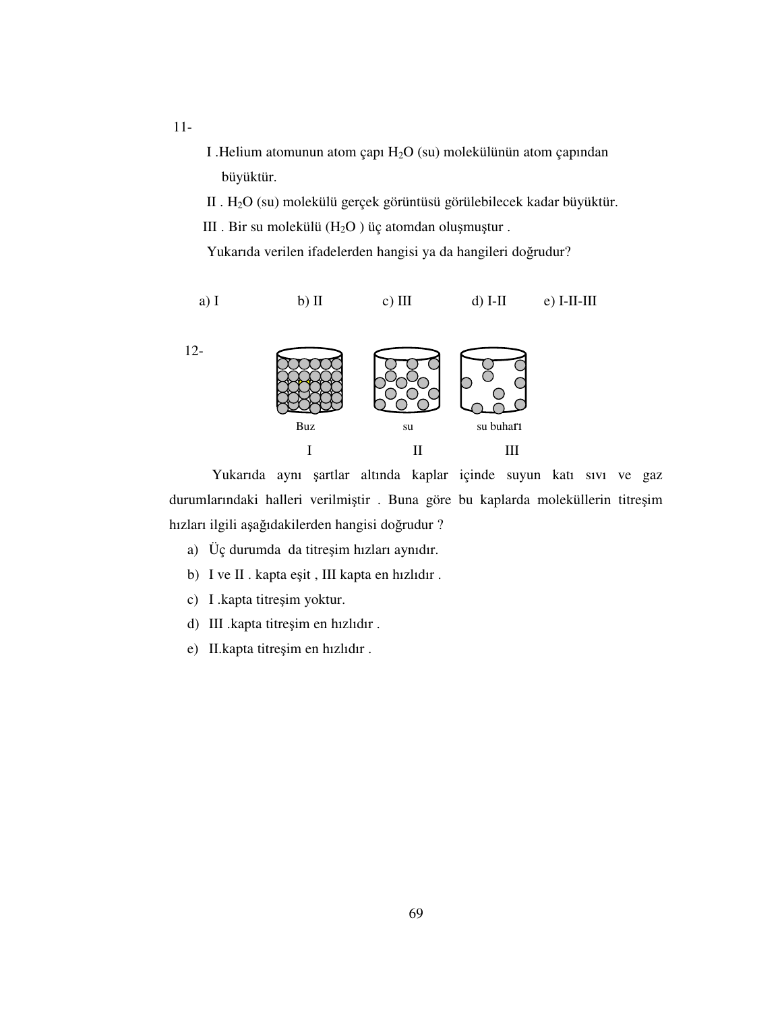- I .Helium atomunun atom çapı H2O (su) molekülünün atom çapından büyüktür.
- II . H2O (su) molekülü gerçek görüntüsü görülebilecek kadar büyüktür. III . Bir su molekülü  $(H<sub>2</sub>O)$  üç atomdan oluşmuştur .

Yukarıda verilen ifadelerden hangisi ya da hangileri doğrudur?





Yukarıda aynı şartlar altında kaplar içinde suyun katı sıvı ve gaz durumlarındaki halleri verilmiştir . Buna göre bu kaplarda moleküllerin titreşim hızları ilgili aşağıdakilerden hangisi doğrudur ?

- a) Üç durumda da titreşim hızları aynıdır.
- b) I ve II . kapta eşit , III kapta en hızlıdır .
- c) I .kapta titreşim yoktur.
- d) III .kapta titreşim en hızlıdır .
- e) II.kapta titreşim en hızlıdır .

11-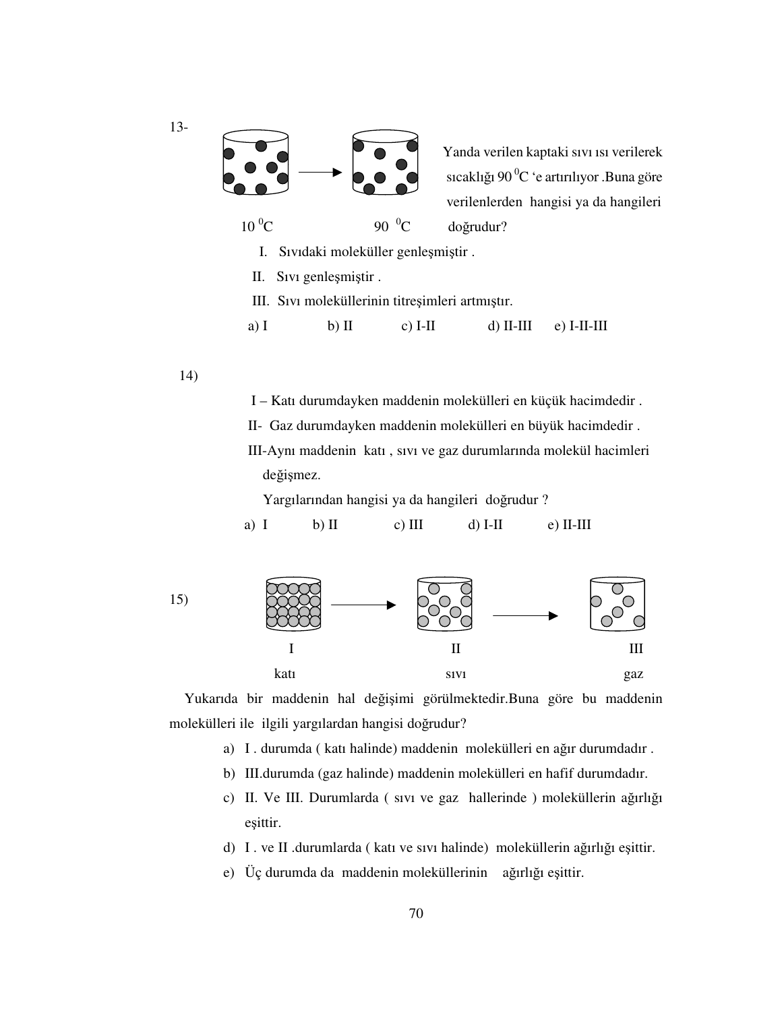

14)

13-

I – Katı durumdayken maddenin molekülleri en küçük hacimdedir .

II- Gaz durumdayken maddenin molekülleri en büyük hacimdedir .

 III-Aynı maddenin katı , sıvı ve gaz durumlarında molekül hacimleri değişmez.

Yargılarından hangisi ya da hangileri doğrudur ?

a) I b) II c) III d) I-II e) II-III



 Yukarıda bir maddenin hal değişimi görülmektedir.Buna göre bu maddenin molekülleri ile ilgili yargılardan hangisi doğrudur?

- a) I . durumda ( katı halinde) maddenin molekülleri en ağır durumdadır .
- b) III.durumda (gaz halinde) maddenin molekülleri en hafif durumdadır.
- c) II. Ve III. Durumlarda ( sıvı ve gaz hallerinde ) moleküllerin ağırlığı eşittir.
- d) I . ve II .durumlarda ( katı ve sıvı halinde) moleküllerin ağırlığı eşittir.
- e) Üç durumda da maddenin moleküllerinin ağırlığı eşittir.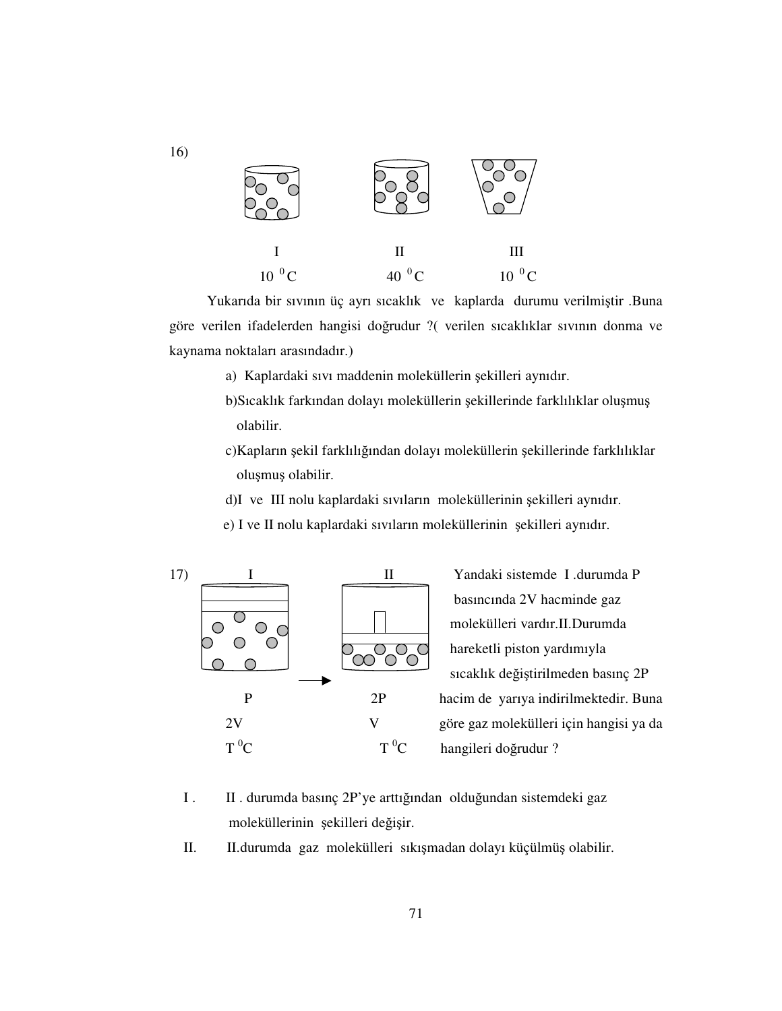

 Yukarıda bir sıvının üç ayrı sıcaklık ve kaplarda durumu verilmiştir .Buna göre verilen ifadelerden hangisi doğrudur ?( verilen sıcaklıklar sıvının donma ve kaynama noktaları arasındadır.)

- a) Kaplardaki sıvı maddenin moleküllerin şekilleri aynıdır.
- b)Sıcaklık farkından dolayı moleküllerin şekillerinde farklılıklar oluşmuş olabilir.
- c)Kapların şekil farklılığından dolayı moleküllerin şekillerinde farklılıklar oluşmuş olabilir.
- d)I ve III nolu kaplardaki sıvıların moleküllerinin şekilleri aynıdır.
- e) I ve II nolu kaplardaki sıvıların moleküllerinin şekilleri aynıdır.



 basıncında 2V hacminde gaz molekülleri vardır.II.Durumda **OOO** hareketli piston yardımıyla sıcaklık değiştirilmeden basınç 2P P 2P hacim de yarıya indirilmektedir. Buna

- I . II . durumda basınç 2P'ye arttığından olduğundan sistemdeki gaz moleküllerinin şekilleri değişir.
- II. II.durumda gaz molekülleri sıkışmadan dolayı küçülmüş olabilir.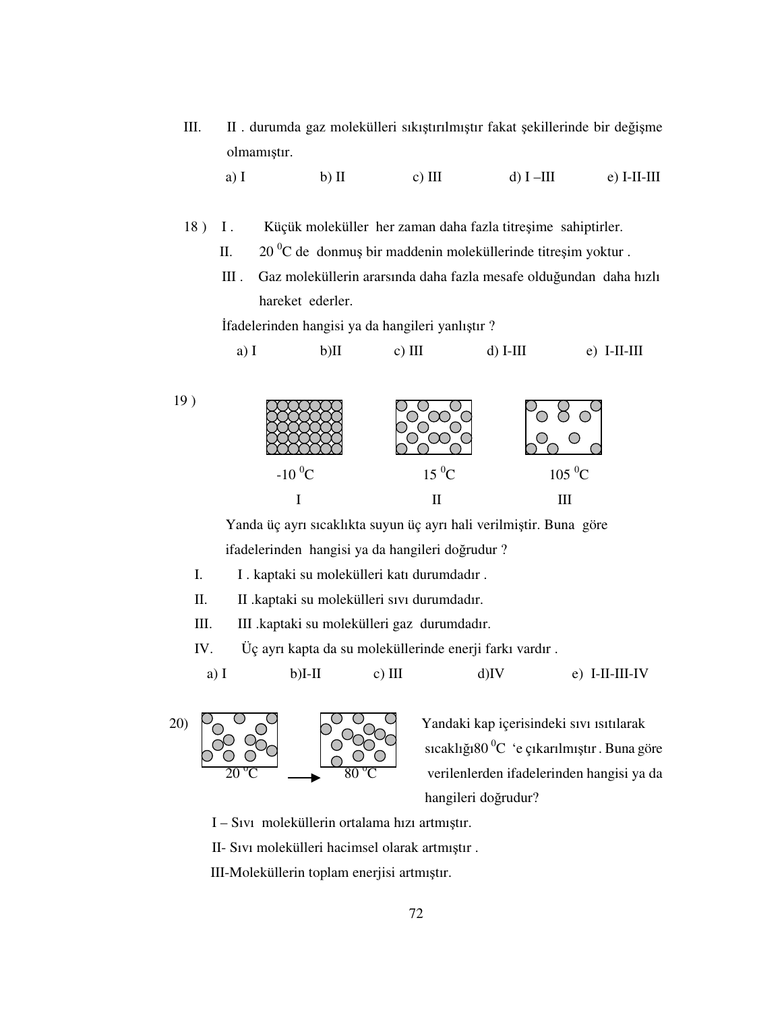III. II . durumda gaz molekülleri sıkıştırılmıştır fakat şekillerinde bir değişme olmamıştır.

a) I b) II c) III d) I –III e) I-II-III

- 18 ) I . Küçük moleküller her zaman daha fazla titreşime sahiptirler.
	- II. 20 <sup>0</sup>C de donmuş bir maddenin moleküllerinde titreşim yoktur .
	- III . Gaz moleküllerin ararsında daha fazla mesafe olduğundan daha hızlı hareket ederler.

a) I b)II c) III d) I-III e) I-II-III

İfadelerinden hangisi ya da hangileri yanlıştır ?



 Yanda üç ayrı sıcaklıkta suyun üç ayrı hali verilmiştir. Buna göre ifadelerinden hangisi ya da hangileri doğrudur ?

- I. I . kaptaki su molekülleri katı durumdadır .
- II. II .kaptaki su molekülleri sıvı durumdadır.
- III. III .kaptaki su molekülleri gaz durumdadır.
- IV. Üç ayrı kapta da su moleküllerinde enerji farkı vardır .

a) I b)I-II c) III d)IV e) I-II-III-IV



sıcaklığı $80^{\degree}$ C 'e çıkarılmıştır . Buna göre verilenlerden ifadelerinden hangisi ya da hangileri doğrudur?

- I Sıvı moleküllerin ortalama hızı artmıştır.
- II- Sıvı molekülleri hacimsel olarak artmıştır .
- III-Moleküllerin toplam enerjisi artmıştır.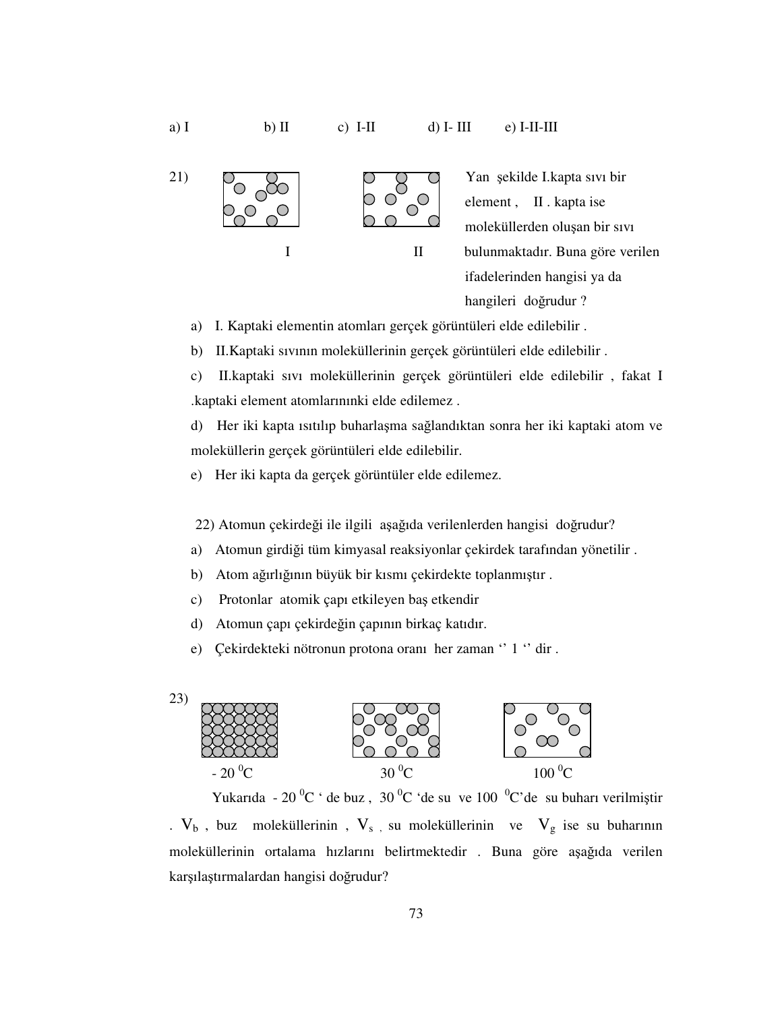

 element , II . kapta ise moleküllerden oluşan bir sıvı ifadelerinden hangisi ya da hangileri doğrudur ?

a) I. Kaptaki elementin atomları gerçek görüntüleri elde edilebilir .

b) II.Kaptaki sıvının moleküllerinin gerçek görüntüleri elde edilebilir .

c) II.kaptaki sıvı moleküllerinin gerçek görüntüleri elde edilebilir , fakat I .kaptaki element atomlarınınki elde edilemez .

d) Her iki kapta ısıtılıp buharlaşma sağlandıktan sonra her iki kaptaki atom ve moleküllerin gerçek görüntüleri elde edilebilir.

e) Her iki kapta da gerçek görüntüler elde edilemez.

22) Atomun çekirdeği ile ilgili aşağıda verilenlerden hangisi doğrudur?

- a) Atomun girdiği tüm kimyasal reaksiyonlar çekirdek tarafından yönetilir .
- b) Atom ağırlığının büyük bir kısmı çekirdekte toplanmıştır .
- c) Protonlar atomik çapı etkileyen baş etkendir
- d) Atomun çapı çekirdeğin çapının birkaç katıdır.
- e) Çekirdekteki nötronun protona oranı her zaman '' 1 '' dir .



Yukarıda - 20  $^0C$  ' de buz, 30  $^0C$  ' de su ve 100  $^0C$ ' de su buharı verilmiştir .  $V_b$ , buz moleküllerinin,  $V_s$ , su moleküllerinin ve  $V_g$  ise su buharının moleküllerinin ortalama hızlarını belirtmektedir . Buna göre aşağıda verilen karşılaştırmalardan hangisi doğrudur?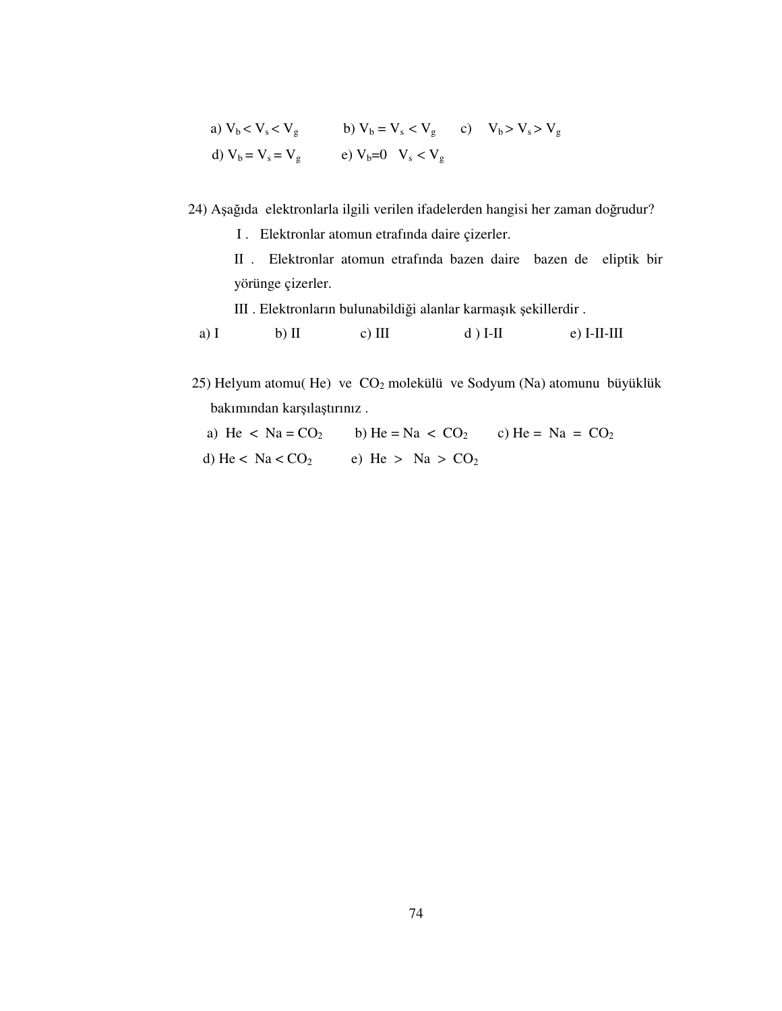a) 
$$
V_b < V_s < V_g
$$
  
b)  $V_b = V_s < V_g$   
c)  $V_b > V_s > V_g$   
d)  $V_b = V_s = V_g$   
e)  $V_b = 0$   $V_s < V_g$ 

24) Aşağıda elektronlarla ilgili verilen ifadelerden hangisi her zaman doğrudur?

I . Elektronlar atomun etrafında daire çizerler.

II . Elektronlar atomun etrafında bazen daire bazen de eliptik bir yörünge çizerler.

III . Elektronların bulunabildiği alanlar karmaşık şekillerdir .

a) I b) II c) III d ) I-II e) I-II-III

25) Helyum atomu( He) ve  $CO<sub>2</sub>$  molekülü ve Sodyum (Na) atomunu büyüklük bakımından karşılaştırınız .

a) He <  $\text{Na} = \text{CO}_2$  b) He =  $\text{Na}$  <  $\text{CO}_2$  c) He =  $\text{Na} = \text{CO}_2$ d) He <  $\text{Na} < \text{CO}_2$  e) He >  $\text{Na} > \text{CO}_2$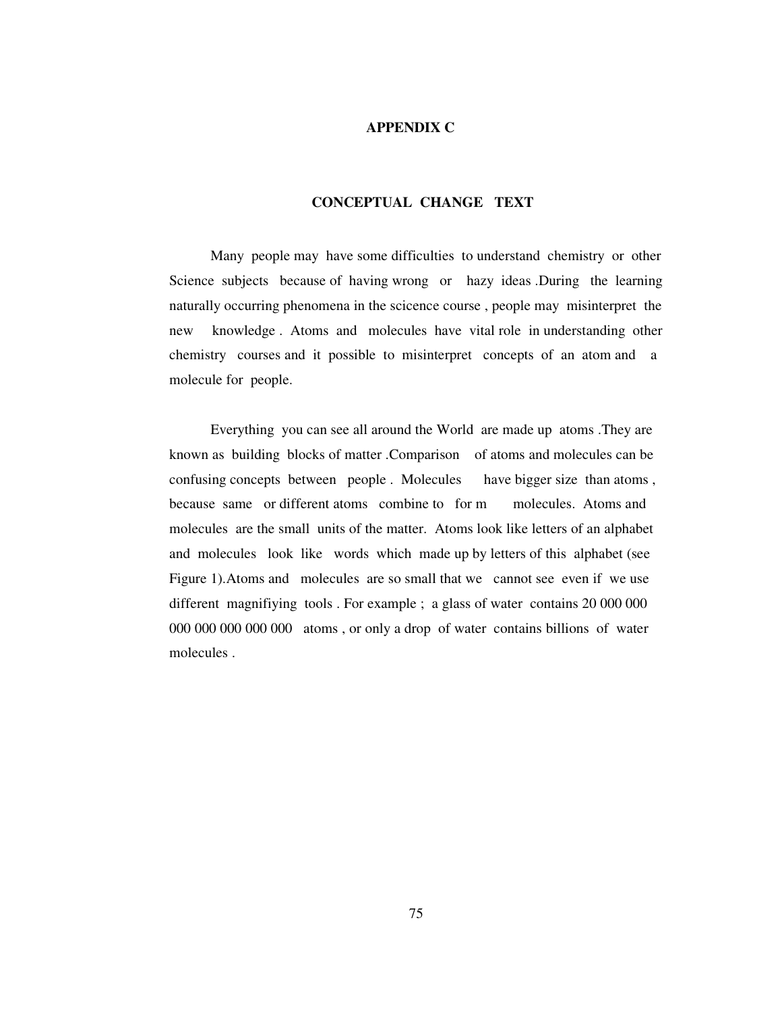# **APPENDIX C**

## **CONCEPTUAL CHANGE TEXT**

 Many people may have some difficulties to understand chemistry or other Science subjects because of having wrong or hazy ideas .During the learning naturally occurring phenomena in the scicence course , people may misinterpret the new knowledge . Atoms and molecules have vital role in understanding other chemistry courses and it possible to misinterpret concepts of an atom and a molecule for people.

 Everything you can see all around the World are made up atoms .They are known as building blocks of matter .Comparison of atoms and molecules can be confusing concepts between people. Molecules have bigger size than atoms, because same or different atoms combine to for m molecules. Atoms and molecules are the small units of the matter. Atoms look like letters of an alphabet and molecules look like words which made up by letters of this alphabet (see Figure 1).Atoms and molecules are so small that we cannot see even if we use different magnifiying tools . For example ; a glass of water contains 20 000 000 000 000 000 000 000 atoms , or only a drop of water contains billions of water molecules .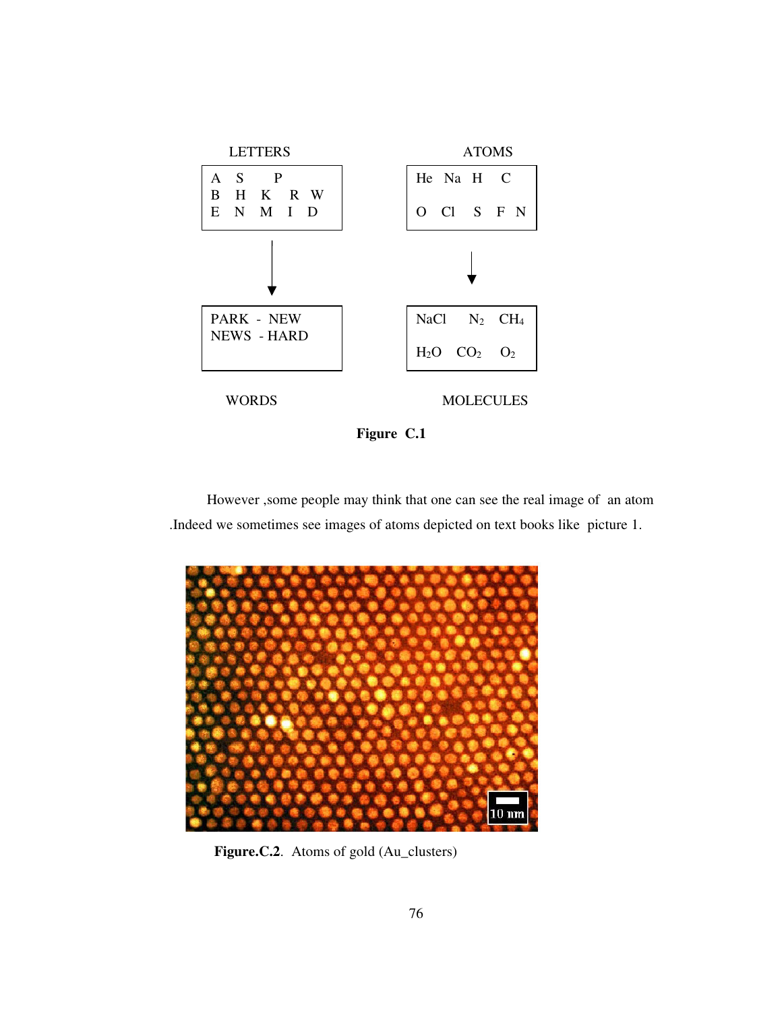

**Figure C.1** 

 However ,some people may think that one can see the real image of an atom .Indeed we sometimes see images of atoms depicted on text books like picture 1.



**Figure.C.2**. Atoms of gold (Au\_clusters)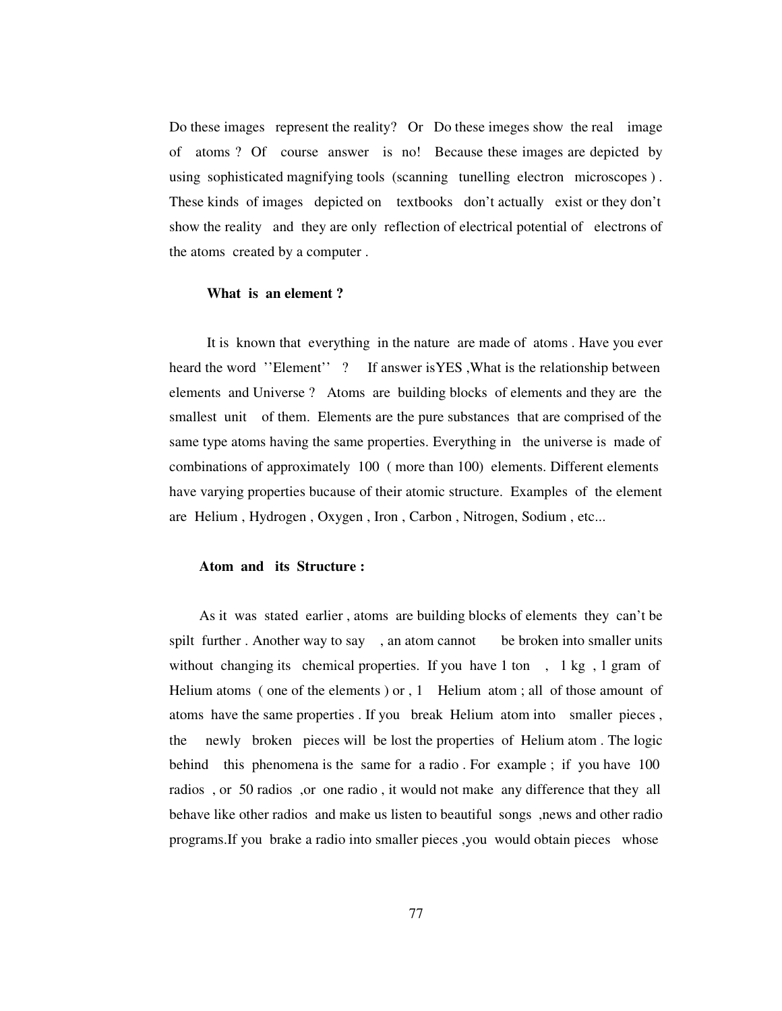Do these images represent the reality? Or Do these imeges show the real image of atoms ? Of course answer is no! Because these images are depicted by using sophisticated magnifying tools (scanning tunelling electron microscopes ) . These kinds of images depicted on textbooks don't actually exist or they don't show the reality and they are only reflection of electrical potential of electrons of the atoms created by a computer .

#### **What is an element ?**

 It is known that everything in the nature are made of atoms . Have you ever heard the word "Element" ? If answer is YES, What is the relationship between elements and Universe ? Atoms are building blocks of elements and they are the smallest unit of them. Elements are the pure substances that are comprised of the same type atoms having the same properties. Everything in the universe is made of combinations of approximately 100 ( more than 100) elements. Different elements have varying properties bucause of their atomic structure. Examples of the element are Helium , Hydrogen , Oxygen , Iron , Carbon , Nitrogen, Sodium , etc...

#### **Atom and its Structure :**

 As it was stated earlier , atoms are building blocks of elements they can't be spilt further . Another way to say , an atom cannot be broken into smaller units without changing its chemical properties. If you have 1 ton,  $\frac{1}{2}$  kg,  $\frac{1}{2}$  gram of Helium atoms ( one of the elements ) or , 1 Helium atom ; all of those amount of atoms have the same properties . If you break Helium atom into smaller pieces , the newly broken pieces will be lost the properties of Helium atom . The logic behind this phenomena is the same for a radio . For example ; if you have 100 radios , or 50 radios ,or one radio , it would not make any difference that they all behave like other radios and make us listen to beautiful songs ,news and other radio programs.If you brake a radio into smaller pieces ,you would obtain pieces whose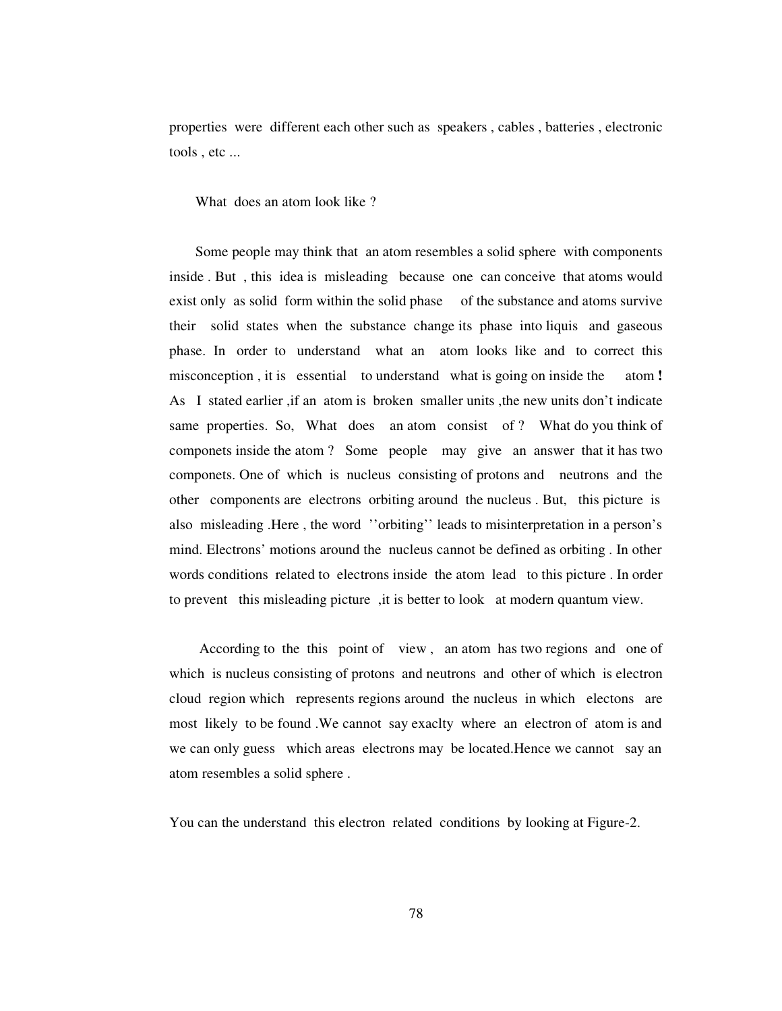properties were different each other such as speakers , cables , batteries , electronic tools , etc ...

What does an atom look like ?

 Some people may think that an atom resembles a solid sphere with components inside . But , this idea is misleading because one can conceive that atoms would exist only as solid form within the solid phase of the substance and atoms survive their solid states when the substance change its phase into liquis and gaseous phase. In order to understand what an atom looks like and to correct this misconception , it is essential to understand what is going on inside the atom **!**  As I stated earlier ,if an atom is broken smaller units ,the new units don't indicate same properties. So, What does an atom consist of ? What do you think of componets inside the atom ? Some people may give an answer that it has two componets. One of which is nucleus consisting of protons and neutrons and the other components are electrons orbiting around the nucleus . But, this picture is also misleading .Here , the word ''orbiting'' leads to misinterpretation in a person's mind. Electrons' motions around the nucleus cannot be defined as orbiting . In other words conditions related to electrons inside the atom lead to this picture . In order to prevent this misleading picture ,it is better to look at modern quantum view.

 According to the this point of view , an atom has two regions and one of which is nucleus consisting of protons and neutrons and other of which is electron cloud region which represents regions around the nucleus in which electons are most likely to be found .We cannot say exaclty where an electron of atom is and we can only guess which areas electrons may be located.Hence we cannot say an atom resembles a solid sphere .

You can the understand this electron related conditions by looking at Figure-2.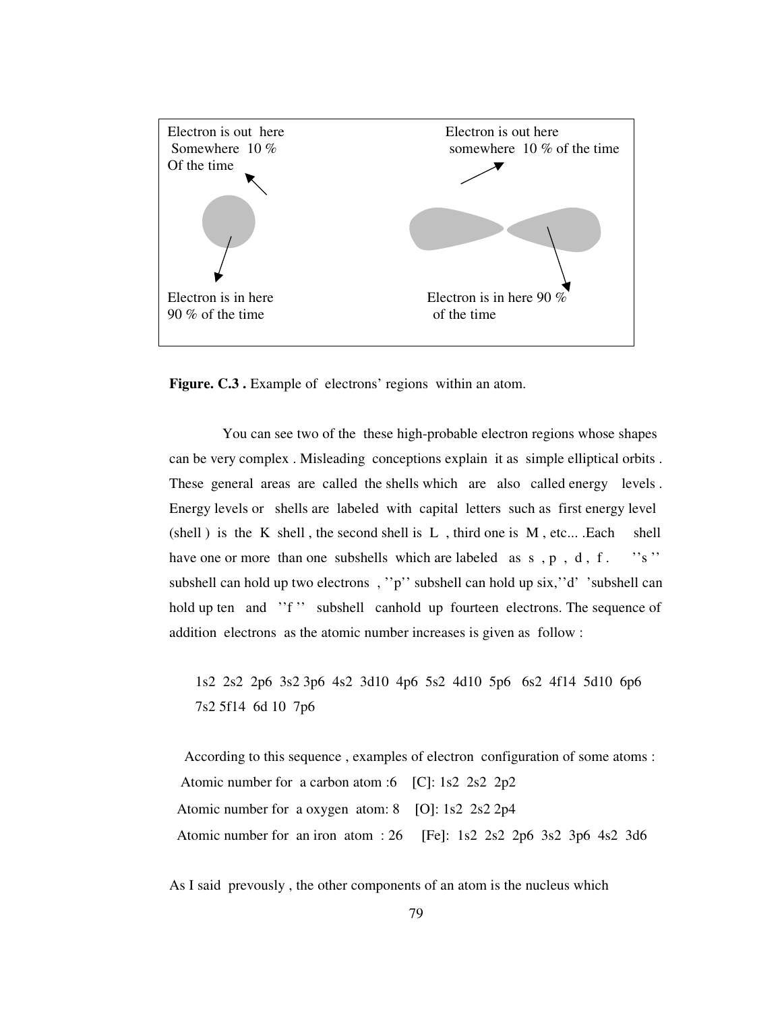

Figure. C.3. Example of electrons' regions within an atom.

 You can see two of the these high-probable electron regions whose shapes can be very complex . Misleading conceptions explain it as simple elliptical orbits . These general areas are called the shells which are also called energy levels . Energy levels or shells are labeled with capital letters such as first energy level  $(shell)$  is the K shell, the second shell is L, third one is M, etc... .Each shell have one or more than one subshells which are labeled as s, p, d, f. "'s" subshell can hold up two electrons, "p" subshell can hold up six, "d" 'subshell can hold up ten and "f" subshell canhold up fourteen electrons. The sequence of addition electrons as the atomic number increases is given as follow :

 1s2 2s2 2p6 3s2 3p6 4s2 3d10 4p6 5s2 4d10 5p6 6s2 4f14 5d10 6p6 7s2 5f14 6d 10 7p6

 According to this sequence , examples of electron configuration of some atoms : Atomic number for a carbon atom :6 [C]: 1s2 2s2 2p2 Atomic number for a oxygen atom: 8 [O]: 1s2 2s2 2p4 Atomic number for an iron atom : 26 [Fe]: 1s2 2s2 2p6 3s2 3p6 4s2 3d6

As I said prevously , the other components of an atom is the nucleus which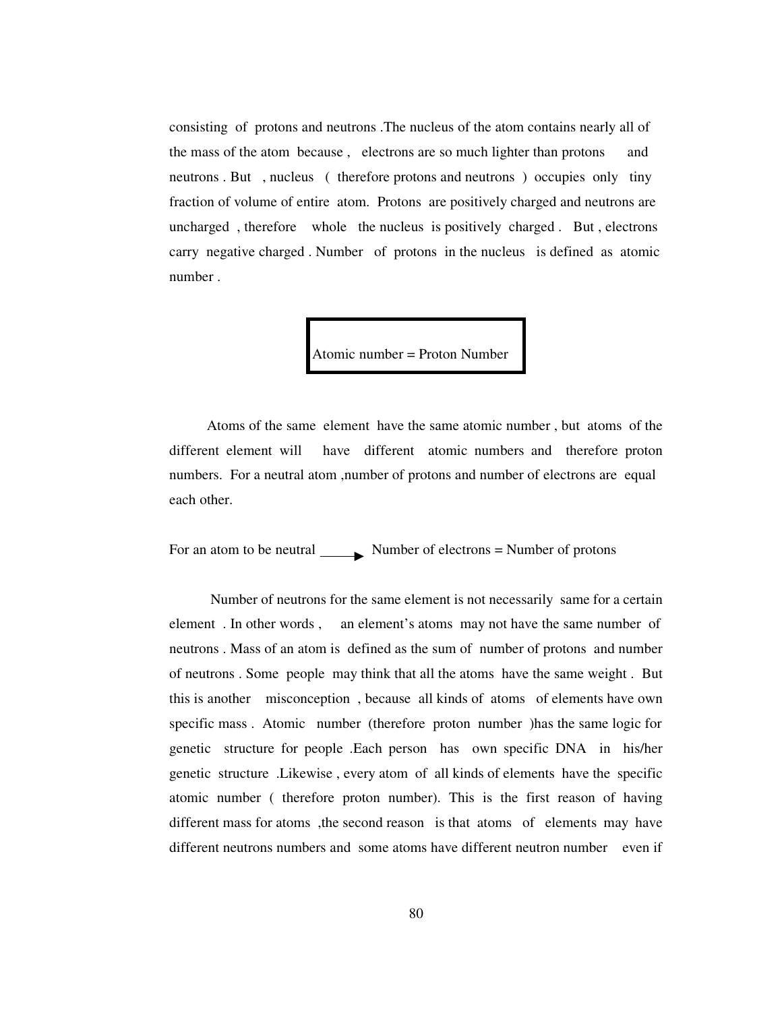consisting of protons and neutrons .The nucleus of the atom contains nearly all of the mass of the atom because , electrons are so much lighter than protons and neutrons . But , nucleus ( therefore protons and neutrons ) occupies only tiny fraction of volume of entire atom. Protons are positively charged and neutrons are uncharged , therefore whole the nucleus is positively charged . But , electrons carry negative charged . Number of protons in the nucleus is defined as atomic number .

Atomic number = Proton Number

 Atoms of the same element have the same atomic number , but atoms of the different element will have different atomic numbers and therefore proton numbers. For a neutral atom ,number of protons and number of electrons are equal each other.

For an atom to be neutral Number of electrons = Number of protons

 Number of neutrons for the same element is not necessarily same for a certain element . In other words , an element's atoms may not have the same number of neutrons . Mass of an atom is defined as the sum of number of protons and number of neutrons . Some people may think that all the atoms have the same weight . But this is another misconception , because all kinds of atoms of elements have own specific mass . Atomic number (therefore proton number )has the same logic for genetic structure for people .Each person has own specific DNA in his/her genetic structure .Likewise , every atom of all kinds of elements have the specific atomic number ( therefore proton number). This is the first reason of having different mass for atoms ,the second reason is that atoms of elements may have different neutrons numbers and some atoms have different neutron number even if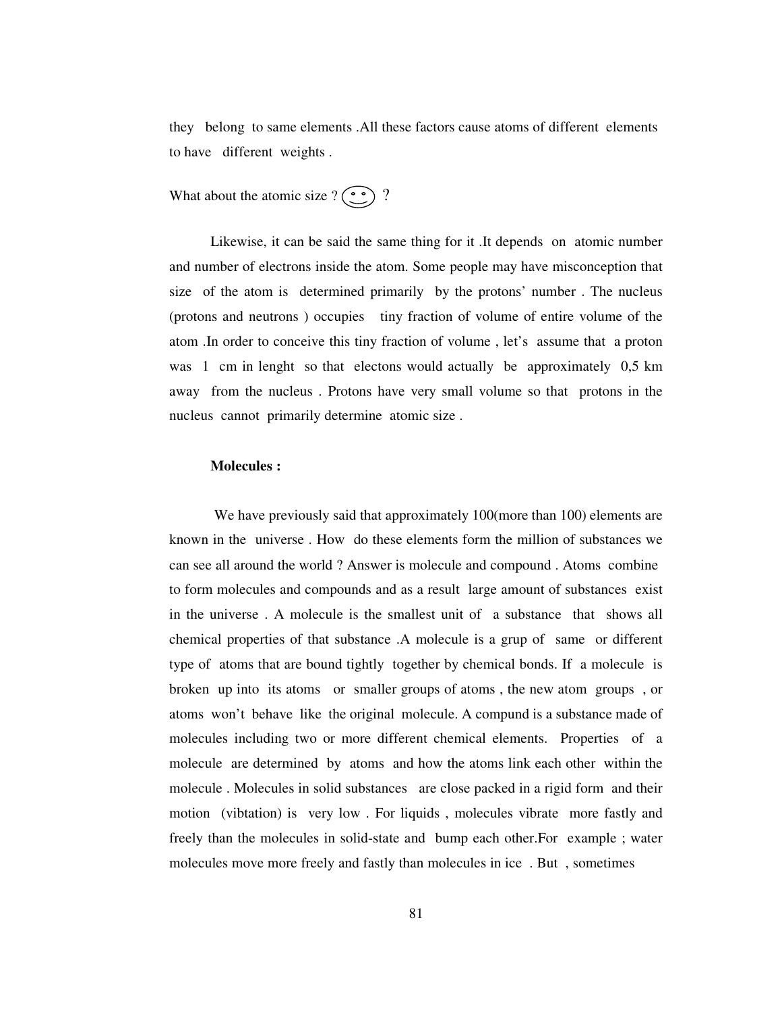they belong to same elements .All these factors cause atoms of different elements to have different weights .

What about the atomic size ?  $\circ$  ?

 Likewise, it can be said the same thing for it .It depends on atomic number and number of electrons inside the atom. Some people may have misconception that size of the atom is determined primarily by the protons' number . The nucleus (protons and neutrons ) occupies tiny fraction of volume of entire volume of the atom .In order to conceive this tiny fraction of volume , let's assume that a proton was 1 cm in lenght so that electons would actually be approximately 0,5 km away from the nucleus . Protons have very small volume so that protons in the nucleus cannot primarily determine atomic size .

# **Molecules :**

 We have previously said that approximately 100(more than 100) elements are known in the universe . How do these elements form the million of substances we can see all around the world ? Answer is molecule and compound . Atoms combine to form molecules and compounds and as a result large amount of substances exist in the universe . A molecule is the smallest unit of a substance that shows all chemical properties of that substance .A molecule is a grup of same or different type of atoms that are bound tightly together by chemical bonds. If a molecule is broken up into its atoms or smaller groups of atoms , the new atom groups , or atoms won't behave like the original molecule. A compund is a substance made of molecules including two or more different chemical elements. Properties of a molecule are determined by atoms and how the atoms link each other within the molecule . Molecules in solid substances are close packed in a rigid form and their motion (vibtation) is very low . For liquids , molecules vibrate more fastly and freely than the molecules in solid-state and bump each other.For example ; water molecules move more freely and fastly than molecules in ice . But , sometimes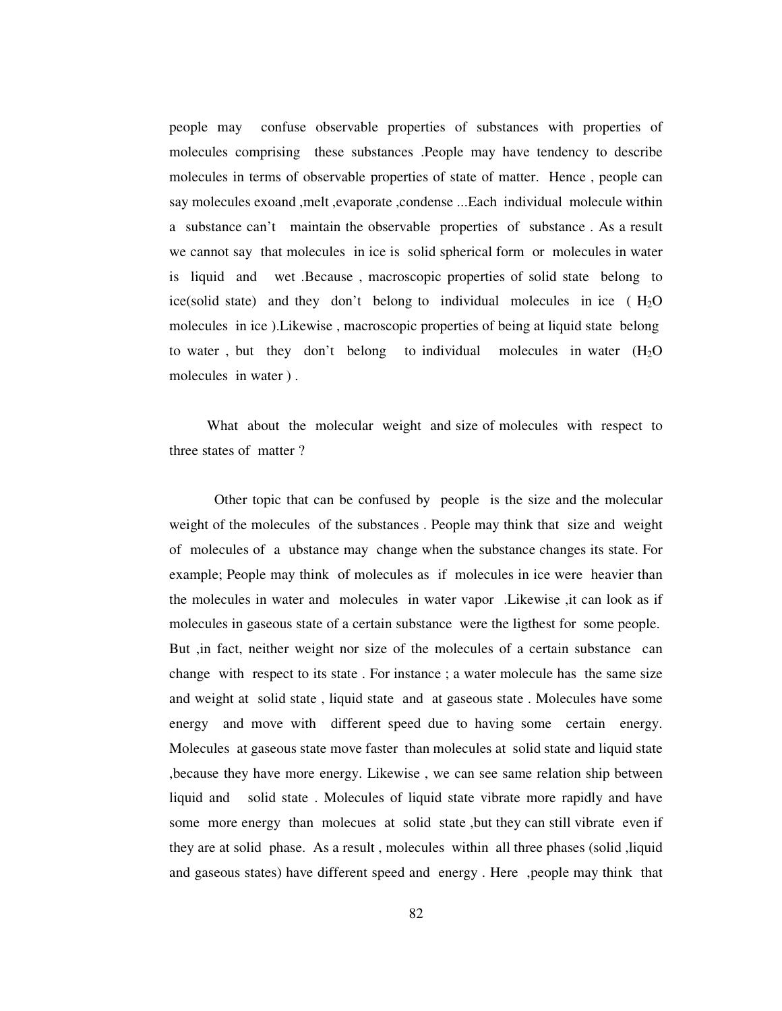people may confuse observable properties of substances with properties of molecules comprising these substances .People may have tendency to describe molecules in terms of observable properties of state of matter. Hence , people can say molecules exoand ,melt ,evaporate ,condense ...Each individual molecule within a substance can't maintain the observable properties of substance . As a result we cannot say that molecules in ice is solid spherical form or molecules in water is liquid and wet .Because , macroscopic properties of solid state belong to ice(solid state) and they don't belong to individual molecules in ice  $(H_2O)$ molecules in ice ).Likewise , macroscopic properties of being at liquid state belong to water, but they don't belong to individual molecules in water  $(H_2O)$ molecules in water ) .

 What about the molecular weight and size of molecules with respect to three states of matter ?

 Other topic that can be confused by people is the size and the molecular weight of the molecules of the substances . People may think that size and weight of molecules of a ubstance may change when the substance changes its state. For example; People may think of molecules as if molecules in ice were heavier than the molecules in water and molecules in water vapor .Likewise ,it can look as if molecules in gaseous state of a certain substance were the ligthest for some people. But ,in fact, neither weight nor size of the molecules of a certain substance can change with respect to its state . For instance ; a water molecule has the same size and weight at solid state , liquid state and at gaseous state . Molecules have some energy and move with different speed due to having some certain energy. Molecules at gaseous state move faster than molecules at solid state and liquid state ,because they have more energy. Likewise , we can see same relation ship between liquid and solid state . Molecules of liquid state vibrate more rapidly and have some more energy than molecues at solid state ,but they can still vibrate even if they are at solid phase. As a result , molecules within all three phases (solid ,liquid and gaseous states) have different speed and energy . Here ,people may think that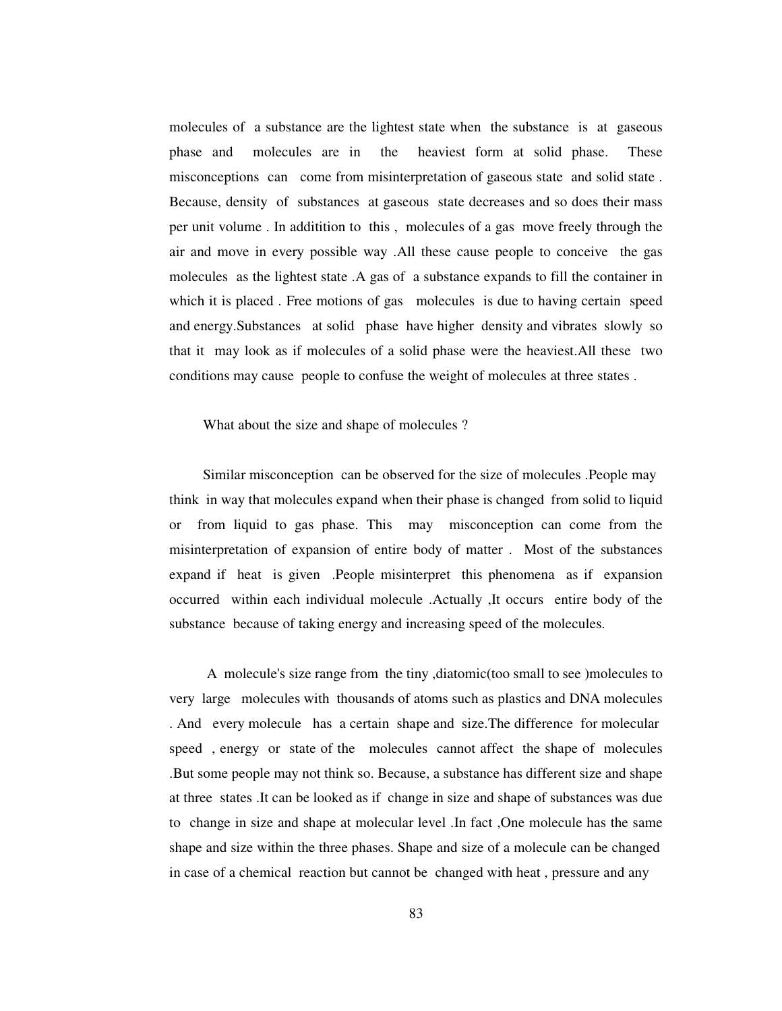molecules of a substance are the lightest state when the substance is at gaseous phase and molecules are in the heaviest form at solid phase. These misconceptions can come from misinterpretation of gaseous state and solid state . Because, density of substances at gaseous state decreases and so does their mass per unit volume . In additition to this , molecules of a gas move freely through the air and move in every possible way .All these cause people to conceive the gas molecules as the lightest state .A gas of a substance expands to fill the container in which it is placed . Free motions of gas molecules is due to having certain speed and energy.Substances at solid phase have higher density and vibrates slowly so that it may look as if molecules of a solid phase were the heaviest.All these two conditions may cause people to confuse the weight of molecules at three states .

### What about the size and shape of molecules ?

 Similar misconception can be observed for the size of molecules .People may think in way that molecules expand when their phase is changed from solid to liquid or from liquid to gas phase. This may misconception can come from the misinterpretation of expansion of entire body of matter . Most of the substances expand if heat is given .People misinterpret this phenomena as if expansion occurred within each individual molecule .Actually ,It occurs entire body of the substance because of taking energy and increasing speed of the molecules.

 A molecule's size range from the tiny ,diatomic(too small to see )molecules to very large molecules with thousands of atoms such as plastics and DNA molecules . And every molecule has a certain shape and size.The difference for molecular speed , energy or state of the molecules cannot affect the shape of molecules .But some people may not think so. Because, a substance has different size and shape at three states .It can be looked as if change in size and shape of substances was due to change in size and shape at molecular level .In fact ,One molecule has the same shape and size within the three phases. Shape and size of a molecule can be changed in case of a chemical reaction but cannot be changed with heat , pressure and any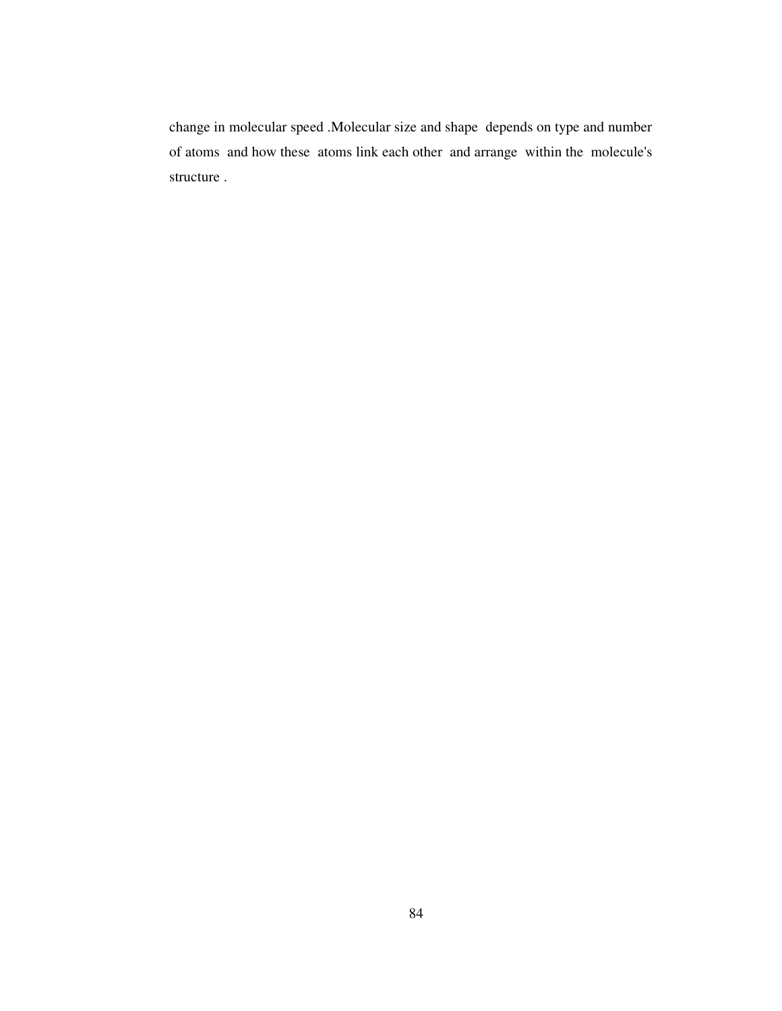change in molecular speed .Molecular size and shape depends on type and number of atoms and how these atoms link each other and arrange within the molecule's structure .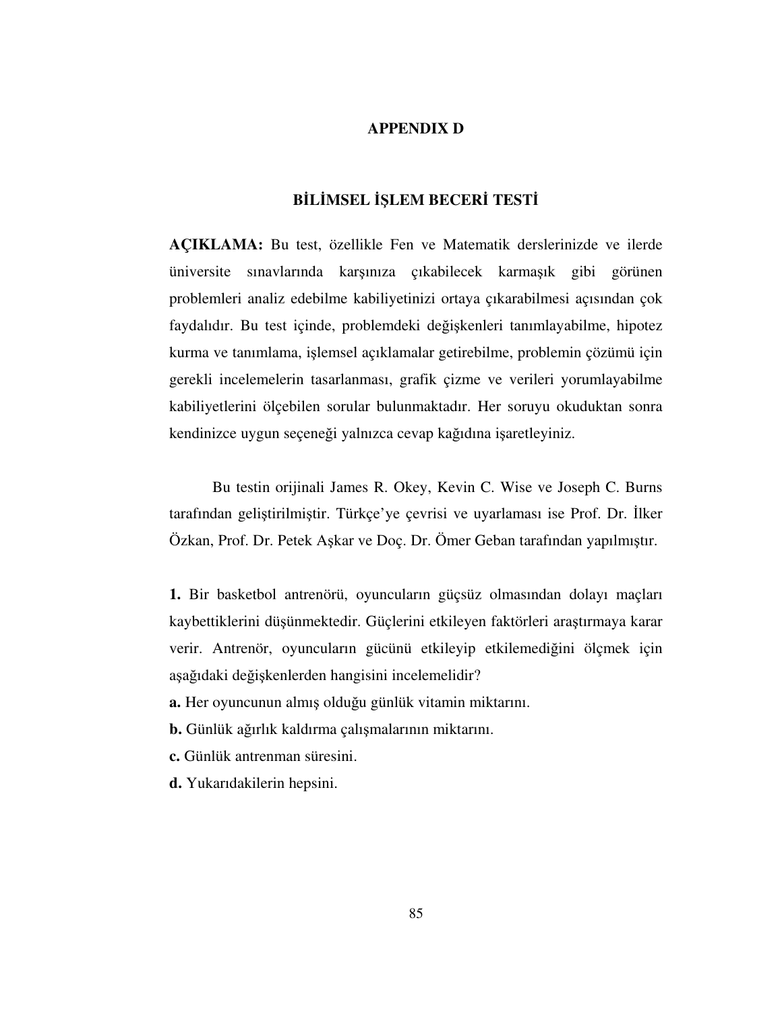### **APPENDIX D**

# **B**İ**L**İ**MSEL** İŞ**LEM BECER**İ **TEST**İ

**AÇIKLAMA:** Bu test, özellikle Fen ve Matematik derslerinizde ve ilerde üniversite sınavlarında karşınıza çıkabilecek karmaşık gibi görünen problemleri analiz edebilme kabiliyetinizi ortaya çıkarabilmesi açısından çok faydalıdır. Bu test içinde, problemdeki değişkenleri tanımlayabilme, hipotez kurma ve tanımlama, işlemsel açıklamalar getirebilme, problemin çözümü için gerekli incelemelerin tasarlanması, grafik çizme ve verileri yorumlayabilme kabiliyetlerini ölçebilen sorular bulunmaktadır. Her soruyu okuduktan sonra kendinizce uygun seçeneği yalnızca cevap kağıdına işaretleyiniz.

Bu testin orijinali James R. Okey, Kevin C. Wise ve Joseph C. Burns tarafından geliştirilmiştir. Türkçe'ye çevrisi ve uyarlaması ise Prof. Dr. İlker Özkan, Prof. Dr. Petek Aşkar ve Doç. Dr. Ömer Geban tarafından yapılmıştır.

**1.** Bir basketbol antrenörü, oyuncuların güçsüz olmasından dolayı maçları kaybettiklerini düşünmektedir. Güçlerini etkileyen faktörleri araştırmaya karar verir. Antrenör, oyuncuların gücünü etkileyip etkilemediğini ölçmek için aşağıdaki değişkenlerden hangisini incelemelidir?

- **a.** Her oyuncunun almış olduğu günlük vitamin miktarını.
- **b.** Günlük ağırlık kaldırma çalışmalarının miktarını.
- **c.** Günlük antrenman süresini.

**d.** Yukarıdakilerin hepsini.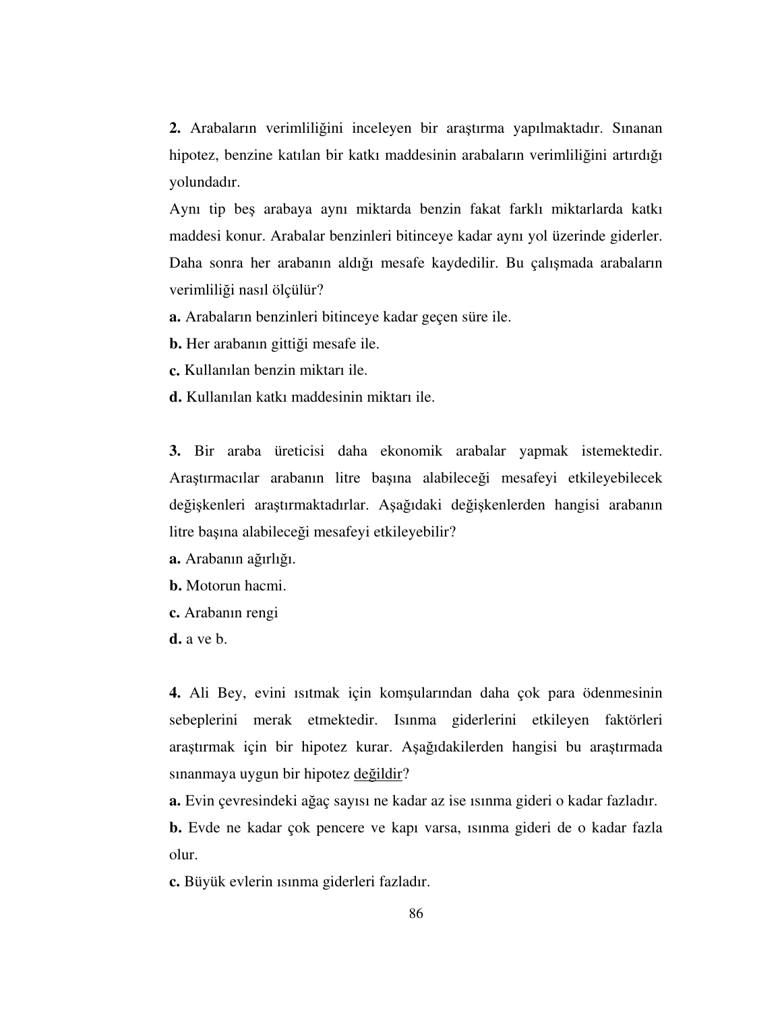**2.** Arabaların verimliliğini inceleyen bir araştırma yapılmaktadır. Sınanan hipotez, benzine katılan bir katkı maddesinin arabaların verimliliğini artırdığı yolundadır.

Aynı tip beş arabaya aynı miktarda benzin fakat farklı miktarlarda katkı maddesi konur. Arabalar benzinleri bitinceye kadar aynı yol üzerinde giderler. Daha sonra her arabanın aldığı mesafe kaydedilir. Bu çalışmada arabaların verimliliği nasıl ölçülür?

**a.** Arabaların benzinleri bitinceye kadar geçen süre ile.

**b.** Her arabanın gittiği mesafe ile.

**c.** Kullanılan benzin miktarı ile.

**d.** Kullanılan katkı maddesinin miktarı ile.

**3.** Bir araba üreticisi daha ekonomik arabalar yapmak istemektedir. Araştırmacılar arabanın litre başına alabileceği mesafeyi etkileyebilecek değişkenleri araştırmaktadırlar. Aşağıdaki değişkenlerden hangisi arabanın litre başına alabileceği mesafeyi etkileyebilir?

**a.** Arabanın ağırlığı.

**b.** Motorun hacmi.

**c.** Arabanın rengi

**d.** a ve b.

**4.** Ali Bey, evini ısıtmak için komşularından daha çok para ödenmesinin sebeplerini merak etmektedir. Isınma giderlerini etkileyen faktörleri araştırmak için bir hipotez kurar. Aşağıdakilerden hangisi bu araştırmada sınanmaya uygun bir hipotez değildir?

**a.** Evin çevresindeki ağaç sayısı ne kadar az ise ısınma gideri o kadar fazladır.

**b.** Evde ne kadar çok pencere ve kapı varsa, ısınma gideri de o kadar fazla olur.

**c.** Büyük evlerin ısınma giderleri fazladır.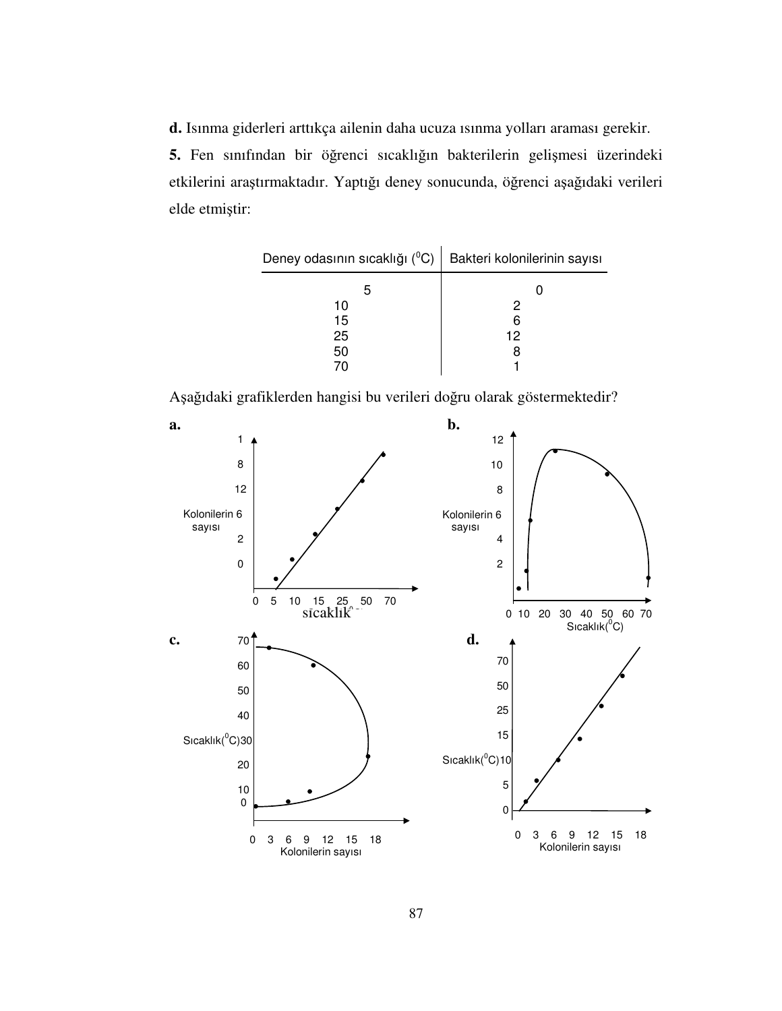**d.** Isınma giderleri arttıkça ailenin daha ucuza ısınma yolları araması gerekir.

**5.** Fen sınıfından bir öğrenci sıcaklığın bakterilerin gelişmesi üzerindeki etkilerini araştırmaktadır. Yaptığı deney sonucunda, öğrenci aşağıdaki verileri elde etmiştir:

| Deney odasının sıcaklığı (°C) | Bakteri kolonilerinin sayısı |  |
|-------------------------------|------------------------------|--|
| 5                             |                              |  |
| 10                            |                              |  |
| 15                            |                              |  |
| 25                            | 12                           |  |
| 50                            |                              |  |
|                               |                              |  |

Aşağıdaki grafiklerden hangisi bu verileri doğru olarak göstermektedir?

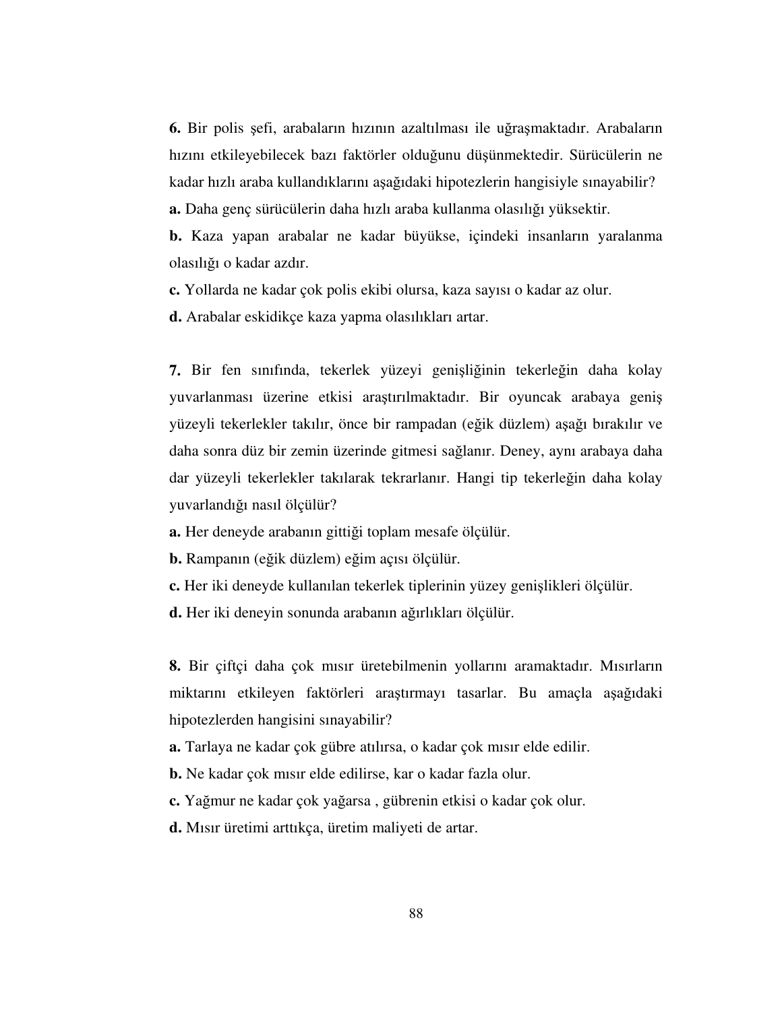**6.** Bir polis şefi, arabaların hızının azaltılması ile uğraşmaktadır. Arabaların hızını etkileyebilecek bazı faktörler olduğunu düşünmektedir. Sürücülerin ne kadar hızlı araba kullandıklarını aşağıdaki hipotezlerin hangisiyle sınayabilir? **a.** Daha genç sürücülerin daha hızlı araba kullanma olasılığı yüksektir.

**b.** Kaza yapan arabalar ne kadar büyükse, içindeki insanların yaralanma olasılığı o kadar azdır.

**c.** Yollarda ne kadar çok polis ekibi olursa, kaza sayısı o kadar az olur.

**d.** Arabalar eskidikçe kaza yapma olasılıkları artar.

**7.** Bir fen sınıfında, tekerlek yüzeyi genişliğinin tekerleğin daha kolay yuvarlanması üzerine etkisi araştırılmaktadır. Bir oyuncak arabaya geniş yüzeyli tekerlekler takılır, önce bir rampadan (eğik düzlem) aşağı bırakılır ve daha sonra düz bir zemin üzerinde gitmesi sağlanır. Deney, aynı arabaya daha dar yüzeyli tekerlekler takılarak tekrarlanır. Hangi tip tekerleğin daha kolay yuvarlandığı nasıl ölçülür?

**a.** Her deneyde arabanın gittiği toplam mesafe ölçülür.

**b.** Rampanın (eğik düzlem) eğim açısı ölçülür.

**c.** Her iki deneyde kullanılan tekerlek tiplerinin yüzey genişlikleri ölçülür.

**d.** Her iki deneyin sonunda arabanın ağırlıkları ölçülür.

**8.** Bir çiftçi daha çok mısır üretebilmenin yollarını aramaktadır. Mısırların miktarını etkileyen faktörleri araştırmayı tasarlar. Bu amaçla aşağıdaki hipotezlerden hangisini sınayabilir?

**a.** Tarlaya ne kadar çok gübre atılırsa, o kadar çok mısır elde edilir.

**b.** Ne kadar çok mısır elde edilirse, kar o kadar fazla olur.

**c.** Yağmur ne kadar çok yağarsa , gübrenin etkisi o kadar çok olur.

**d.** Mısır üretimi arttıkça, üretim maliyeti de artar.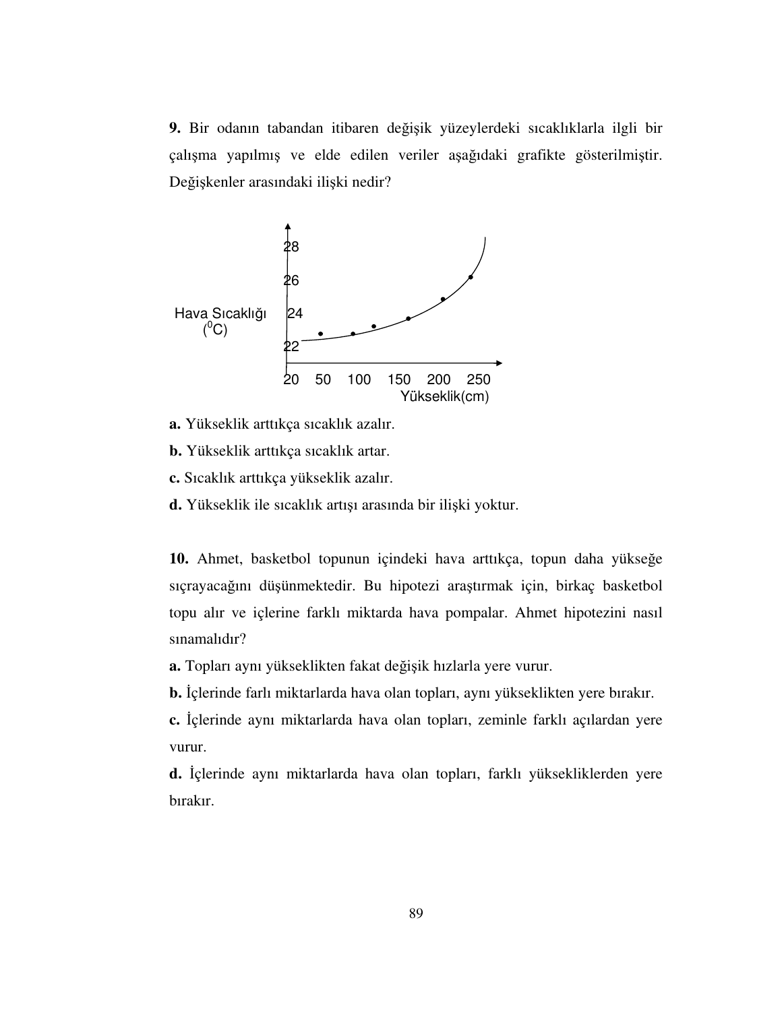**9.** Bir odanın tabandan itibaren değişik yüzeylerdeki sıcaklıklarla ilgli bir çalışma yapılmış ve elde edilen veriler aşağıdaki grafikte gösterilmiştir. Değişkenler arasındaki ilişki nedir?



**a.** Yükseklik arttıkça sıcaklık azalır.

**b.** Yükseklik arttıkça sıcaklık artar.

**c.** Sıcaklık arttıkça yükseklik azalır.

**d.** Yükseklik ile sıcaklık artışı arasında bir ilişki yoktur.

**10.** Ahmet, basketbol topunun içindeki hava arttıkça, topun daha yükseğe sıçrayacağını düşünmektedir. Bu hipotezi araştırmak için, birkaç basketbol topu alır ve içlerine farklı miktarda hava pompalar. Ahmet hipotezini nasıl sınamalıdır?

**a.** Topları aynı yükseklikten fakat değişik hızlarla yere vurur.

**b.** İçlerinde farlı miktarlarda hava olan topları, aynı yükseklikten yere bırakır.

**c.** İçlerinde aynı miktarlarda hava olan topları, zeminle farklı açılardan yere vurur.

**d.** İçlerinde aynı miktarlarda hava olan topları, farklı yüksekliklerden yere bırakır.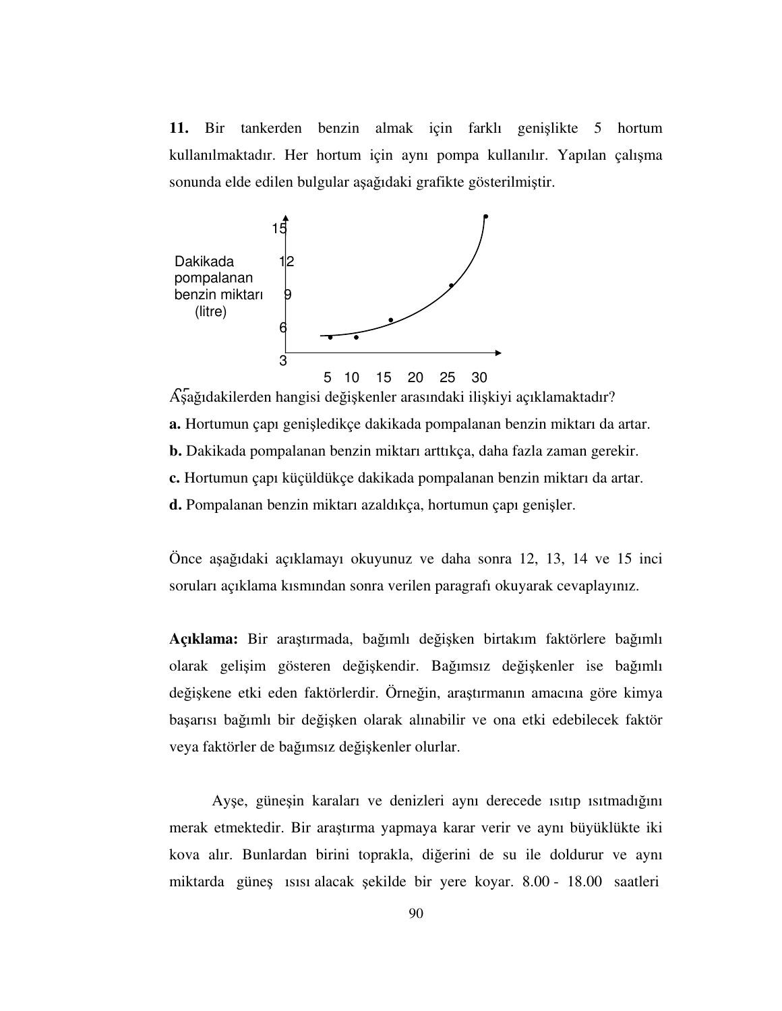**11.** Bir tankerden benzin almak için farklı genişlikte 5 hortum kullanılmaktadır. Her hortum için aynı pompa kullanılır. Yapılan çalışma sonunda elde edilen bulgular aşağıdaki grafikte gösterilmiştir.



Aşağıdakilerden hangisi değişkenler arasındaki ilişkiyi açıklamaktadır? 35**a.** Hortumun çapı genişledikçe dakikada pompalanan benzin miktarı da artar. **b.** Dakikada pompalanan benzin miktarı arttıkça, daha fazla zaman gerekir. **c.** Hortumun çapı küçüldükçe dakikada pompalanan benzin miktarı da artar. **d.** Pompalanan benzin miktarı azaldıkça, hortumun çapı genişler.

Önce aşağıdaki açıklamayı okuyunuz ve daha sonra 12, 13, 14 ve 15 inci soruları açıklama kısmından sonra verilen paragrafı okuyarak cevaplayınız.

**Açıklama:** Bir araştırmada, bağımlı değişken birtakım faktörlere bağımlı olarak gelişim gösteren değişkendir. Bağımsız değişkenler ise bağımlı değişkene etki eden faktörlerdir. Örneğin, araştırmanın amacına göre kimya başarısı bağımlı bir değişken olarak alınabilir ve ona etki edebilecek faktör veya faktörler de bağımsız değişkenler olurlar.

 Ayşe, güneşin karaları ve denizleri aynı derecede ısıtıp ısıtmadığını merak etmektedir. Bir araştırma yapmaya karar verir ve aynı büyüklükte iki kova alır. Bunlardan birini toprakla, diğerini de su ile doldurur ve aynı miktarda güneş ısısı alacak şekilde bir yere koyar. 8.00 - 18.00 saatleri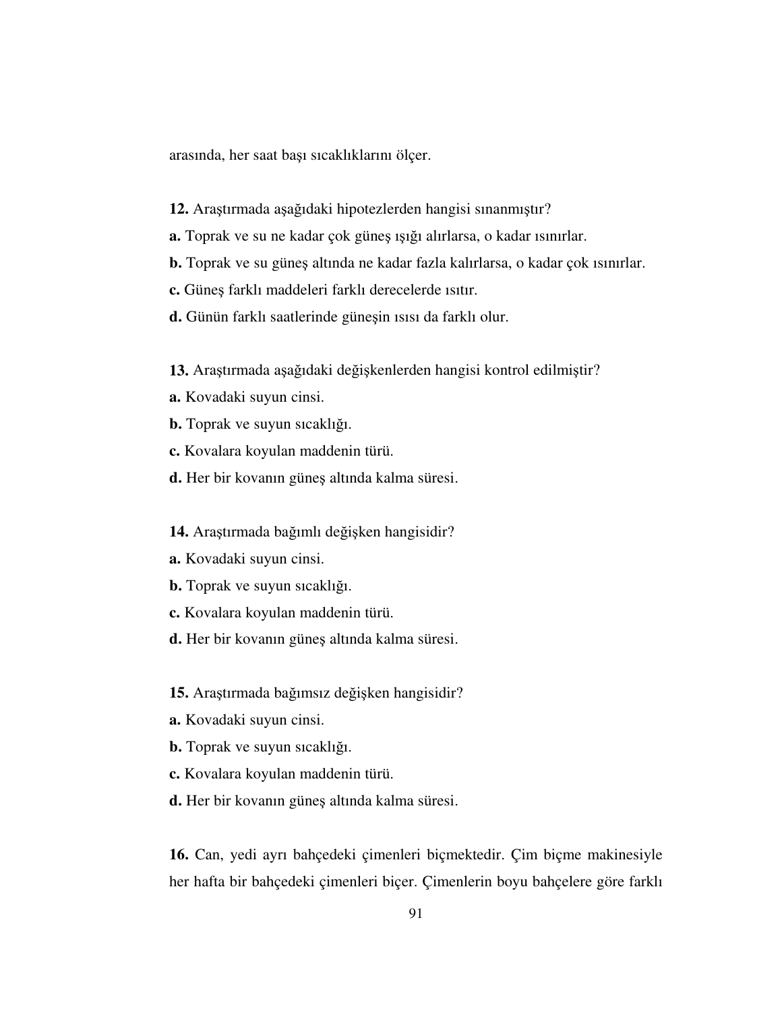arasında, her saat başı sıcaklıklarını ölçer.

- **12.** Araştırmada aşağıdaki hipotezlerden hangisi sınanmıştır?
- **a.** Toprak ve su ne kadar çok güneş ışığı alırlarsa, o kadar ısınırlar.
- **b.** Toprak ve su güneş altında ne kadar fazla kalırlarsa, o kadar çok ısınırlar.
- **c.** Güneş farklı maddeleri farklı derecelerde ısıtır.
- **d.** Günün farklı saatlerinde güneşin ısısı da farklı olur.

**13.** Araştırmada aşağıdaki değişkenlerden hangisi kontrol edilmiştir?

- **a.** Kovadaki suyun cinsi.
- **b.** Toprak ve suyun sıcaklığı.
- **c.** Kovalara koyulan maddenin türü.
- **d.** Her bir kovanın güneş altında kalma süresi.
- **14.** Araştırmada bağımlı değişken hangisidir?
- **a.** Kovadaki suyun cinsi.
- **b.** Toprak ve suyun sıcaklığı.
- **c.** Kovalara koyulan maddenin türü.
- **d.** Her bir kovanın güneş altında kalma süresi.

**15.** Araştırmada bağımsız değişken hangisidir?

- **a.** Kovadaki suyun cinsi.
- **b.** Toprak ve suyun sıcaklığı.
- **c.** Kovalara koyulan maddenin türü.
- **d.** Her bir kovanın güneş altında kalma süresi.

**16.** Can, yedi ayrı bahçedeki çimenleri biçmektedir. Çim biçme makinesiyle her hafta bir bahçedeki çimenleri biçer. Çimenlerin boyu bahçelere göre farklı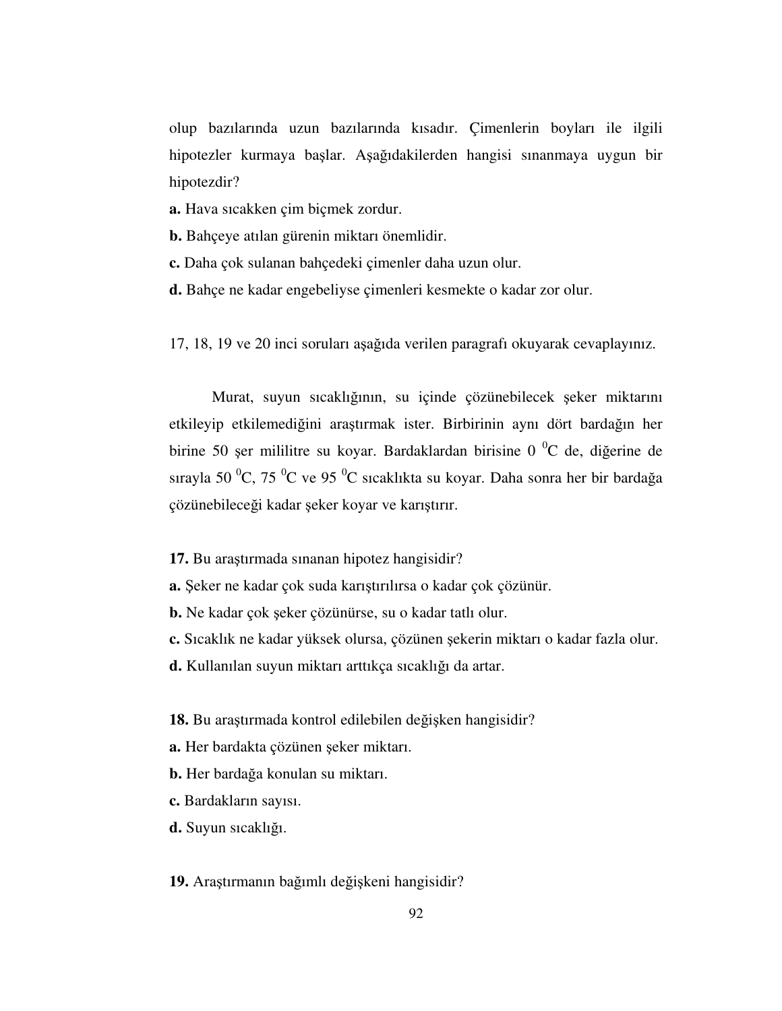olup bazılarında uzun bazılarında kısadır. Çimenlerin boyları ile ilgili hipotezler kurmaya başlar. Aşağıdakilerden hangisi sınanmaya uygun bir hipotezdir?

**a.** Hava sıcakken çim biçmek zordur.

**b.** Bahçeye atılan gürenin miktarı önemlidir.

**c.** Daha çok sulanan bahçedeki çimenler daha uzun olur.

**d.** Bahçe ne kadar engebeliyse çimenleri kesmekte o kadar zor olur.

17, 18, 19 ve 20 inci soruları aşağıda verilen paragrafı okuyarak cevaplayınız.

 Murat, suyun sıcaklığının, su içinde çözünebilecek şeker miktarını etkileyip etkilemediğini araştırmak ister. Birbirinin aynı dört bardağın her birine 50 şer mililitre su koyar. Bardaklardan birisine 0  $^{0}$ C de, diğerine de sırayla 50  $^0C$ , 75  $^0C$  ve 95  $^0C$  sıcaklıkta su koyar. Daha sonra her bir bardağa çözünebileceği kadar şeker koyar ve karıştırır.

**17.** Bu araştırmada sınanan hipotez hangisidir?

**a.** Şeker ne kadar çok suda karıştırılırsa o kadar çok çözünür.

**b.** Ne kadar çok şeker çözünürse, su o kadar tatlı olur.

**c.** Sıcaklık ne kadar yüksek olursa, çözünen şekerin miktarı o kadar fazla olur.

**d.** Kullanılan suyun miktarı arttıkça sıcaklığı da artar.

**18.** Bu araştırmada kontrol edilebilen değişken hangisidir?

**a.** Her bardakta çözünen şeker miktarı.

**b.** Her bardağa konulan su miktarı.

**c.** Bardakların sayısı.

**d.** Suyun sıcaklığı.

**19.** Araştırmanın bağımlı değişkeni hangisidir?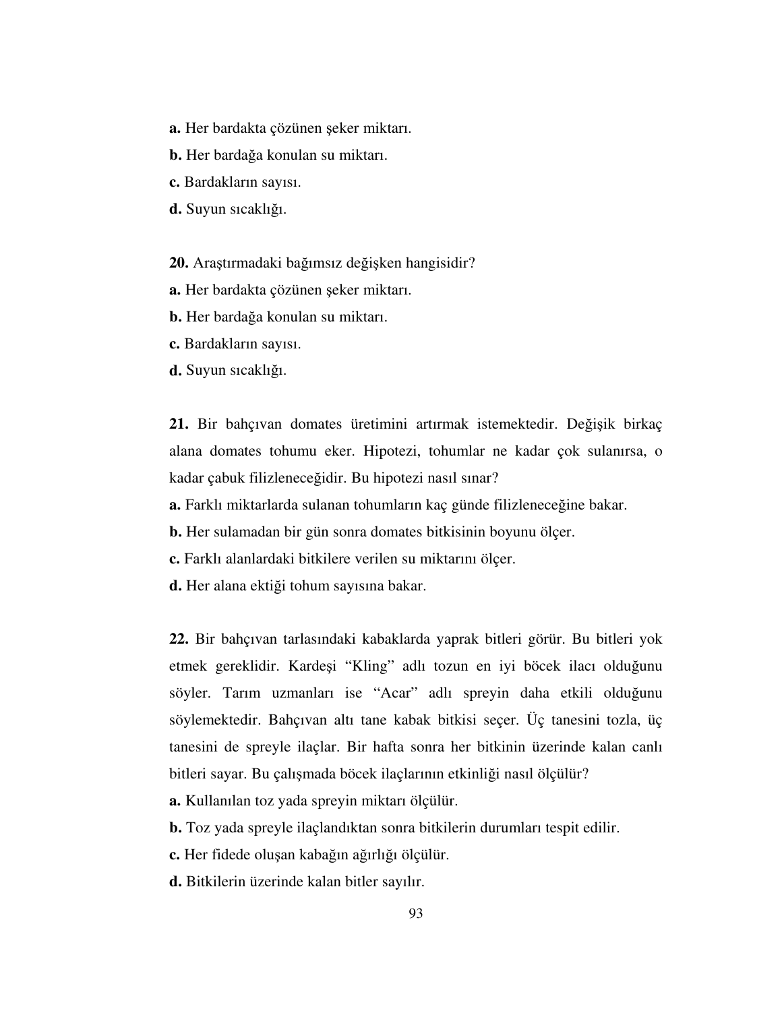- **a.** Her bardakta çözünen şeker miktarı.
- **b.** Her bardağa konulan su miktarı.
- **c.** Bardakların sayısı.
- **d.** Suyun sıcaklığı.

**20.** Araştırmadaki bağımsız değişken hangisidir?

**a.** Her bardakta çözünen şeker miktarı.

**b.** Her bardağa konulan su miktarı.

- **c.** Bardakların sayısı.
- **d.** Suyun sıcaklığı.

**21.** Bir bahçıvan domates üretimini artırmak istemektedir. Değişik birkaç alana domates tohumu eker. Hipotezi, tohumlar ne kadar çok sulanırsa, o kadar çabuk filizleneceğidir. Bu hipotezi nasıl sınar?

**a.** Farklı miktarlarda sulanan tohumların kaç günde filizleneceğine bakar.

**b.** Her sulamadan bir gün sonra domates bitkisinin boyunu ölçer.

**c.** Farklı alanlardaki bitkilere verilen su miktarını ölçer.

**d.** Her alana ektiği tohum sayısına bakar.

**22.** Bir bahçıvan tarlasındaki kabaklarda yaprak bitleri görür. Bu bitleri yok etmek gereklidir. Kardeşi "Kling" adlı tozun en iyi böcek ilacı olduğunu söyler. Tarım uzmanları ise "Acar" adlı spreyin daha etkili olduğunu söylemektedir. Bahçıvan altı tane kabak bitkisi seçer. Üç tanesini tozla, üç tanesini de spreyle ilaçlar. Bir hafta sonra her bitkinin üzerinde kalan canlı bitleri sayar. Bu çalışmada böcek ilaçlarının etkinliği nasıl ölçülür?

**a.** Kullanılan toz yada spreyin miktarı ölçülür.

**b.** Toz yada spreyle ilaçlandıktan sonra bitkilerin durumları tespit edilir.

**c.** Her fidede oluşan kabağın ağırlığı ölçülür.

**d.** Bitkilerin üzerinde kalan bitler sayılır.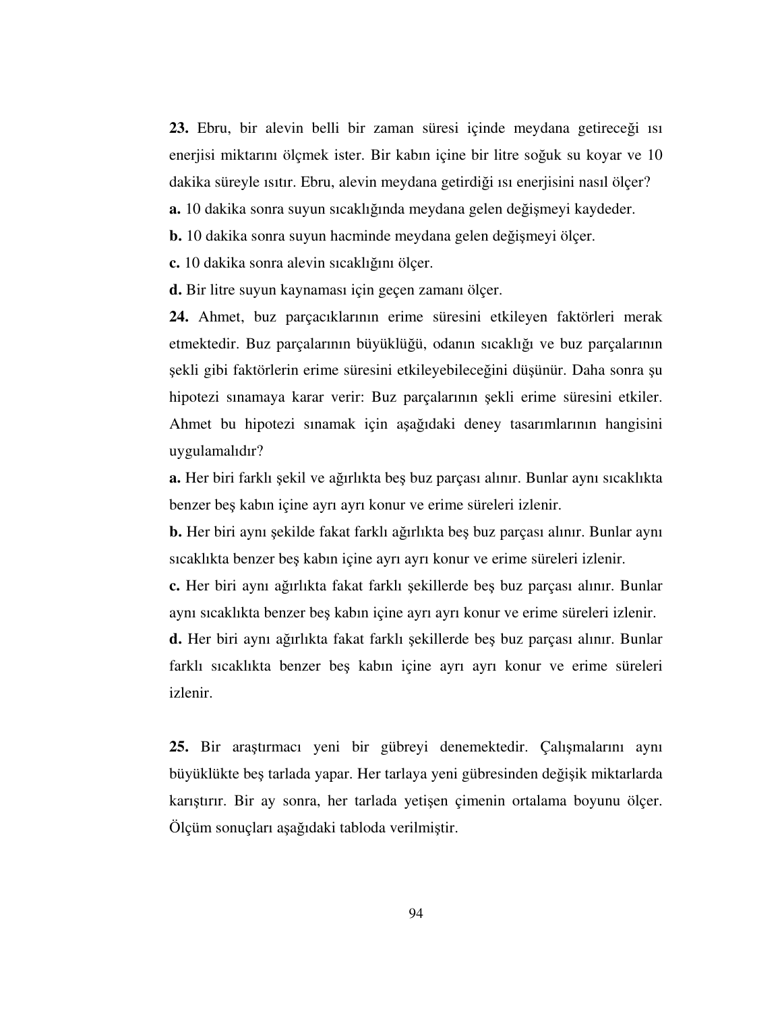**23.** Ebru, bir alevin belli bir zaman süresi içinde meydana getireceği ısı enerjisi miktarını ölçmek ister. Bir kabın içine bir litre soğuk su koyar ve 10 dakika süreyle ısıtır. Ebru, alevin meydana getirdiği ısı enerjisini nasıl ölçer?

**a.** 10 dakika sonra suyun sıcaklığında meydana gelen değişmeyi kaydeder.

**b.** 10 dakika sonra suyun hacminde meydana gelen değişmeyi ölçer.

**c.** 10 dakika sonra alevin sıcaklığını ölçer.

**d.** Bir litre suyun kaynaması için geçen zamanı ölçer.

**24.** Ahmet, buz parçacıklarının erime süresini etkileyen faktörleri merak etmektedir. Buz parçalarının büyüklüğü, odanın sıcaklığı ve buz parçalarının şekli gibi faktörlerin erime süresini etkileyebileceğini düşünür. Daha sonra şu hipotezi sınamaya karar verir: Buz parçalarının şekli erime süresini etkiler. Ahmet bu hipotezi sınamak için aşağıdaki deney tasarımlarının hangisini uygulamalıdır?

**a.** Her biri farklı şekil ve ağırlıkta beş buz parçası alınır. Bunlar aynı sıcaklıkta benzer beş kabın içine ayrı ayrı konur ve erime süreleri izlenir.

**b.** Her biri aynı şekilde fakat farklı ağırlıkta beş buz parçası alınır. Bunlar aynı sıcaklıkta benzer beş kabın içine ayrı ayrı konur ve erime süreleri izlenir.

**c.** Her biri aynı ağırlıkta fakat farklı şekillerde beş buz parçası alınır. Bunlar aynı sıcaklıkta benzer beş kabın içine ayrı ayrı konur ve erime süreleri izlenir.

**d.** Her biri aynı ağırlıkta fakat farklı şekillerde beş buz parçası alınır. Bunlar farklı sıcaklıkta benzer beş kabın içine ayrı ayrı konur ve erime süreleri izlenir.

**25.** Bir araştırmacı yeni bir gübreyi denemektedir. Çalışmalarını aynı büyüklükte beş tarlada yapar. Her tarlaya yeni gübresinden değişik miktarlarda karıştırır. Bir ay sonra, her tarlada yetişen çimenin ortalama boyunu ölçer. Ölçüm sonuçları aşağıdaki tabloda verilmiştir.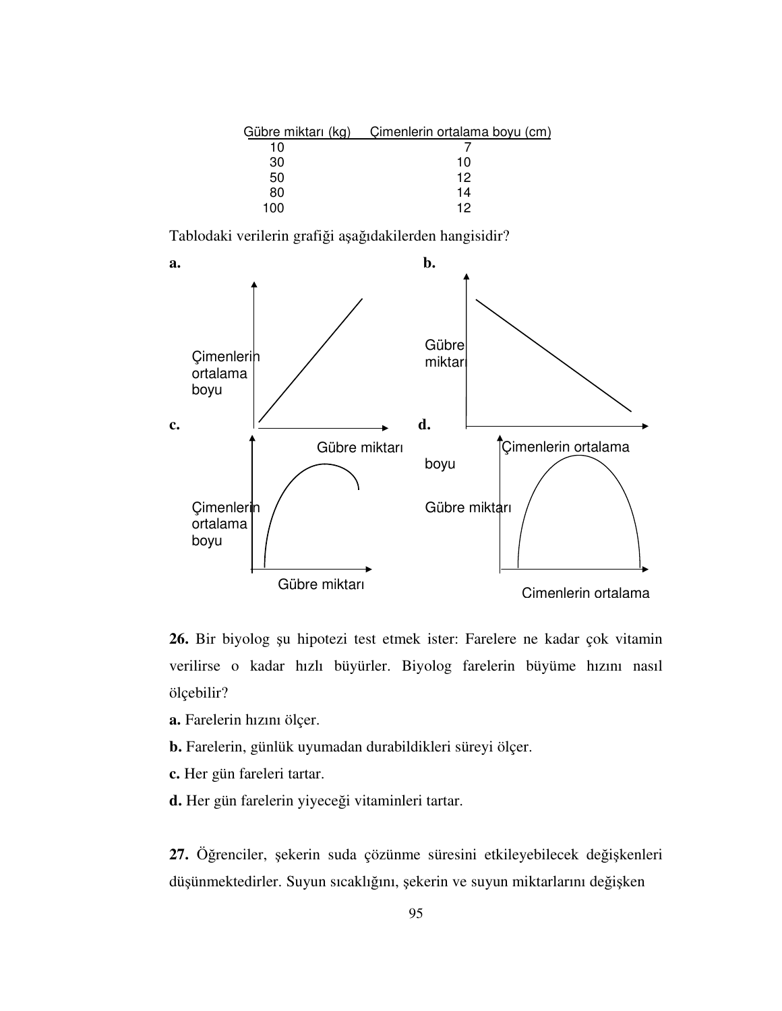|     | Gübre miktarı (kg) Cimenlerin ortalama boyu (cm) |
|-----|--------------------------------------------------|
| 10  |                                                  |
| 30  | 10                                               |
| 50  | 12                                               |
| 80  | 14                                               |
| 100 | 12                                               |

Tablodaki verilerin grafiği aşağıdakilerden hangisidir?



**26.** Bir biyolog şu hipotezi test etmek ister: Farelere ne kadar çok vitamin verilirse o kadar hızlı büyürler. Biyolog farelerin büyüme hızını nasıl ölçebilir?

- **a.** Farelerin hızını ölçer.
- **b.** Farelerin, günlük uyumadan durabildikleri süreyi ölçer.
- **c.** Her gün fareleri tartar.
- **d.** Her gün farelerin yiyeceği vitaminleri tartar.

**27.** Öğrenciler, şekerin suda çözünme süresini etkileyebilecek değişkenleri düşünmektedirler. Suyun sıcaklığını, şekerin ve suyun miktarlarını değişken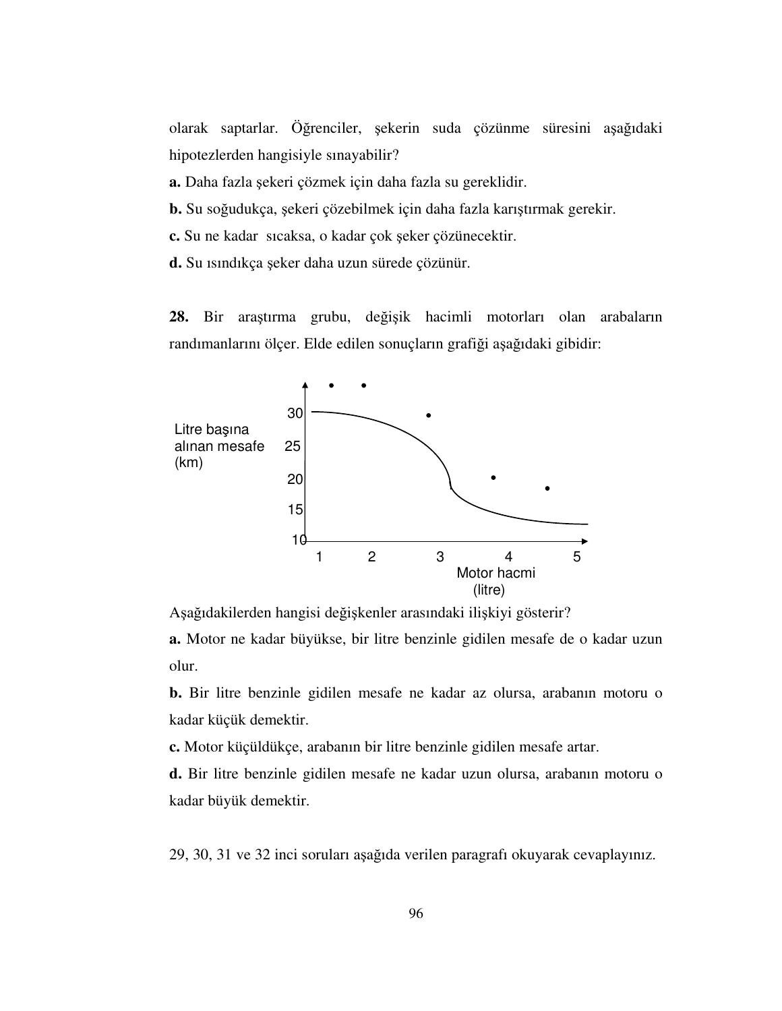olarak saptarlar. Öğrenciler, şekerin suda çözünme süresini aşağıdaki hipotezlerden hangisiyle sınayabilir?

**a.** Daha fazla şekeri çözmek için daha fazla su gereklidir.

**b.** Su soğudukça, şekeri çözebilmek için daha fazla karıştırmak gerekir.

**c.** Su ne kadar sıcaksa, o kadar çok şeker çözünecektir.

**d.** Su ısındıkça şeker daha uzun sürede çözünür.

**28.** Bir araştırma grubu, değişik hacimli motorları olan arabaların randımanlarını ölçer. Elde edilen sonuçların grafiği aşağıdaki gibidir:



Aşağıdakilerden hangisi değişkenler arasındaki ilişkiyi gösterir?

**a.** Motor ne kadar büyükse, bir litre benzinle gidilen mesafe de o kadar uzun olur.

**b.** Bir litre benzinle gidilen mesafe ne kadar az olursa, arabanın motoru o kadar küçük demektir.

**c.** Motor küçüldükçe, arabanın bir litre benzinle gidilen mesafe artar.

**d.** Bir litre benzinle gidilen mesafe ne kadar uzun olursa, arabanın motoru o kadar büyük demektir.

29, 30, 31 ve 32 inci soruları aşağıda verilen paragrafı okuyarak cevaplayınız.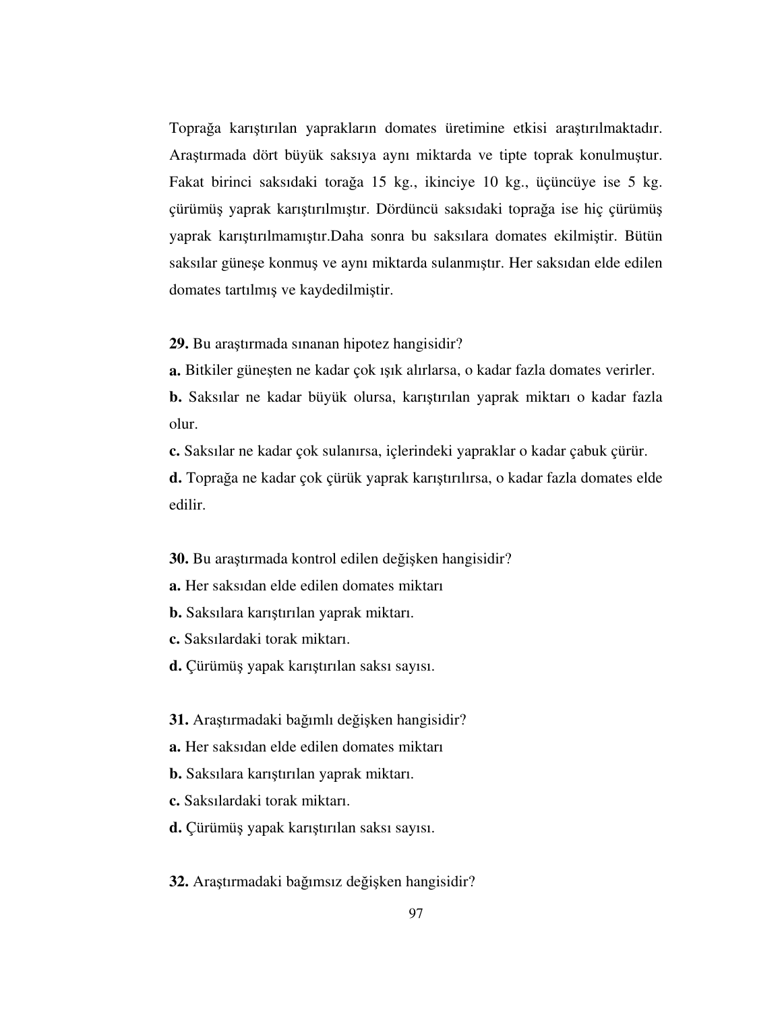Toprağa karıştırılan yaprakların domates üretimine etkisi araştırılmaktadır. Araştırmada dört büyük saksıya aynı miktarda ve tipte toprak konulmuştur. Fakat birinci saksıdaki torağa 15 kg., ikinciye 10 kg., üçüncüye ise 5 kg. çürümüş yaprak karıştırılmıştır. Dördüncü saksıdaki toprağa ise hiç çürümüş yaprak karıştırılmamıştır.Daha sonra bu saksılara domates ekilmiştir. Bütün saksılar güneşe konmuş ve aynı miktarda sulanmıştır. Her saksıdan elde edilen domates tartılmış ve kaydedilmiştir.

**29.** Bu araştırmada sınanan hipotez hangisidir?

**a.** Bitkiler güneşten ne kadar çok ışık alırlarsa, o kadar fazla domates verirler.

**b.** Saksılar ne kadar büyük olursa, karıştırılan yaprak miktarı o kadar fazla olur.

**c.** Saksılar ne kadar çok sulanırsa, içlerindeki yapraklar o kadar çabuk çürür. **d.** Toprağa ne kadar çok çürük yaprak karıştırılırsa, o kadar fazla domates elde edilir.

**30.** Bu araştırmada kontrol edilen değişken hangisidir?

**a.** Her saksıdan elde edilen domates miktarı

**b.** Saksılara karıştırılan yaprak miktarı.

**c.** Saksılardaki torak miktarı.

**d.** Çürümüş yapak karıştırılan saksı sayısı.

**31.** Araştırmadaki bağımlı değişken hangisidir?

**a.** Her saksıdan elde edilen domates miktarı

**b.** Saksılara karıştırılan yaprak miktarı.

**c.** Saksılardaki torak miktarı.

**d.** Çürümüş yapak karıştırılan saksı sayısı.

**32.** Araştırmadaki bağımsız değişken hangisidir?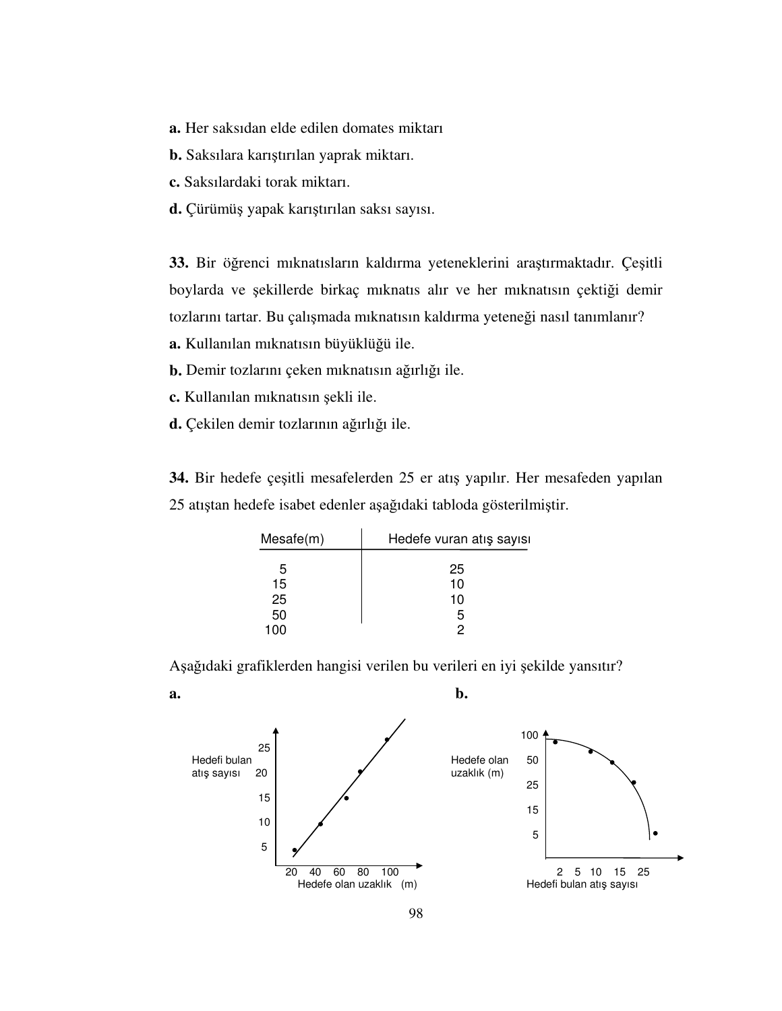- **a.** Her saksıdan elde edilen domates miktarı
- **b.** Saksılara karıştırılan yaprak miktarı.
- **c.** Saksılardaki torak miktarı.
- **d.** Çürümüş yapak karıştırılan saksı sayısı.

**33.** Bir öğrenci mıknatısların kaldırma yeteneklerini araştırmaktadır. Çeşitli boylarda ve şekillerde birkaç mıknatıs alır ve her mıknatısın çektiği demir tozlarını tartar. Bu çalışmada mıknatısın kaldırma yeteneği nasıl tanımlanır?

- **a.** Kullanılan mıknatısın büyüklüğü ile.
- **b.** Demir tozlarını çeken mıknatısın ağırlığı ile.
- **c.** Kullanılan mıknatısın şekli ile.
- **d.** Çekilen demir tozlarının ağırlığı ile.

**34.** Bir hedefe çeşitli mesafelerden 25 er atış yapılır. Her mesafeden yapılan 25 atıştan hedefe isabet edenler aşağıdaki tabloda gösterilmiştir.

| Message(m) | Hedefe vuran atış sayısı |
|------------|--------------------------|
| 5          | 25                       |
| 15         | 10                       |
| 25         | 10                       |
| 50         | 5                        |
|            | 2                        |

Aşağıdaki grafiklerden hangisi verilen bu verileri en iyi şekilde yansıtır?



**a. b. b.** 

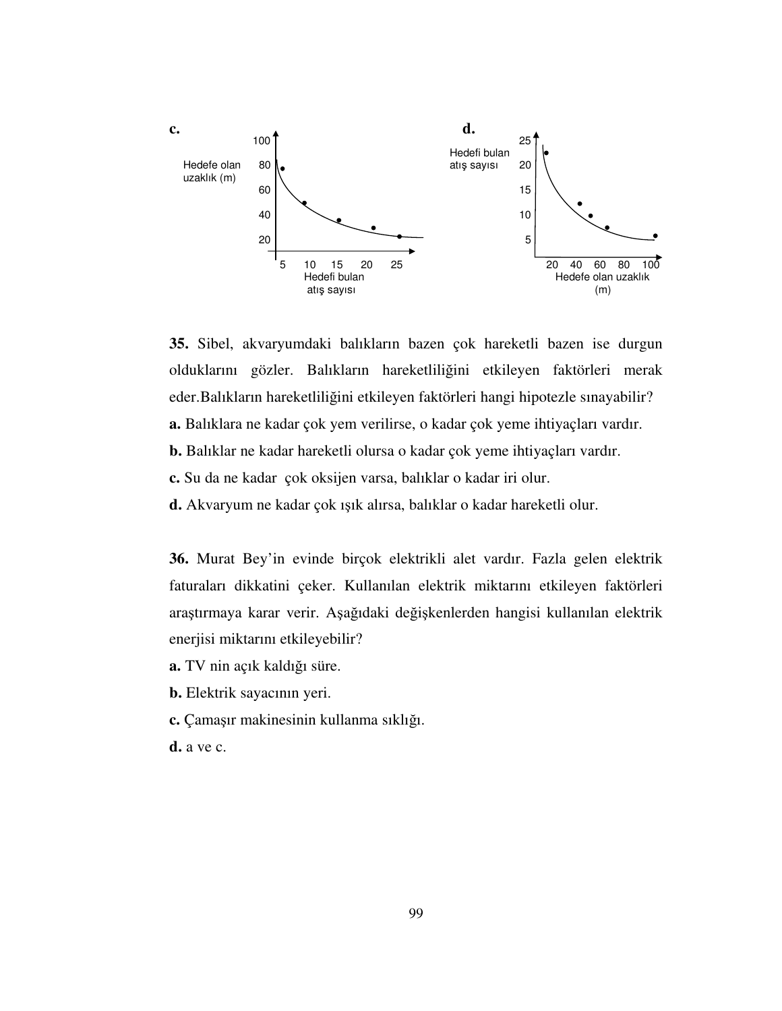



**36.** Murat Bey'in evinde birçok elektrikli alet vardır. Fazla gelen elektrik faturaları dikkatini çeker. Kullanılan elektrik miktarını etkileyen faktörleri araştırmaya karar verir. Aşağıdaki değişkenlerden hangisi kullanılan elektrik enerjisi miktarını etkileyebilir?

- **a.** TV nin açık kaldığı süre.
- **b.** Elektrik sayacının yeri.
- **c.** Çamaşır makinesinin kullanma sıklığı.
- **d.** a ve c.